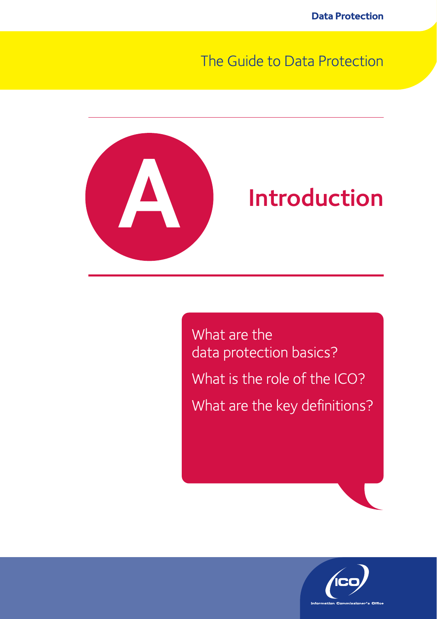## The Guide to Data Protection



## Introduction

What are the data protection basics? What is the role of the ICO? What are the key definitions?

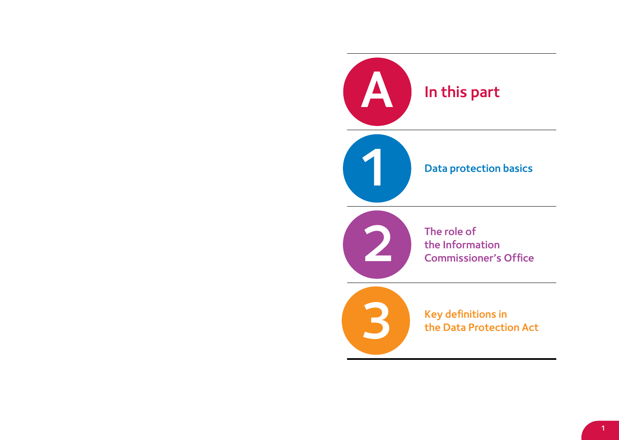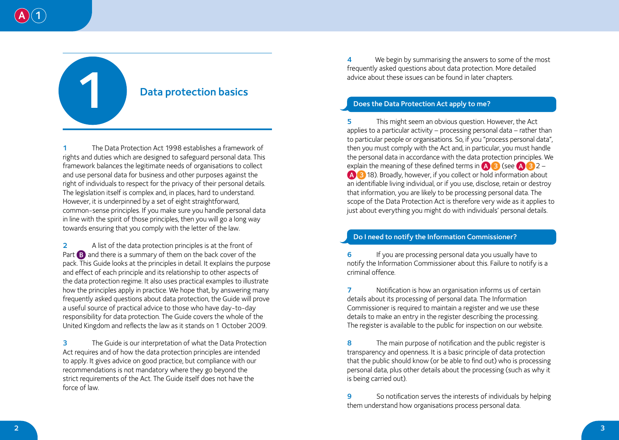

1

## Data protection basics

The Data Protection Act 1998 establishes a framework of rights and duties which are designed to safeguard personal data. This framework balances the legitimate needs of organisations to collect and use personal data for business and other purposes against the right of individuals to respect for the privacy of their personal details. The legislation itself is complex and, in places, hard to understand. However, it is underpinned by a set of eight straightforward, common-sense principles. If you make sure you handle personal data in line with the spirit of those principles, then you will go a long way towards ensuring that you comply with the letter of the law.

2 A list of the data protection principles is at the front of Part  $\bigoplus$  and there is a summary of them on the back cover of the pack. This Guide looks at the principles in detail. It explains the purpose and effect of each principle and its relationship to other aspects of the data protection regime. It also uses practical examples to illustrate how the principles apply in practice. We hope that, by answering many frequently asked questions about data protection, the Guide will prove a useful source of practical advice to those who have day-to-day responsibility for data protection. The Guide covers the whole of the United Kingdom and reflects the law as it stands on 1 October 2009.

3 The Guide is our interpretation of what the Data Protection Act requires and of how the data protection principles are intended to apply. It gives advice on good practice, but compliance with our recommendations is not mandatory where they go beyond the strict requirements of the Act. The Guide itself does not have the force of law.

4 We begin by summarising the answers to some of the most frequently asked questions about data protection. More detailed advice about these issues can be found in later chapters.

#### Does the Data Protection Act apply to me?

5 This might seem an obvious question. However, the Act applies to a particular activity – processing personal data – rather than to particular people or organisations. So, if you "process personal data", then you must comply with the Act and, in particular, you must handle the personal data in accordance with the data protection principles. We explain the meaning of these defined terms in  $\bigcirc$   $\bigcirc$  (see  $\bigcirc$  3 2 – **48** 18). Broadly, however, if you collect or hold information about an identifiable living individual, or if you use, disclose, retain or destroy that information, you are likely to be processing personal data. The scope of the Data Protection Act is therefore very wide as it applies to just about everything you might do with individuals' personal details.

## Do I need to notify the Information Commissioner?

If you are processing personal data you usually have to notify the Information Commissioner about this. Failure to notify is a criminal offence.

7 Notification is how an organisation informs us of certain details about its processing of personal data. The Information Commissioner is required to maintain a register and we use these details to make an entry in the register describing the processing. The register is available to the public for inspection on our website.

8 The main purpose of notification and the public register is transparency and openness. It is a basic principle of data protection that the public should know (or be able to find out) who is processing personal data, plus other details about the processing (such as why it is being carried out).

9 So notification serves the interests of individuals by helping them understand how organisations process personal data.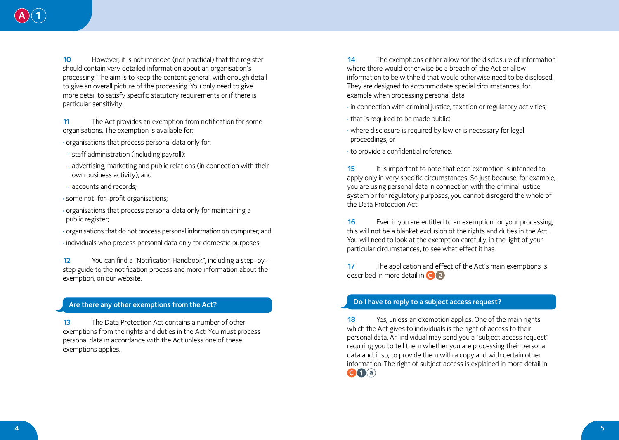

10 However, it is not intended (nor practical) that the register should contain very detailed information about an organisation's processing. The aim is to keep the content general, with enough detail to give an overall picture of the processing. You only need to give more detail to satisfy specific statutory requirements or if there is particular sensitivity.

11 The Act provides an exemption from notification for some organisations. The exemption is available for:

• organisations that process personal data only for:

- staff administration (including payroll);
- advertising, marketing and public relations (in connection with their own business activity); and
- accounts and records;
- some not-for-profit organisations;
- organisations that process personal data only for maintaining a public register;
- organisations that do not process personal information on computer; and
- individuals who process personal data only for domestic purposes.

12 You can find a "Notification Handbook", including a step-bystep guide to the notification process and more information about the exemption, on our website.

#### Are there any other exemptions from the Act?

13 The Data Protection Act contains a number of other exemptions from the rights and duties in the Act. You must process personal data in accordance with the Act unless one of these exemptions applies.

14 The exemptions either allow for the disclosure of information where there would otherwise be a breach of the Act or allow information to be withheld that would otherwise need to be disclosed. They are designed to accommodate special circumstances, for example when processing personal data:

- in connection with criminal justice, taxation or regulatory activities;
- that is required to be made public;
- where disclosure is required by law or is necessary for legal proceedings; or
- to provide a confidential reference.

15 It is important to note that each exemption is intended to apply only in very specific circumstances. So just because, for example, you are using personal data in connection with the criminal justice system or for regulatory purposes, you cannot disregard the whole of the Data Protection Act.

16 Even if you are entitled to an exemption for your processing, this will not be a blanket exclusion of the rights and duties in the Act. You will need to look at the exemption carefully, in the light of your particular circumstances, to see what effect it has.

17 The application and effect of the Act's main exemptions is described in more detail in **C** 2

#### Do I have to reply to a subject access request?

18 Yes, unless an exemption applies. One of the main rights which the Act gives to individuals is the right of access to their personal data. An individual may send you a "subject access request" requiring you to tell them whether you are processing their personal data and, if so, to provide them with a copy and with certain other information. The right of subject access is explained in more detail in  $\bigcirc$   $\bigcirc$   $\bigcirc$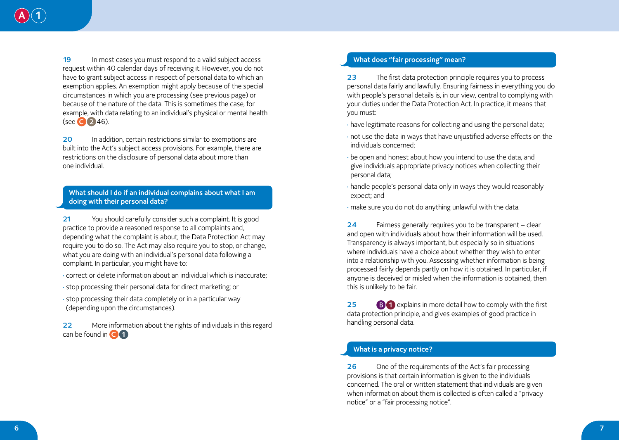

19 In most cases you must respond to a valid subject access request within 40 calendar days of receiving it. However, you do not have to grant subject access in respect of personal data to which an exemption applies. An exemption might apply because of the special circumstances in which you are processing (see previous page) or because of the nature of the data. This is sometimes the case, for example, with data relating to an individual's physical or mental health  $(see **2**46).$ 

20 In addition, certain restrictions similar to exemptions are built into the Act's subject access provisions. For example, there are restrictions on the disclosure of personal data about more than one individual.

## What should I do if an individual complains about what I am doing with their personal data?

21 You should carefully consider such a complaint. It is good practice to provide a reasoned response to all complaints and, depending what the complaint is about, the Data Protection Act may require you to do so. The Act may also require you to stop, or change, what you are doing with an individual's personal data following a complaint. In particular, you might have to:

- correct or delete information about an individual which is inaccurate;
- stop processing their personal data for direct marketing; or
- stop processing their data completely or in a particular way (depending upon the circumstances).
- 22 More information about the rights of individuals in this regard can be found in  $\bigcirc$   $\bigcirc$

## What does "fair processing" mean?

23 The first data protection principle requires you to process personal data fairly and lawfully. Ensuring fairness in everything you do with people's personal details is, in our view, central to complying with your duties under the Data Protection Act. In practice, it means that you must:

- have legitimate reasons for collecting and using the personal data;
- not use the data in ways that have unjustified adverse effects on the individuals concerned;
- be open and honest about how you intend to use the data, and give individuals appropriate privacy notices when collecting their personal data;
- handle people's personal data only in ways they would reasonably expect; and
- make sure you do not do anything unlawful with the data.

24 Fairness generally requires you to be transparent – clear and open with individuals about how their information will be used. Transparency is always important, but especially so in situations where individuals have a choice about whether they wish to enter into a relationship with you. Assessing whether information is being processed fairly depends partly on how it is obtained. In particular, if anyone is deceived or misled when the information is obtained, then this is unlikely to be fair.

25 **explains in more detail how to comply with the first** data protection principle, and gives examples of good practice in handling personal data.

## What is a privacy notice?

26 One of the requirements of the Act's fair processing provisions is that certain information is given to the individuals concerned. The oral or written statement that individuals are given when information about them is collected is often called a "privacy notice" or a "fair processing notice".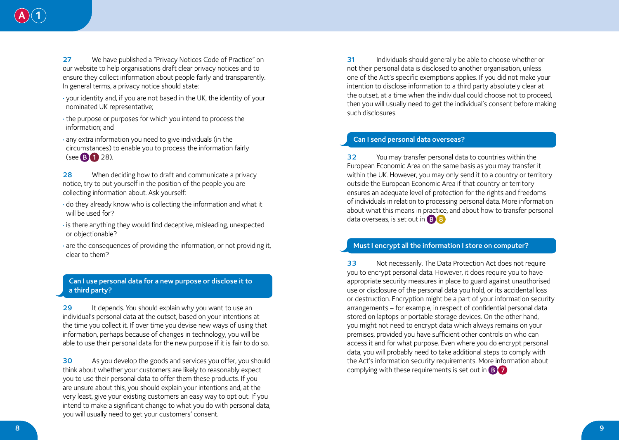

27 We have published a "Privacy Notices Code of Practice" on our website to help organisations draft clear privacy notices and to ensure they collect information about people fairly and transparently. In general terms, a privacy notice should state:

- your identity and, if you are not based in the UK, the identity of your nominated UK representative;
- the purpose or purposes for which you intend to process the information; and
- any extra information you need to give individuals (in the circumstances) to enable you to process the information fairly  $($ see  $\mathbf{B}$   $\mathbf{O}$  28).

28 When deciding how to draft and communicate a privacy notice, try to put yourself in the position of the people you are collecting information about. Ask yourself:

- do they already know who is collecting the information and what it will be used for?
- is there anything they would find deceptive, misleading, unexpected or objectionable?
- $\cdot$  are the consequences of providing the information, or not providing it. clear to them?

## Can I use personal data for a new purpose or disclose it to a third party?

29 It depends. You should explain why you want to use an individual's personal data at the outset, based on your intentions at the time you collect it. If over time you devise new ways of using that information, perhaps because of changes in technology, you will be able to use their personal data for the new purpose if it is fair to do so.

30 As you develop the goods and services you offer, you should think about whether your customers are likely to reasonably expect you to use their personal data to offer them these products. If you are unsure about this, you should explain your intentions and, at the very least, give your existing customers an easy way to opt out. If you intend to make a significant change to what you do with personal data, you will usually need to get your customers' consent.

31 Individuals should generally be able to choose whether or not their personal data is disclosed to another organisation, unless one of the Act's specific exemptions applies. If you did not make your intention to disclose information to a third party absolutely clear at the outset, at a time when the individual could choose not to proceed, then you will usually need to get the individual's consent before making such disclosures.

## Can I send personal data overseas?

32 You may transfer personal data to countries within the European Economic Area on the same basis as you may transfer it within the UK. However, you may only send it to a country or territory outside the European Economic Area if that country or territory ensures an adequate level of protection for the rights and freedoms of individuals in relation to processing personal data. More information about what this means in practice, and about how to transfer personal data overseas, is set out in **BB** 

## Must I encrypt all the information I store on computer?

33 Not necessarily. The Data Protection Act does not require you to encrypt personal data. However, it does require you to have appropriate security measures in place to guard against unauthorised use or disclosure of the personal data you hold, or its accidental loss or destruction. Encryption might be a part of your information security arrangements – for example, in respect of confidential personal data stored on laptops or portable storage devices. On the other hand, you might not need to encrypt data which always remains on your premises, provided you have sufficient other controls on who can access it and for what purpose. Even where you do encrypt personal data, you will probably need to take additional steps to comply with the Act's information security requirements. More information about complying with these requirements is set out in  $\mathbf{B} \mathbf{C}$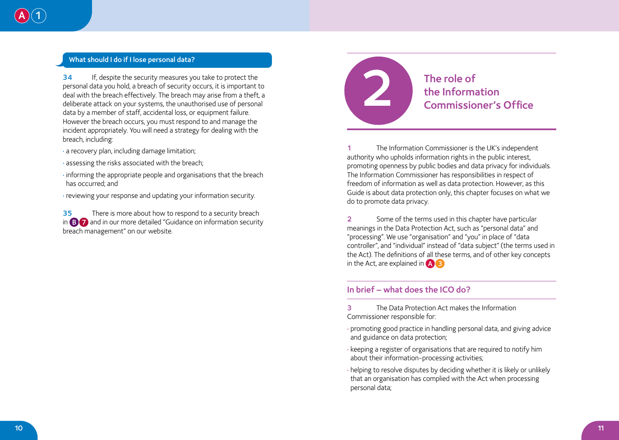## What should I do if I lose personal data?

34 If, despite the security measures you take to protect the personal data you hold, a breach of security occurs, it is important to deal with the breach effectively. The breach may arise from a theft, a deliberate attack on your systems, the unauthorised use of personal data by a member of staff, accidental loss, or equipment failure. However the breach occurs, you must respond to and manage the incident appropriately. You will need a strategy for dealing with the breach, including:

- a recovery plan, including damage limitation;
- assessing the risks associated with the breach;
- informing the appropriate people and organisations that the breach has occurred; and
- reviewing your response and updating your information security.

35 There is more about how to respond to a security breach in  $\bf{B}$   $\bf{7}$  and in our more detailed "Guidance on information security breach management" on our website.



1 The Information Commissioner is the UK's independent authority who upholds information rights in the public interest, promoting openness by public bodies and data privacy for individuals. The Information Commissioner has responsibilities in respect of freedom of information as well as data protection. However, as this Guide is about data protection only, this chapter focuses on what we do to promote data privacy.

2 Some of the terms used in this chapter have particular meanings in the Data Protection Act, such as "personal data" and "processing". We use "organisation" and "you" in place of "data controller", and "individual" instead of "data subject" (the terms used in the Act). The definitions of all these terms, and of other key concepts in the Act, are explained in  $\bigcirc$  3

## In brief – what does the ICO do?

3 The Data Protection Act makes the Information Commissioner responsible for:

- promoting good practice in handling personal data, and giving advice and guidance on data protection;
- keeping a register of organisations that are required to notify him about their information-processing activities;
- helping to resolve disputes by deciding whether it is likely or unlikely that an organisation has complied with the Act when processing personal data;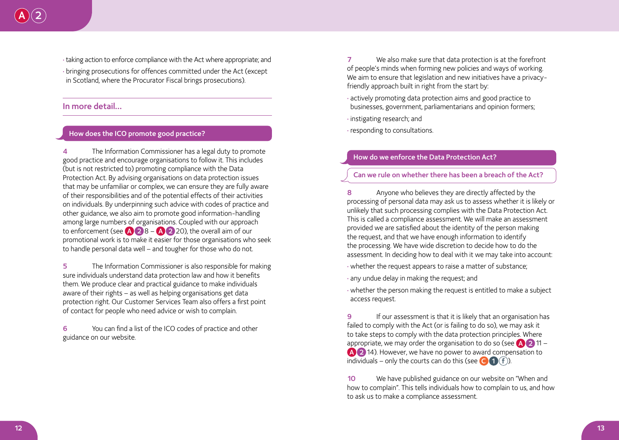- taking action to enforce compliance with the Act where appropriate; and
- bringing prosecutions for offences committed under the Act (except in Scotland, where the Procurator Fiscal brings prosecutions).

#### In more detail…

#### How does the ICO promote good practice?

4 The Information Commissioner has a legal duty to promote good practice and encourage organisations to follow it. This includes (but is not restricted to) promoting compliance with the Data Protection Act. By advising organisations on data protection issues that may be unfamiliar or complex, we can ensure they are fully aware of their responsibilities and of the potential effects of their activities on individuals. By underpinning such advice with codes of practice and other guidance, we also aim to promote good information-handling among large numbers of organisations. Coupled with our approach to enforcement (see  $\bigwedge$  2 8 –  $\bigwedge$  2 20), the overall aim of our promotional work is to make it easier for those organisations who seek to handle personal data well – and tougher for those who do not.

5 The Information Commissioner is also responsible for making sure individuals understand data protection law and how it benefits them. We produce clear and practical guidance to make individuals aware of their rights – as well as helping organisations get data protection right. Our Customer Services Team also offers a first point of contact for people who need advice or wish to complain.

6 You can find a list of the ICO codes of practice and other guidance on our website.

7 We also make sure that data protection is at the forefront of people's minds when forming new policies and ways of working. We aim to ensure that legislation and new initiatives have a privacyfriendly approach built in right from the start by:

- actively promoting data protection aims and good practice to businesses, government, parliamentarians and opinion formers;
- instigating research; and
- responding to consultations.

## How do we enforce the Data Protection Act?

#### Can we rule on whether there has been a breach of the Act?

8 Anyone who believes they are directly affected by the processing of personal data may ask us to assess whether it is likely or unlikely that such processing complies with the Data Protection Act. This is called a compliance assessment. We will make an assessment provided we are satisfied about the identity of the person making the request, and that we have enough information to identify the processing. We have wide discretion to decide how to do the assessment. In deciding how to deal with it we may take into account:

- whether the request appears to raise a matter of substance;
- any undue delay in making the request; and
- whether the person making the request is entitled to make a subject access request.

9 If our assessment is that it is likely that an organisation has failed to comply with the Act (or is failing to do so), we may ask it to take steps to comply with the data protection principles. Where appropriate, we may order the organisation to do so (see  $\bigcap_{n=1}^{\infty}$  11 – **14**). However, we have no power to award compensation to individuals – only the courts can do this (see  $\bigcirc$   $\bigcirc$  ).

10 We have published guidance on our website on "When and how to complain". This tells individuals how to complain to us, and how to ask us to make a compliance assessment.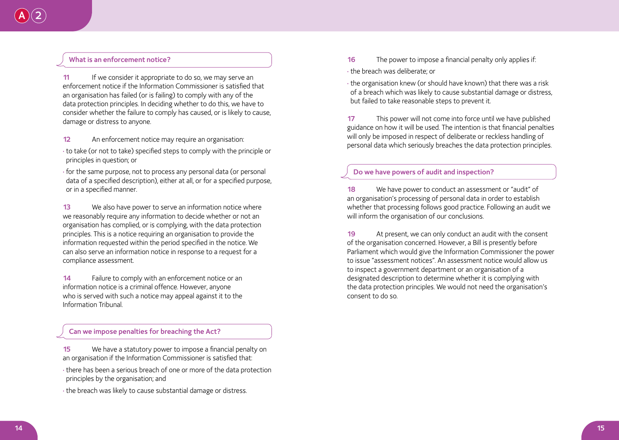#### What is an enforcement notice?

11 If we consider it appropriate to do so, we may serve an enforcement notice if the Information Commissioner is satisfied that an organisation has failed (or is failing) to comply with any of the data protection principles. In deciding whether to do this, we have to consider whether the failure to comply has caused, or is likely to cause, damage or distress to anyone.

- 12 An enforcement notice may require an organisation:
- to take (or not to take) specified steps to comply with the principle or principles in question; or
- for the same purpose, not to process any personal data (or personal data of a specified description), either at all, or for a specified purpose, or in a specified manner.

13 We also have power to serve an information notice where we reasonably require any information to decide whether or not an organisation has complied, or is complying, with the data protection principles. This is a notice requiring an organisation to provide the information requested within the period specified in the notice. We can also serve an information notice in response to a request for a compliance assessment.

14 Failure to comply with an enforcement notice or an information notice is a criminal offence. However, anyone who is served with such a notice may appeal against it to the Information Tribunal.

## Can we impose penalties for breaching the Act?

15 We have a statutory power to impose a financial penalty on an organisation if the Information Commissioner is satisfied that:

- there has been a serious breach of one or more of the data protection principles by the organisation; and
- the breach was likely to cause substantial damage or distress.

16 The power to impose a financial penalty only applies if:

#### • the breach was deliberate; or

• the organisation knew (or should have known) that there was a risk of a breach which was likely to cause substantial damage or distress, but failed to take reasonable steps to prevent it.

17 This power will not come into force until we have published guidance on how it will be used. The intention is that financial penalties will only be imposed in respect of deliberate or reckless handling of personal data which seriously breaches the data protection principles.

#### Do we have powers of audit and inspection?

18 We have power to conduct an assessment or "audit" of an organisation's processing of personal data in order to establish whether that processing follows good practice. Following an audit we will inform the organisation of our conclusions.

19 At present, we can only conduct an audit with the consent of the organisation concerned. However, a Bill is presently before Parliament which would give the Information Commissioner the power to issue "assessment notices". An assessment notice would allow us to inspect a government department or an organisation of a designated description to determine whether it is complying with the data protection principles. We would not need the organisation's consent to do so.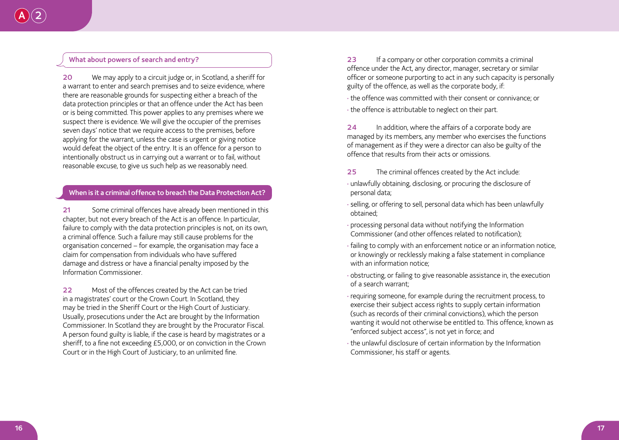## What about powers of search and entry?

20 We may apply to a circuit judge or, in Scotland, a sheriff for a warrant to enter and search premises and to seize evidence, where there are reasonable grounds for suspecting either a breach of the data protection principles or that an offence under the Act has been or is being committed. This power applies to any premises where we suspect there is evidence. We will give the occupier of the premises seven days' notice that we require access to the premises, before applying for the warrant, unless the case is urgent or giving notice would defeat the object of the entry. It is an offence for a person to intentionally obstruct us in carrying out a warrant or to fail, without reasonable excuse, to give us such help as we reasonably need.

## When is it a criminal offence to breach the Data Protection Act?

21 Some criminal offences have already been mentioned in this chapter, but not every breach of the Act is an offence. In particular, failure to comply with the data protection principles is not, on its own, a criminal offence. Such a failure may still cause problems for the organisation concerned – for example, the organisation may face a claim for compensation from individuals who have suffered damage and distress or have a financial penalty imposed by the Information Commissioner.

22 Most of the offences created by the Act can be tried in a magistrates' court or the Crown Court. In Scotland, they may be tried in the Sheriff Court or the High Court of Justiciary. Usually, prosecutions under the Act are brought by the Information Commissioner. In Scotland they are brought by the Procurator Fiscal. A person found guilty is liable, if the case is heard by magistrates or a sheriff, to a fine not exceeding £5,000, or on conviction in the Crown Court or in the High Court of Justiciary, to an unlimited fine.

23 If a company or other corporation commits a criminal offence under the Act, any director, manager, secretary or similar officer or someone purporting to act in any such capacity is personally guilty of the offence, as well as the corporate body, if:

• the offence was committed with their consent or connivance; or • the offence is attributable to neglect on their part.

24 In addition, where the affairs of a corporate body are managed by its members, any member who exercises the functions of management as if they were a director can also be guilty of the offence that results from their acts or omissions.

- 25 The criminal offences created by the Act include:
- unlawfully obtaining, disclosing, or procuring the disclosure of personal data;
- selling, or offering to sell, personal data which has been unlawfully obtained;
- processing personal data without notifying the Information Commissioner (and other offences related to notification);
- failing to comply with an enforcement notice or an information notice, or knowingly or recklessly making a false statement in compliance with an information notice;
- obstructing, or failing to give reasonable assistance in, the execution of a search warrant;
- requiring someone, for example during the recruitment process, to exercise their subject access rights to supply certain information (such as records of their criminal convictions), which the person wanting it would not otherwise be entitled to. This offence, known as "enforced subject access", is not yet in force; and
- the unlawful disclosure of certain information by the Information Commissioner, his staff or agents.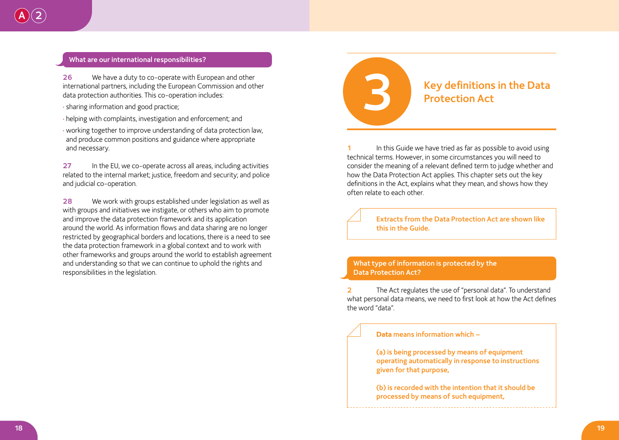#### What are our international responsibilities?

26 We have a duty to co-operate with European and other international partners, including the European Commission and other data protection authorities. This co-operation includes:

- sharing information and good practice;
- helping with complaints, investigation and enforcement; and
- working together to improve understanding of data protection law, and produce common positions and guidance where appropriate and necessary.

27 In the EU, we co-operate across all areas, including activities related to the internal market; justice, freedom and security; and police and judicial co-operation.

28 We work with groups established under legislation as well as with groups and initiatives we instigate, or others who aim to promote and improve the data protection framework and its application around the world. As information flows and data sharing are no longer restricted by geographical borders and locations, there is a need to see the data protection framework in a global context and to work with other frameworks and groups around the world to establish agreement and understanding so that we can continue to uphold the rights and responsibilities in the legislation.

# Key definitions in the Data<br>Protection Act

In this Guide we have tried as far as possible to avoid using technical terms. However, in some circumstances you will need to consider the meaning of a relevant defined term to judge whether and how the Data Protection Act applies. This chapter sets out the key definitions in the Act, explains what they mean, and shows how they often relate to each other.

> Extracts from the Data Protection Act are shown like this in the Guide.

#### What type of information is protected by the Data Protection Act?

The Act regulates the use of "personal data". To understand what personal data means, we need to first look at how the Act defines the word "data".

#### **Data** means information which –

(a) is being processed by means of equipment operating automatically in response to instructions given for that purpose,

(b) is recorded with the intention that it should be processed by means of such equipment,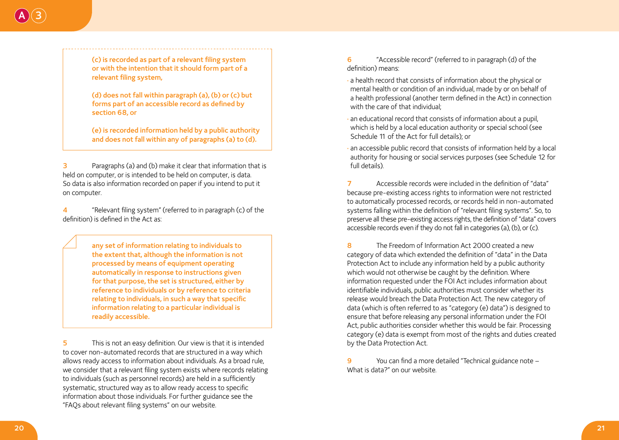(c) is recorded as part of a relevant filing system or with the intention that it should form part of a relevant filing system,

(d) does not fall within paragraph (a), (b) or (c) but forms part of an accessible record as defined by section 68, or

(e) is recorded information held by a public authority and does not fall within any of paragraphs (a) to (d).

3 Paragraphs (a) and (b) make it clear that information that is held on computer, or is intended to be held on computer, is data. So data is also information recorded on paper if you intend to put it on computer.

4 "Relevant filing system" (referred to in paragraph (c) of the definition) is defined in the Act as:

> any set of information relating to individuals to the extent that, although the information is not processed by means of equipment operating automatically in response to instructions given for that purpose, the set is structured, either by reference to individuals or by reference to criteria relating to individuals, in such a way that specific information relating to a particular individual is readily accessible.

5 This is not an easy definition. Our view is that it is intended to cover non-automated records that are structured in a way which allows ready access to information about individuals. As a broad rule, we consider that a relevant filing system exists where records relating to individuals (such as personnel records) are held in a sufficiently systematic, structured way as to allow ready access to specific information about those individuals. For further guidance see the "FAQs about relevant filing systems" on our website.

6 "Accessible record" (referred to in paragraph (d) of the definition) means:

- a health record that consists of information about the physical or mental health or condition of an individual, made by or on behalf of a health professional (another term defined in the Act) in connection with the care of that individual;
- an educational record that consists of information about a pupil, which is held by a local education authority or special school (see Schedule 11 of the Act for full details); or
- an accessible public record that consists of information held by a local authority for housing or social services purposes (see Schedule 12 for full details).

7 Accessible records were included in the definition of "data" because pre-existing access rights to information were not restricted to automatically processed records, or records held in non-automated systems falling within the definition of "relevant filing systems". So, to preserve all these pre-existing access rights, the definition of "data" covers accessible records even if they do not fall in categories (a), (b), or (c).

8 The Freedom of Information Act 2000 created a new category of data which extended the definition of "data" in the Data Protection Act to include any information held by a public authority which would not otherwise be caught by the definition. Where information requested under the FOI Act includes information about identifiable individuals, public authorities must consider whether its release would breach the Data Protection Act. The new category of data (which is often referred to as "category (e) data") is designed to ensure that before releasing any personal information under the FOI Act, public authorities consider whether this would be fair. Processing category (e) data is exempt from most of the rights and duties created by the Data Protection Act.

You can find a more detailed "Technical guidance note – What is data?" on our website.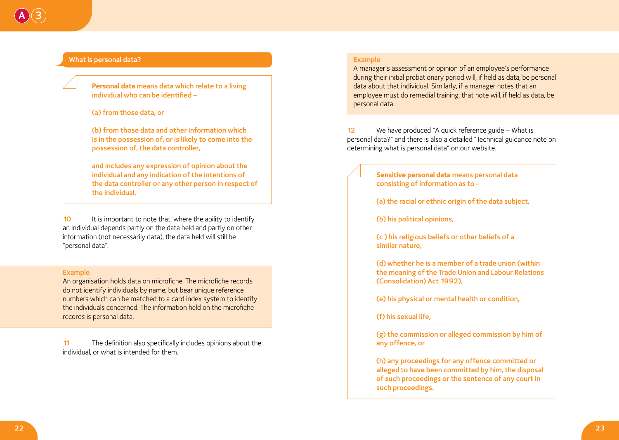## What is personal data?

**Personal data** means data which relate to a living individual who can be identified –

(a) from those data, or

(b) from those data and other information which is in the possession of, or is likely to come into the possession of, the data controller,

and includes any expression of opinion about the individual and any indication of the intentions of the data controller or any other person in respect of the individual.

10 It is important to note that, where the ability to identify an individual depends partly on the data held and partly on other information (not necessarily data), the data held will still be "personal data".

#### Example

An organisation holds data on microfiche. The microfiche records do not identify individuals by name, but bear unique reference numbers which can be matched to a card index system to identify the individuals concerned. The information held on the microfiche records is personal data.

11 The definition also specifically includes opinions about the individual, or what is intended for them.

#### Example

A manager's assessment or opinion of an employee's performance during their initial probationary period will, if held as data, be personal data about that individual. Similarly, if a manager notes that an employee must do remedial training, that note will, if held as data, be personal data.

12 We have produced "A quick reference guide – What is personal data?" and there is also a detailed "Technical guidance note on determining what is personal data" on our website.

> **Sensitive personal data** means personal data consisting of information as to -

(a) the racial or ethnic origin of the data subject,

(b) his political opinions,

(c ) his religious beliefs or other beliefs of a similar nature,

(d) whether he is a member of a trade union (within the meaning of the Trade Union and Labour Relations (Consolidation) Act 1992),

(e) his physical or mental health or condition,

(f) his sexual life,

(g) the commission or alleged commission by him of any offence, or

(h) any proceedings for any offence committed or alleged to have been committed by him, the disposal of such proceedings or the sentence of any court in such proceedings.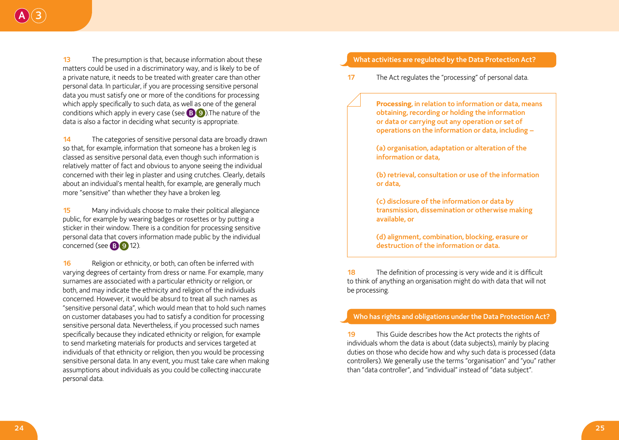13 The presumption is that, because information about these matters could be used in a discriminatory way, and is likely to be of a private nature, it needs to be treated with greater care than other personal data. In particular, if you are processing sensitive personal data you must satisfy one or more of the conditions for processing which apply specifically to such data, as well as one of the general conditions which apply in every case (see  $\bigcirc$  ). The nature of the data is also a factor in deciding what security is appropriate.

14 The categories of sensitive personal data are broadly drawn so that, for example, information that someone has a broken leg is classed as sensitive personal data, even though such information is relatively matter of fact and obvious to anyone seeing the individual concerned with their leg in plaster and using crutches. Clearly, details about an individual's mental health, for example, are generally much more "sensitive" than whether they have a broken leg.

15 Many individuals choose to make their political allegiance public, for example by wearing badges or rosettes or by putting a sticker in their window. There is a condition for processing sensitive personal data that covers information made public by the individual concerned (see  $\mathbf{B}$   $\mathbf{9}$  12).

16 Religion or ethnicity, or both, can often be inferred with varying degrees of certainty from dress or name. For example, many surnames are associated with a particular ethnicity or religion, or both, and may indicate the ethnicity and religion of the individuals concerned. However, it would be absurd to treat all such names as "sensitive personal data", which would mean that to hold such names on customer databases you had to satisfy a condition for processing sensitive personal data. Nevertheless, if you processed such names specifically because they indicated ethnicity or religion, for example to send marketing materials for products and services targeted at individuals of that ethnicity or religion, then you would be processing sensitive personal data. In any event, you must take care when making assumptions about individuals as you could be collecting inaccurate personal data.

## What activities are regulated by the Data Protection Act?

17 The Act regulates the "processing" of personal data.

**Processing**, in relation to information or data, means obtaining, recording or holding the information or data or carrying out any operation or set of operations on the information or data, including –

(a) organisation, adaptation or alteration of the information or data,

(b) retrieval, consultation or use of the information or data,

(c) disclosure of the information or data by transmission, dissemination or otherwise making available, or

(d) alignment, combination, blocking, erasure or destruction of the information or data.

18 The definition of processing is very wide and it is difficult to think of anything an organisation might do with data that will not be processing.

## Who has rights and obligations under the Data Protection Act?

19 This Guide describes how the Act protects the rights of individuals whom the data is about (data subjects), mainly by placing duties on those who decide how and why such data is processed (data controllers). We generally use the terms "organisation" and "you" rather than "data controller", and "individual" instead of "data subject".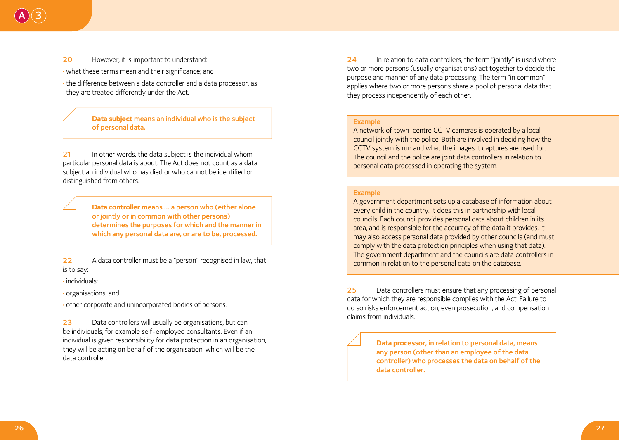

20 However, it is important to understand:

• what these terms mean and their significance; and

• the difference between a data controller and a data processor, as they are treated differently under the Act.

#### **Data subject** means an individual who is the subject of personal data.

21 In other words, the data subject is the individual whom particular personal data is about. The Act does not count as a data subject an individual who has died or who cannot be identified or distinguished from others.

> **Data controller** means … a person who (either alone or jointly or in common with other persons) determines the purposes for which and the manner in which any personal data are, or are to be, processed.

22 A data controller must be a "person" recognised in law, that is to say:

• individuals;

• organisations; and

• other corporate and unincorporated bodies of persons.

23 Data controllers will usually be organisations, but can be individuals, for example self-employed consultants. Even if an individual is given responsibility for data protection in an organisation, they will be acting on behalf of the organisation, which will be the data controller.

24 In relation to data controllers, the term "jointly" is used where two or more persons (usually organisations) act together to decide the purpose and manner of any data processing. The term "in common" applies where two or more persons share a pool of personal data that they process independently of each other.

#### Example

A network of town-centre CCTV cameras is operated by a local council jointly with the police. Both are involved in deciding how the CCTV system is run and what the images it captures are used for. The council and the police are joint data controllers in relation to personal data processed in operating the system.

#### Example

A government department sets up a database of information about every child in the country. It does this in partnership with local councils. Each council provides personal data about children in its area, and is responsible for the accuracy of the data it provides. It may also access personal data provided by other councils (and must comply with the data protection principles when using that data). The government department and the councils are data controllers in common in relation to the personal data on the database.

25 Data controllers must ensure that any processing of personal data for which they are responsible complies with the Act. Failure to do so risks enforcement action, even prosecution, and compensation claims from individuals.

> **Data processor**, in relation to personal data, means any person (other than an employee of the data controller) who processes the data on behalf of the data controller.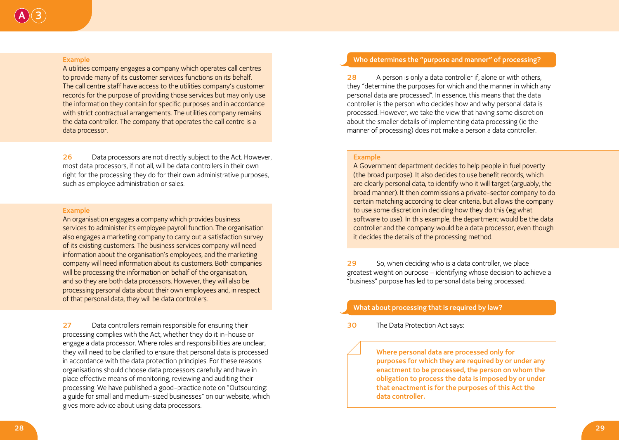

#### Example

A utilities company engages a company which operates call centres to provide many of its customer services functions on its behalf. The call centre staff have access to the utilities company's customer records for the purpose of providing those services but may only use the information they contain for specific purposes and in accordance with strict contractual arrangements. The utilities company remains the data controller. The company that operates the call centre is a data processor.

26 Data processors are not directly subject to the Act. However, most data processors, if not all, will be data controllers in their own right for the processing they do for their own administrative purposes, such as employee administration or sales.

#### Example

An organisation engages a company which provides business services to administer its employee payroll function. The organisation also engages a marketing company to carry out a satisfaction survey of its existing customers. The business services company will need information about the organisation's employees, and the marketing company will need information about its customers. Both companies will be processing the information on behalf of the organisation. and so they are both data processors. However, they will also be processing personal data about their own employees and, in respect of that personal data, they will be data controllers.

27 Data controllers remain responsible for ensuring their processing complies with the Act, whether they do it in-house or engage a data processor. Where roles and responsibilities are unclear, they will need to be clarified to ensure that personal data is processed in accordance with the data protection principles. For these reasons organisations should choose data processors carefully and have in place effective means of monitoring, reviewing and auditing their processing. We have published a good-practice note on "Outsourcing: a guide for small and medium-sized businesses" on our website, which gives more advice about using data processors.

## Who determines the "purpose and manner" of processing?

28 A person is only a data controller if, alone or with others, they "determine the purposes for which and the manner in which any personal data are processed". In essence, this means that the data controller is the person who decides how and why personal data is processed. However, we take the view that having some discretion about the smaller details of implementing data processing (ie the manner of processing) does not make a person a data controller.

#### Example

A Government department decides to help people in fuel poverty (the broad purpose). It also decides to use benefit records, which are clearly personal data, to identify who it will target (arguably, the broad manner). It then commissions a private-sector company to do certain matching according to clear criteria, but allows the company to use some discretion in deciding how they do this (eg what software to use). In this example, the department would be the data controller and the company would be a data processor, even though it decides the details of the processing method.

29 So, when deciding who is a data controller, we place greatest weight on purpose – identifying whose decision to achieve a "business" purpose has led to personal data being processed.

#### What about processing that is required by law?

#### 30 The Data Protection Act says:

Where personal data are processed only for purposes for which they are required by or under any enactment to be processed, the person on whom the obligation to process the data is imposed by or under that enactment is for the purposes of this Act the data controller.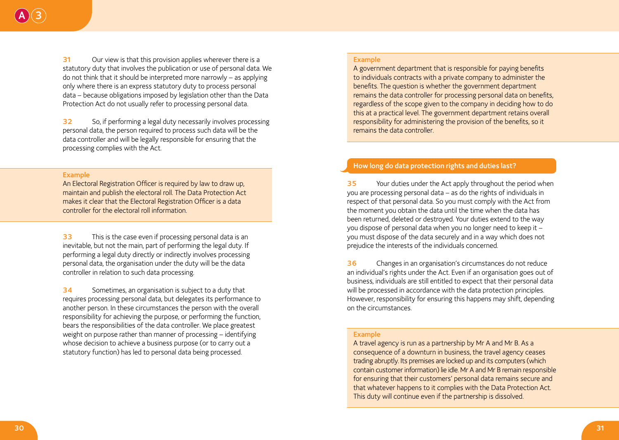31 Our view is that this provision applies wherever there is a statutory duty that involves the publication or use of personal data. We do not think that it should be interpreted more narrowly – as applying only where there is an express statutory duty to process personal data – because obligations imposed by legislation other than the Data Protection Act do not usually refer to processing personal data.

32 So, if performing a legal duty necessarily involves processing personal data, the person required to process such data will be the data controller and will be legally responsible for ensuring that the processing complies with the Act.

#### Example

An Electoral Registration Officer is required by law to draw up, maintain and publish the electoral roll. The Data Protection Act makes it clear that the Electoral Registration Officer is a data controller for the electoral roll information.

33 This is the case even if processing personal data is an inevitable, but not the main, part of performing the legal duty. If performing a legal duty directly or indirectly involves processing personal data, the organisation under the duty will be the data controller in relation to such data processing.

34 Sometimes, an organisation is subject to a duty that requires processing personal data, but delegates its performance to another person. In these circumstances the person with the overall responsibility for achieving the purpose, or performing the function, bears the responsibilities of the data controller. We place greatest weight on purpose rather than manner of processing – identifying whose decision to achieve a business purpose (or to carry out a statutory function) has led to personal data being processed.

#### Example

A government department that is responsible for paying benefits to individuals contracts with a private company to administer the benefits. The question is whether the government department remains the data controller for processing personal data on benefits, regardless of the scope given to the company in deciding how to do this at a practical level. The government department retains overall responsibility for administering the provision of the benefits, so it remains the data controller.

## How long do data protection rights and duties last?

35 Your duties under the Act apply throughout the period when you are processing personal data – as do the rights of individuals in respect of that personal data. So you must comply with the Act from the moment you obtain the data until the time when the data has been returned, deleted or destroyed. Your duties extend to the way you dispose of personal data when you no longer need to keep it – you must dispose of the data securely and in a way which does not prejudice the interests of the individuals concerned.

36 Changes in an organisation's circumstances do not reduce an individual's rights under the Act. Even if an organisation goes out of business, individuals are still entitled to expect that their personal data will be processed in accordance with the data protection principles. However, responsibility for ensuring this happens may shift, depending on the circumstances.

#### Example

A travel agency is run as a partnership by Mr A and Mr B. As a consequence of a downturn in business, the travel agency ceases trading abruptly. Its premises are locked up and its computers (which contain customer information) lie idle. Mr A and Mr B remain responsible for ensuring that their customers' personal data remains secure and that whatever happens to it complies with the Data Protection Act. This duty will continue even if the partnership is dissolved.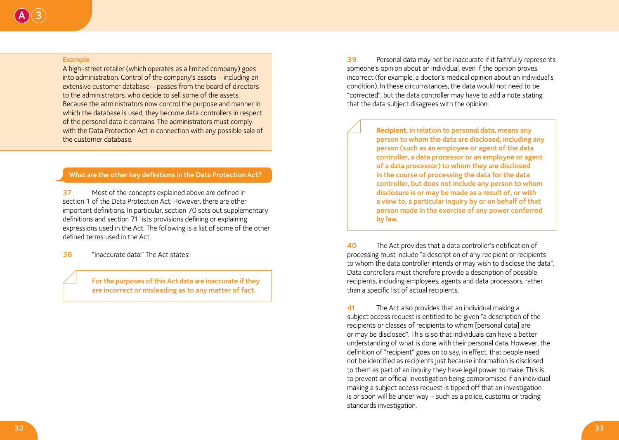

#### Example

A high-street retailer (which operates as a limited company) goes into administration. Control of the company's assets – including an extensive customer database – passes from the board of directors to the administrators, who decide to sell some of the assets. Because the administrators now control the purpose and manner in which the database is used, they become data controllers in respect of the personal data it contains. The administrators must comply with the Data Protection Act in connection with any possible sale of the customer database.

#### What are the other key definitions in the Data Protection Act?

37 Most of the concepts explained above are defined in section 1 of the Data Protection Act. However, there are other important definitions. In particular, section 70 sets out supplementary definitions and section 71 lists provisions defining or explaining expressions used in the Act. The following is a list of some of the other defined terms used in the Act.

38 "Inaccurate data" The Act states:

For the purposes of this Act data are inaccurate if they are incorrect or misleading as to any matter of fact.

39 Personal data may not be inaccurate if it faithfully represents someone's opinion about an individual, even if the opinion proves incorrect (for example, a doctor's medical opinion about an individual's condition). In these circumstances, the data would not need to be "corrected", but the data controller may have to add a note stating that the data subject disagrees with the opinion.

> **Recipient**, in relation to personal data, means any person to whom the data are disclosed, including any person (such as an employee or agent of the data controller, a data processor or an employee or agent of a data processor) to whom they are disclosed in the course of processing the data for the data controller, but does not include any person to whom disclosure is or may be made as a result of, or with a view to, a particular inquiry by or on behalf of that person made in the exercise of any power conferred by law.

40 The Act provides that a data controller's notification of processing must include "a description of any recipient or recipients to whom the data controller intends or may wish to disclose the data". Data controllers must therefore provide a description of possible recipients, including employees, agents and data processors, rather than a specific list of actual recipients.

41 The Act also provides that an individual making a subject access request is entitled to be given "a description of the recipients or classes of recipients to whom [personal data] are or may be disclosed". This is so that individuals can have a better understanding of what is done with their personal data. However, the definition of "recipient" goes on to say, in effect, that people need not be identified as recipients just because information is disclosed to them as part of an inquiry they have legal power to make. This is to prevent an official investigation being compromised if an individual making a subject access request is tipped off that an investigation is or soon will be under way – such as a police, customs or trading standards investigation.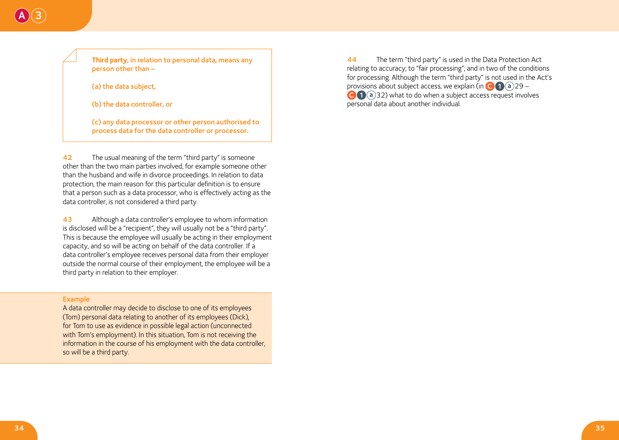**Third party**, in relation to personal data, means any person other than –

(a) the data subject,

(b) the data controller, or

(c) any data processor or other person authorised to process data for the data controller or processor.

42 The usual meaning of the term "third party" is someone other than the two main parties involved, for example someone other than the husband and wife in divorce proceedings. In relation to data protection, the main reason for this particular definition is to ensure that a person such as a data processor, who is effectively acting as the data controller, is not considered a third party.

43 Although a data controller's employee to whom information is disclosed will be a "recipient", they will usually not be a "third party". This is because the employee will usually be acting in their employment capacity, and so will be acting on behalf of the data controller. If a data controller's employee receives personal data from their employer outside the normal course of their employment, the employee will be a third party in relation to their employer.

#### Example

A data controller may decide to disclose to one of its employees (Tom) personal data relating to another of its employees (Dick), for Tom to use as evidence in possible legal action (unconnected with Tom's employment). In this situation, Tom is not receiving the information in the course of his employment with the data controller, so will be a third party.

44 The term "third party" is used in the Data Protection Act relating to accuracy; to "fair processing"; and in two of the conditions for processing. Although the term "third party" is not used in the Act's provisions about subject access, we explain (in  $\bigodot$   $\bigodot$   $\bigodot$   $\bigodot$  29 – **32**) what to do when a subject access request involves personal data about another individual.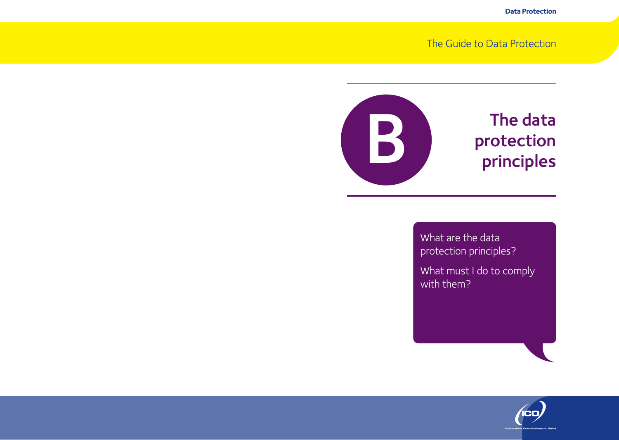The Guide to Data Protection



What are the data protection principles?

What must I do to comply with them?

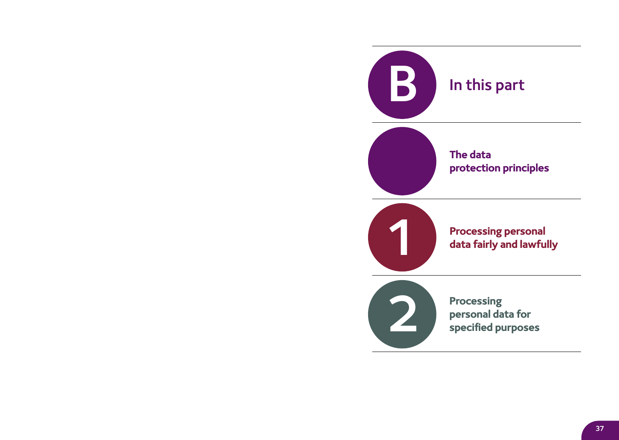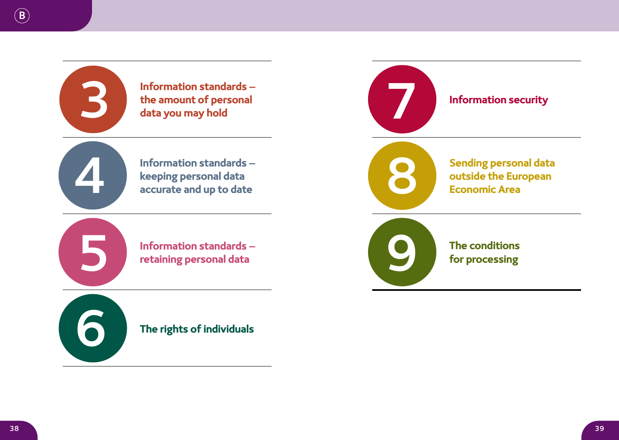

**Information standards – the amount of personal data you may hold**

**Information standards – keeping personal data accurate and up to date**

5

**Information standards – retaining personal data**

6



## **The rights of individuals**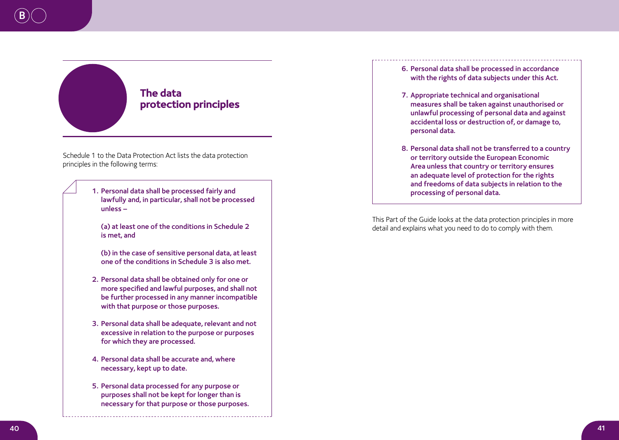## **The data protection principles**

Schedule 1 to the Data Protection Act lists the data protection principles in the following terms:

> 1. Personal data shall be processed fairly and lawfully and, in particular, shall not be processed unless –

(a) at least one of the conditions in Schedule 2 is met, and

(b) in the case of sensitive personal data, at least one of the conditions in Schedule 3 is also met.

- 2. Personal data shall be obtained only for one or more specified and lawful purposes, and shall not be further processed in any manner incompatible with that purpose or those purposes.
- 3. Personal data shall be adequate, relevant and not excessive in relation to the purpose or purposes for which they are processed.
- 4. Personal data shall be accurate and, where necessary, kept up to date.
- 5. Personal data processed for any purpose or purposes shall not be kept for longer than is necessary for that purpose or those purposes.

6. Personal data shall be processed in accordance with the rights of data subjects under this Act.

- 7. Appropriate technical and organisational measures shall be taken against unauthorised or unlawful processing of personal data and against accidental loss or destruction of, or damage to, personal data.
- 8. Personal data shall not be transferred to a country or territory outside the European Economic Area unless that country or territory ensures an adequate level of protection for the rights and freedoms of data subjects in relation to the processing of personal data.

This Part of the Guide looks at the data protection principles in more detail and explains what you need to do to comply with them.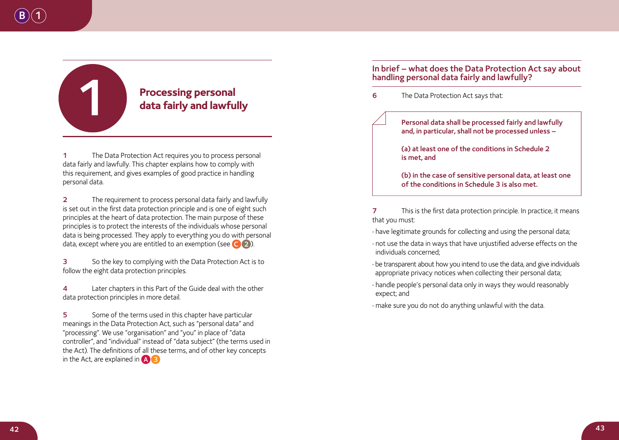# **Processing personal data fairly and lawfully data fairly and lawfully**

1 The Data Protection Act requires you to process personal data fairly and lawfully. This chapter explains how to comply with this requirement, and gives examples of good practice in handling personal data.

2 The requirement to process personal data fairly and lawfully is set out in the first data protection principle and is one of eight such principles at the heart of data protection. The main purpose of these principles is to protect the interests of the individuals whose personal data is being processed. They apply to everything you do with personal data, except where you are entitled to an exemption (see  $\bigcirc$  2).

3 So the key to complying with the Data Protection Act is to follow the eight data protection principles.

4 Later chapters in this Part of the Guide deal with the other data protection principles in more detail.

5 Some of the terms used in this chapter have particular meanings in the Data Protection Act, such as "personal data" and "processing". We use "organisation" and "you" in place of "data controller", and "individual" instead of "data subject" (the terms used in the Act). The definitions of all these terms, and of other key concepts in the Act, are explained in  $\bigcirc$  3

## In brief – what does the Data Protection Act say about handling personal data fairly and lawfully?

6 The Data Protection Act says that:

Personal data shall be processed fairly and lawfully and, in particular, shall not be processed unless –

(a) at least one of the conditions in Schedule 2 is met, and

(b) in the case of sensitive personal data, at least one of the conditions in Schedule 3 is also met.

7 This is the first data protection principle. In practice, it means that you must:

- have legitimate grounds for collecting and using the personal data;
- not use the data in ways that have unjustified adverse effects on the individuals concerned;
- be transparent about how you intend to use the data, and give individuals appropriate privacy notices when collecting their personal data;
- handle people's personal data only in ways they would reasonably expect; and
- make sure you do not do anything unlawful with the data.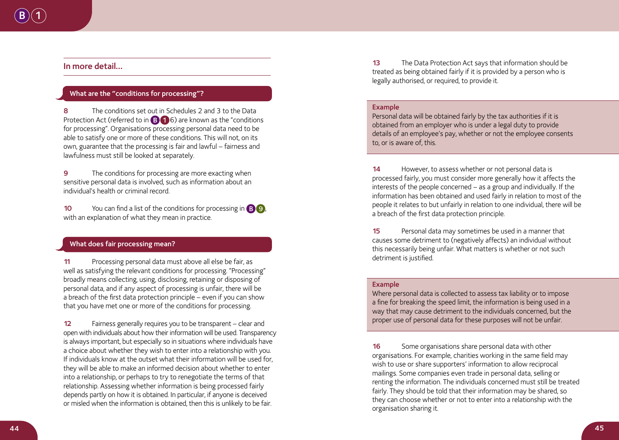## In more detail…

## What are the "conditions for processing"?

8 The conditions set out in Schedules 2 and 3 to the Data Protection Act (referred to in  $\mathbf{B}$  (1) 6) are known as the "conditions for processing". Organisations processing personal data need to be able to satisfy one or more of these conditions. This will not, on its own, guarantee that the processing is fair and lawful – fairness and lawfulness must still be looked at separately.

9 The conditions for processing are more exacting when sensitive personal data is involved, such as information about an individual's health or criminal record.

10 You can find a list of the conditions for processing in  $\mathbf{B} \mathbf{Q}$ , with an explanation of what they mean in practice.

#### What does fair processing mean?

11 Processing personal data must above all else be fair, as well as satisfying the relevant conditions for processing. "Processing" broadly means collecting, using, disclosing, retaining or disposing of personal data, and if any aspect of processing is unfair, there will be a breach of the first data protection principle – even if you can show that you have met one or more of the conditions for processing.

12 Fairness generally requires you to be transparent – clear and open with individuals about how their information will be used. Transparency is always important, but especially so in situations where individuals have a choice about whether they wish to enter into a relationship with you. If individuals know at the outset what their information will be used for, they will be able to make an informed decision about whether to enter into a relationship, or perhaps to try to renegotiate the terms of that relationship. Assessing whether information is being processed fairly depends partly on how it is obtained. In particular, if anyone is deceived or misled when the information is obtained, then this is unlikely to be fair.

13 The Data Protection Act says that information should be treated as being obtained fairly if it is provided by a person who is legally authorised, or required, to provide it.

#### Example

Personal data will be obtained fairly by the tax authorities if it is obtained from an employer who is under a legal duty to provide details of an employee's pay, whether or not the employee consents to, or is aware of, this.

14 However, to assess whether or not personal data is processed fairly, you must consider more generally how it affects the interests of the people concerned – as a group and individually. If the information has been obtained and used fairly in relation to most of the people it relates to but unfairly in relation to one individual, there will be a breach of the first data protection principle.

15 Personal data may sometimes be used in a manner that causes some detriment to (negatively affects) an individual without this necessarily being unfair. What matters is whether or not such detriment is justified.

#### Example

Where personal data is collected to assess tax liability or to impose a fine for breaking the speed limit, the information is being used in a way that may cause detriment to the individuals concerned, but the proper use of personal data for these purposes will not be unfair.

16 Some organisations share personal data with other organisations. For example, charities working in the same field may wish to use or share supporters' information to allow reciprocal mailings. Some companies even trade in personal data, selling or renting the information. The individuals concerned must still be treated fairly. They should be told that their information may be shared, so they can choose whether or not to enter into a relationship with the organisation sharing it.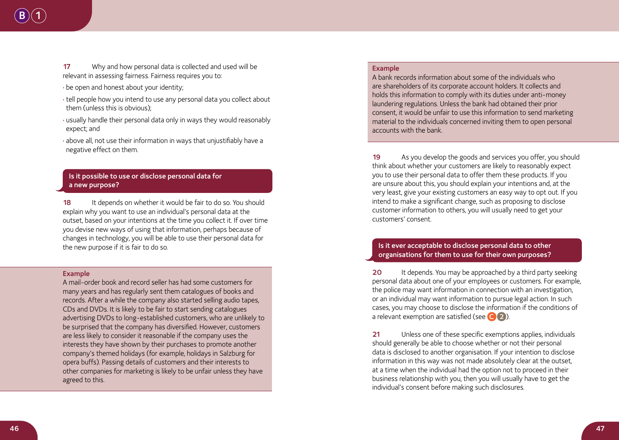

- 17 Why and how personal data is collected and used will be relevant in assessing fairness. Fairness requires you to:
- be open and honest about your identity;
- tell people how you intend to use any personal data you collect about them (unless this is obvious);
- usually handle their personal data only in ways they would reasonably expect; and
- above all, not use their information in ways that unjustifiably have a negative effect on them.

## Is it possible to use or disclose personal data for a new purpose?

18 It depends on whether it would be fair to do so. You should explain why you want to use an individual's personal data at the outset, based on your intentions at the time you collect it. If over time you devise new ways of using that information, perhaps because of changes in technology, you will be able to use their personal data for the new purpose if it is fair to do so.

#### Example

A mail-order book and record seller has had some customers for many years and has regularly sent them catalogues of books and records. After a while the company also started selling audio tapes, CDs and DVDs. It is likely to be fair to start sending catalogues advertising DVDs to long-established customers, who are unlikely to be surprised that the company has diversified. However, customers are less likely to consider it reasonable if the company uses the interests they have shown by their purchases to promote another company's themed holidays (for example, holidays in Salzburg for opera buffs). Passing details of customers and their interests to other companies for marketing is likely to be unfair unless they have agreed to this.

#### Example

A bank records information about some of the individuals who are shareholders of its corporate account holders. It collects and holds this information to comply with its duties under anti-money laundering regulations. Unless the bank had obtained their prior consent, it would be unfair to use this information to send marketing material to the individuals concerned inviting them to open personal accounts with the bank.

19 As you develop the goods and services you offer, you should think about whether your customers are likely to reasonably expect you to use their personal data to offer them these products. If you are unsure about this, you should explain your intentions and, at the very least, give your existing customers an easy way to opt out. If you intend to make a significant change, such as proposing to disclose customer information to others, you will usually need to get your customers' consent.

#### Is it ever acceptable to disclose personal data to other organisations for them to use for their own purposes?

20 It depends. You may be approached by a third party seeking personal data about one of your employees or customers. For example, the police may want information in connection with an investigation, or an individual may want information to pursue legal action. In such cases, you may choose to disclose the information if the conditions of a relevant exemption are satisfied (see  $\bigcirc$  2).

21 Unless one of these specific exemptions applies, individuals should generally be able to choose whether or not their personal data is disclosed to another organisation. If your intention to disclose information in this way was not made absolutely clear at the outset, at a time when the individual had the option not to proceed in their business relationship with you, then you will usually have to get the individual's consent before making such disclosures.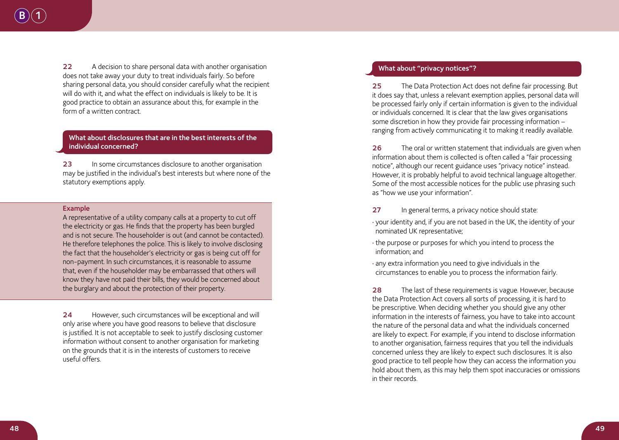

22 A decision to share personal data with another organisation does not take away your duty to treat individuals fairly. So before sharing personal data, you should consider carefully what the recipient will do with it, and what the effect on individuals is likely to be. It is good practice to obtain an assurance about this, for example in the form of a written contract.

#### What about disclosures that are in the best interests of the individual concerned?

23 In some circumstances disclosure to another organisation may be justified in the individual's best interests but where none of the statutory exemptions apply.

#### Example

A representative of a utility company calls at a property to cut off the electricity or gas. He finds that the property has been burgled and is not secure. The householder is out (and cannot be contacted). He therefore telephones the police. This is likely to involve disclosing the fact that the householder's electricity or gas is being cut off for non-payment. In such circumstances, it is reasonable to assume that, even if the householder may be embarrassed that others will know they have not paid their bills, they would be concerned about the burglary and about the protection of their property.

24 However, such circumstances will be exceptional and will only arise where you have good reasons to believe that disclosure is justified. It is not acceptable to seek to justify disclosing customer information without consent to another organisation for marketing on the grounds that it is in the interests of customers to receive useful offers.

#### What about "privacy notices"?

25 The Data Protection Act does not define fair processing. But it does say that, unless a relevant exemption applies, personal data will be processed fairly only if certain information is given to the individual or individuals concerned. It is clear that the law gives organisations some discretion in how they provide fair processing information – ranging from actively communicating it to making it readily available.

26 The oral or written statement that individuals are given when information about them is collected is often called a "fair processing notice", although our recent guidance uses "privacy notice" instead. However, it is probably helpful to avoid technical language altogether. Some of the most accessible notices for the public use phrasing such as "how we use your information".

27 In general terms, a privacy notice should state:

- your identity and, if you are not based in the UK, the identity of your nominated UK representative;
- the purpose or purposes for which you intend to process the information; and
- any extra information you need to give individuals in the circumstances to enable you to process the information fairly.

28 The last of these requirements is vague. However, because the Data Protection Act covers all sorts of processing, it is hard to be prescriptive. When deciding whether you should give any other information in the interests of fairness, you have to take into account the nature of the personal data and what the individuals concerned are likely to expect. For example, if you intend to disclose information to another organisation, fairness requires that you tell the individuals concerned unless they are likely to expect such disclosures. It is also good practice to tell people how they can access the information you hold about them, as this may help them spot inaccuracies or omissions in their records.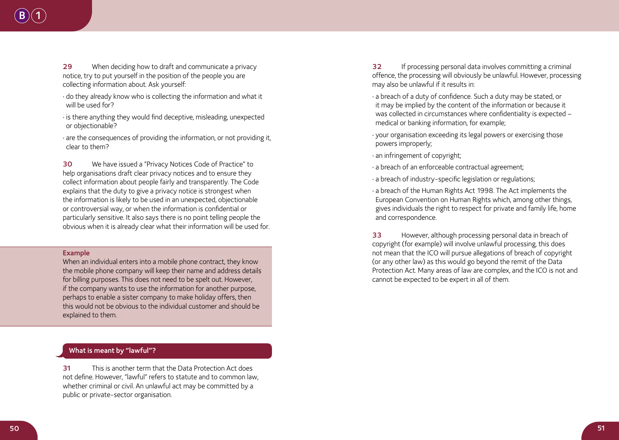

- 29 When deciding how to draft and communicate a privacy notice, try to put yourself in the position of the people you are collecting information about. Ask yourself:
- do they already know who is collecting the information and what it will be used for?
- is there anything they would find deceptive, misleading, unexpected or objectionable?
- $\cdot$  are the consequences of providing the information, or not providing it. clear to them?

30 We have issued a "Privacy Notices Code of Practice" to help organisations draft clear privacy notices and to ensure they collect information about people fairly and transparently. The Code explains that the duty to give a privacy notice is strongest when the information is likely to be used in an unexpected, objectionable or controversial way, or when the information is confidential or particularly sensitive. It also says there is no point telling people the obvious when it is already clear what their information will be used for.

#### Example

When an individual enters into a mobile phone contract, they know the mobile phone company will keep their name and address details for billing purposes. This does not need to be spelt out. However, if the company wants to use the information for another purpose, perhaps to enable a sister company to make holiday offers, then this would not be obvious to the individual customer and should be explained to them.

## What is meant by "lawful"?

31 This is another term that the Data Protection Act does not define. However, "lawful" refers to statute and to common law, whether criminal or civil. An unlawful act may be committed by a public or private-sector organisation.

32 If processing personal data involves committing a criminal offence, the processing will obviously be unlawful. However, processing may also be unlawful if it results in:

- a breach of a duty of confidence. Such a duty may be stated, or it may be implied by the content of the information or because it was collected in circumstances where confidentiality is expected – medical or banking information, for example;
- your organisation exceeding its legal powers or exercising those powers improperly;
- an infringement of copyright;
- a breach of an enforceable contractual agreement;
- a breach of industry-specific legislation or regulations;
- a breach of the Human Rights Act 1998. The Act implements the European Convention on Human Rights which, among other things, gives individuals the right to respect for private and family life, home and correspondence.

33 However, although processing personal data in breach of copyright (for example) will involve unlawful processing, this does not mean that the ICO will pursue allegations of breach of copyright (or any other law) as this would go beyond the remit of the Data Protection Act. Many areas of law are complex, and the ICO is not and cannot be expected to be expert in all of them.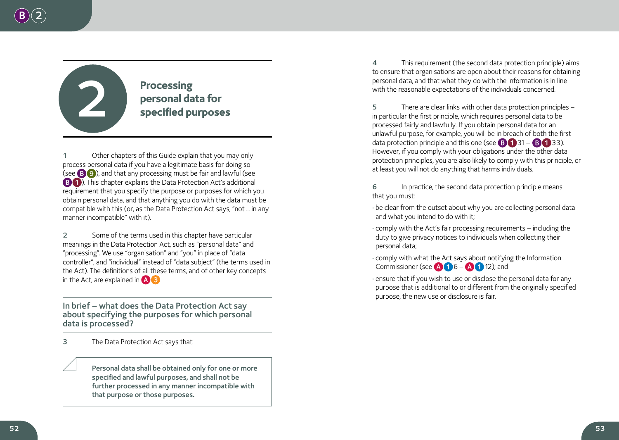

# **personal data for specified purposes**

Other chapters of this Guide explain that you may only process personal data if you have a legitimate basis for doing so (see  $\mathbf{B}(\mathbf{9})$ ), and that any processing must be fair and lawful (see **BC**). This chapter explains the Data Protection Act's additional requirement that you specify the purpose or purposes for which you obtain personal data, and that anything you do with the data must be compatible with this (or, as the Data Protection Act says, "not … in any manner incompatible" with it).

2 Some of the terms used in this chapter have particular meanings in the Data Protection Act, such as "personal data" and "processing". We use "organisation" and "you" in place of "data controller", and "individual" instead of "data subject" (the terms used in the Act). The definitions of all these terms, and of other key concepts in the Act, are explained in  $\bigcirc$   $\bigcirc$ 

In brief – what does the Data Protection Act say about specifying the purposes for which personal data is processed?

3 The Data Protection Act says that:

Personal data shall be obtained only for one or more specified and lawful purposes, and shall not be further processed in any manner incompatible with that purpose or those purposes.

4 This requirement (the second data protection principle) aims to ensure that organisations are open about their reasons for obtaining personal data, and that what they do with the information is in line with the reasonable expectations of the individuals concerned.

5 There are clear links with other data protection principles – in particular the first principle, which requires personal data to be processed fairly and lawfully. If you obtain personal data for an unlawful purpose, for example, you will be in breach of both the first data protection principle and this one (see  $\mathbf{B}$   $\mathbf{O}$  31 –  $\mathbf{B}$   $\mathbf{O}$  33). However, if you comply with your obligations under the other data protection principles, you are also likely to comply with this principle, or at least you will not do anything that harms individuals.

6 In practice, the second data protection principle means that you must:

- be clear from the outset about why you are collecting personal data and what you intend to do with it;
- comply with the Act's fair processing requirements including the duty to give privacy notices to individuals when collecting their personal data;
- comply with what the Act says about notifying the Information Commissioner (see  $\bigcirc$  16 –  $\bigcirc$  12); and
- ensure that if you wish to use or disclose the personal data for any purpose that is additional to or different from the originally specified purpose, the new use or disclosure is fair.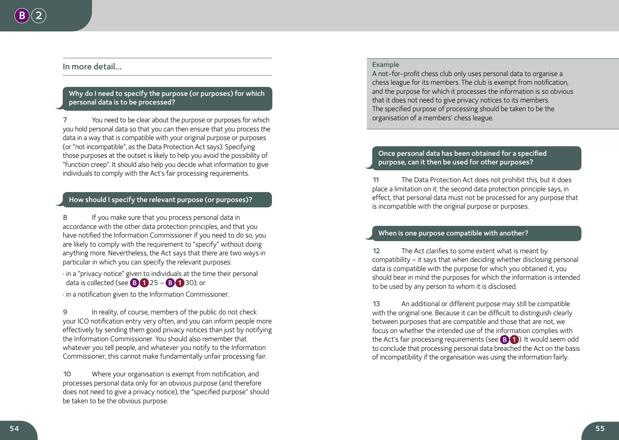## In more detail…

Why do I need to specify the purpose (or purposes) for which personal data is to be processed?

7 You need to be clear about the purpose or purposes for which you hold personal data so that you can then ensure that you process the data in a way that is compatible with your original purpose or purposes (or "not incompatible", as the Data Protection Act says). Specifying those purposes at the outset is likely to help you avoid the possibility of "function creep". It should also help you decide what information to give individuals to comply with the Act's fair processing requirements.

#### How should I specify the relevant purpose (or purposes)?

8 If you make sure that you process personal data in accordance with the other data protection principles, and that you have notified the Information Commissioner if you need to do so, you are likely to comply with the requirement to "specify" without doing anything more. Nevertheless, the Act says that there are two ways in particular in which you can specify the relevant purposes:

- in a "privacy notice" given to individuals at the time their personal data is collected (see  $\mathbf{B}$  25 –  $\mathbf{B}$  1 30); or
- in a notification given to the Information Commissioner.

9 In reality, of course, members of the public do not check your ICO notification entry very often, and you can inform people more effectively by sending them good privacy notices than just by notifying the Information Commissioner. You should also remember that whatever you tell people, and whatever you notify to the Information Commissioner, this cannot make fundamentally unfair processing fair.

10 Where your organisation is exempt from notification, and processes personal data only for an obvious purpose (and therefore does not need to give a privacy notice), the "specified purpose" should be taken to be the obvious purpose.

#### Example

A not-for-profit chess club only uses personal data to organise a chess league for its members. The club is exempt from notification, and the purpose for which it processes the information is so obvious that it does not need to give privacy notices to its members. The specified purpose of processing should be taken to be the organisation of a members' chess league.

## Once personal data has been obtained for a specified purpose, can it then be used for other purposes?

11 The Data Protection Act does not prohibit this, but it does place a limitation on it: the second data protection principle says, in effect, that personal data must not be processed for any purpose that is incompatible with the original purpose or purposes.

## When is one purpose compatible with another?

12 The Act clarifies to some extent what is meant by compatibility – it says that when deciding whether disclosing personal data is compatible with the purpose for which you obtained it, you should bear in mind the purposes for which the information is intended to be used by any person to whom it is disclosed.

13 An additional or different purpose may still be compatible with the original one. Because it can be difficult to distinguish clearly between purposes that are compatible and those that are not, we focus on whether the intended use of the information complies with the Act's fair processing requirements (see  $\mathbf{B}(\cdot)$ ). It would seem odd to conclude that processing personal data breached the Act on the basis of incompatibility if the organisation was using the information fairly.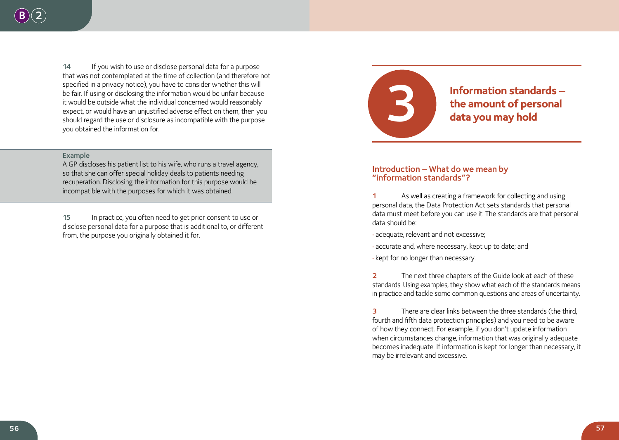14 If you wish to use or disclose personal data for a purpose that was not contemplated at the time of collection (and therefore not specified in a privacy notice), you have to consider whether this will be fair. If using or disclosing the information would be unfair because it would be outside what the individual concerned would reasonably expect, or would have an unjustified adverse effect on them, then you should regard the use or disclosure as incompatible with the purpose you obtained the information for.

#### Example

A GP discloses his patient list to his wife, who runs a travel agency, so that she can offer special holiday deals to patients needing recuperation. Disclosing the information for this purpose would be incompatible with the purposes for which it was obtained.

15 In practice, you often need to get prior consent to use or disclose personal data for a purpose that is additional to, or different from, the purpose you originally obtained it for.

# **Information standards – the amount of personal** 3 **data you may hold**

## Introduction – What do we mean by "information standards"?

- 1 As well as creating a framework for collecting and using personal data, the Data Protection Act sets standards that personal data must meet before you can use it. The standards are that personal data should be:
- adequate, relevant and not excessive;
- accurate and, where necessary, kept up to date; and
- kept for no longer than necessary.

2 The next three chapters of the Guide look at each of these standards. Using examples, they show what each of the standards means in practice and tackle some common questions and areas of uncertainty.

3 There are clear links between the three standards (the third, fourth and fifth data protection principles) and you need to be aware of how they connect. For example, if you don't update information when circumstances change, information that was originally adequate becomes inadequate. If information is kept for longer than necessary, it may be irrelevant and excessive.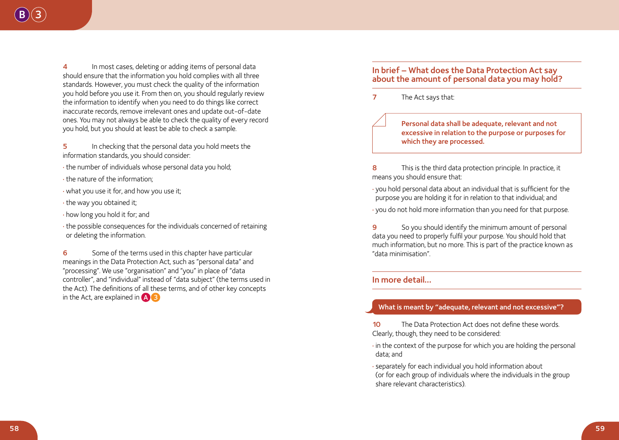

In most cases, deleting or adding items of personal data should ensure that the information you hold complies with all three standards. However, you must check the quality of the information you hold before you use it. From then on, you should regularly review the information to identify when you need to do things like correct inaccurate records, remove irrelevant ones and update out-of-date ones. You may not always be able to check the quality of every record you hold, but you should at least be able to check a sample.

5 In checking that the personal data you hold meets the information standards, you should consider:

- the number of individuals whose personal data you hold;
- the nature of the information;
- what you use it for, and how you use it;
- the way you obtained it;
- how long you hold it for; and
- the possible consequences for the individuals concerned of retaining or deleting the information.

6 Some of the terms used in this chapter have particular meanings in the Data Protection Act, such as "personal data" and "processing". We use "organisation" and "you" in place of "data controller", and "individual" instead of "data subject" (the terms used in the Act). The definitions of all these terms, and of other key concepts in the Act, are explained in  $\bigcirc$   $\bigcirc$ 

## In brief – What does the Data Protection Act say about the amount of personal data you may hold?

7 The Act says that:

Personal data shall be adequate, relevant and not excessive in relation to the purpose or purposes for which they are processed.

- 8 This is the third data protection principle. In practice, it means you should ensure that:
- you hold personal data about an individual that is sufficient for the purpose you are holding it for in relation to that individual; and
- you do not hold more information than you need for that purpose.

9 So you should identify the minimum amount of personal data you need to properly fulfil your purpose. You should hold that much information, but no more. This is part of the practice known as "data minimisation".

## In more detail…

## What is meant by "adequate, relevant and not excessive"?

10 The Data Protection Act does not define these words. Clearly, though, they need to be considered:

- in the context of the purpose for which you are holding the personal data; and
- separately for each individual you hold information about (or for each group of individuals where the individuals in the group share relevant characteristics).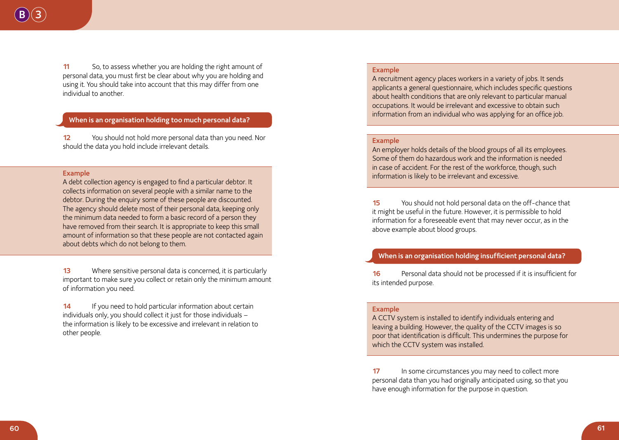11 So, to assess whether you are holding the right amount of personal data, you must first be clear about why you are holding and using it. You should take into account that this may differ from one individual to another.

## When is an organisation holding too much personal data?

12 You should not hold more personal data than you need. Nor should the data you hold include irrelevant details.

#### Example

A debt collection agency is engaged to find a particular debtor. It collects information on several people with a similar name to the debtor. During the enquiry some of these people are discounted. The agency should delete most of their personal data, keeping only the minimum data needed to form a basic record of a person they have removed from their search. It is appropriate to keep this small amount of information so that these people are not contacted again about debts which do not belong to them.

13 Where sensitive personal data is concerned, it is particularly important to make sure you collect or retain only the minimum amount of information you need.

14 If you need to hold particular information about certain individuals only, you should collect it just for those individuals – the information is likely to be excessive and irrelevant in relation to other people.

#### Example

A recruitment agency places workers in a variety of jobs. It sends applicants a general questionnaire, which includes specific questions about health conditions that are only relevant to particular manual occupations. It would be irrelevant and excessive to obtain such information from an individual who was applying for an office job.

#### Example

An employer holds details of the blood groups of all its employees. Some of them do hazardous work and the information is needed in case of accident. For the rest of the workforce, though, such information is likely to be irrelevant and excessive.

15 You should not hold personal data on the off-chance that it might be useful in the future. However, it is permissible to hold information for a foreseeable event that may never occur, as in the above example about blood groups.

## When is an organisation holding insufficient personal data?

16 Personal data should not be processed if it is insufficient for its intended purpose.

#### Example

A CCTV system is installed to identify individuals entering and leaving a building. However, the quality of the CCTV images is so poor that identification is difficult. This undermines the purpose for which the CCTV system was installed.

17 In some circumstances you may need to collect more personal data than you had originally anticipated using, so that you have enough information for the purpose in question.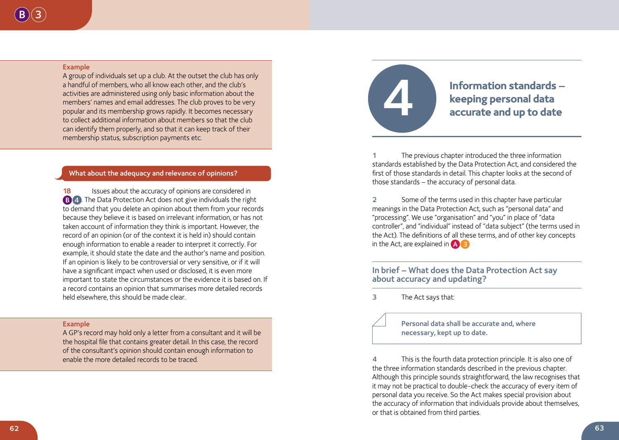#### Example

A group of individuals set up a club. At the outset the club has only a handful of members, who all know each other, and the club's activities are administered using only basic information about the members' names and email addresses. The club proves to be very popular and its membership grows rapidly. It becomes necessary to collect additional information about members so that the club can identify them properly, and so that it can keep track of their membership status, subscription payments etc.

#### What about the adequacy and relevance of opinions?

18 Issues about the accuracy of opinions are considered in **B.** 4. The Data Protection Act does not give individuals the right to demand that you delete an opinion about them from your records because they believe it is based on irrelevant information, or has not taken account of information they think is important. However, the record of an opinion (or of the context it is held in) should contain enough information to enable a reader to interpret it correctly. For example, it should state the date and the author's name and position. If an opinion is likely to be controversial or very sensitive, or if it will have a significant impact when used or disclosed, it is even more important to state the circumstances or the evidence it is based on. If a record contains an opinion that summarises more detailed records held elsewhere, this should be made clear.

#### Example

A GP's record may hold only a letter from a consultant and it will be the hospital file that contains greater detail. In this case, the record of the consultant's opinion should contain enough information to enable the more detailed records to be traced.

**Information standards – keeping personal data<br>accurate and up to date** 

1 The previous chapter introduced the three information standards established by the Data Protection Act, and considered the first of those standards in detail. This chapter looks at the second of those standards – the accuracy of personal data.

2 Some of the terms used in this chapter have particular meanings in the Data Protection Act, such as "personal data" and "processing". We use "organisation" and "you" in place of "data controller", and "individual" instead of "data subject" (the terms used in the Act). The definitions of all these terms, and of other key concepts in the Act, are explained in  $\left(\begin{matrix}A & B\end{matrix}\right)$ 

## In brief – What does the Data Protection Act say about accuracy and updating?

3 The Act says that:

Personal data shall be accurate and, where necessary, kept up to date.

4 This is the fourth data protection principle. It is also one of the three information standards described in the previous chapter. Although this principle sounds straightforward, the law recognises that it may not be practical to double-check the accuracy of every item of personal data you receive. So the Act makes special provision about the accuracy of information that individuals provide about themselves, or that is obtained from third parties.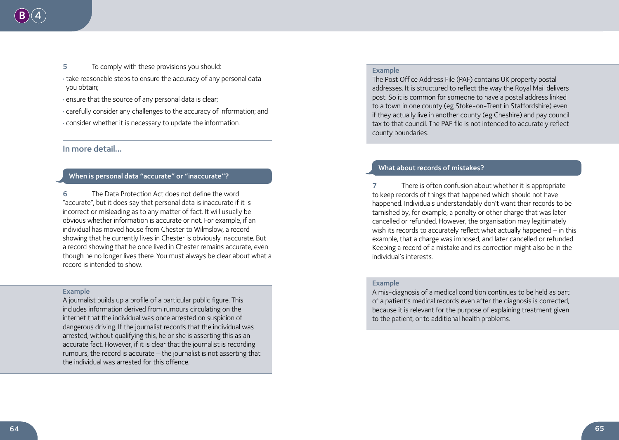

- 5 To comply with these provisions you should:
- take reasonable steps to ensure the accuracy of any personal data you obtain;
- ensure that the source of any personal data is clear;
- carefully consider any challenges to the accuracy of information; and
- consider whether it is necessary to update the information.

## In more detail…

#### When is personal data "accurate" or "inaccurate"?

6 The Data Protection Act does not define the word "accurate", but it does say that personal data is inaccurate if it is incorrect or misleading as to any matter of fact. It will usually be obvious whether information is accurate or not. For example, if an individual has moved house from Chester to Wilmslow, a record showing that he currently lives in Chester is obviously inaccurate. But a record showing that he once lived in Chester remains accurate, even though he no longer lives there. You must always be clear about what a record is intended to show.

#### Example

A journalist builds up a profile of a particular public figure. This includes information derived from rumours circulating on the internet that the individual was once arrested on suspicion of dangerous driving. If the journalist records that the individual was arrested, without qualifying this, he or she is asserting this as an accurate fact. However, if it is clear that the journalist is recording rumours, the record is accurate – the journalist is not asserting that the individual was arrested for this offence.

#### Example

The Post Office Address File (PAF) contains UK property postal addresses. It is structured to reflect the way the Royal Mail delivers post. So it is common for someone to have a postal address linked to a town in one county (eg Stoke-on-Trent in Staffordshire) even if they actually live in another county (eg Cheshire) and pay council tax to that council. The PAF file is not intended to accurately reflect county boundaries.

#### What about records of mistakes?

7 There is often confusion about whether it is appropriate to keep records of things that happened which should not have happened. Individuals understandably don't want their records to be tarnished by, for example, a penalty or other charge that was later cancelled or refunded. However, the organisation may legitimately wish its records to accurately reflect what actually happened – in this example, that a charge was imposed, and later cancelled or refunded. Keeping a record of a mistake and its correction might also be in the individual's interests.

#### Example

A mis-diagnosis of a medical condition continues to be held as part of a patient's medical records even after the diagnosis is corrected, because it is relevant for the purpose of explaining treatment given to the patient, or to additional health problems.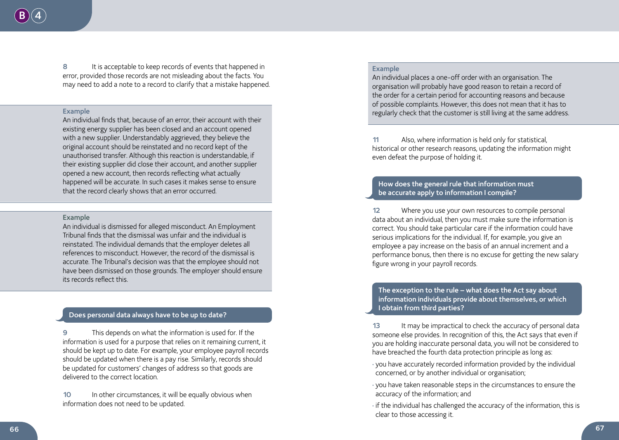8 It is acceptable to keep records of events that happened in error, provided those records are not misleading about the facts. You may need to add a note to a record to clarify that a mistake happened.

#### Example

An individual finds that, because of an error, their account with their existing energy supplier has been closed and an account opened with a new supplier. Understandably aggrieved, they believe the original account should be reinstated and no record kept of the unauthorised transfer. Although this reaction is understandable, if their existing supplier did close their account, and another supplier opened a new account, then records reflecting what actually happened will be accurate. In such cases it makes sense to ensure that the record clearly shows that an error occurred.

#### Example

An individual is dismissed for alleged misconduct. An Employment Tribunal finds that the dismissal was unfair and the individual is reinstated. The individual demands that the employer deletes all references to misconduct. However, the record of the dismissal is accurate. The Tribunal's decision was that the employee should not have been dismissed on those grounds. The employer should ensure its records reflect this.

#### Does personal data always have to be up to date?

9 This depends on what the information is used for. If the information is used for a purpose that relies on it remaining current, it should be kept up to date. For example, your employee payroll records should be updated when there is a pay rise. Similarly, records should be updated for customers' changes of address so that goods are delivered to the correct location.

10 In other circumstances, it will be equally obvious when information does not need to be updated.

#### Example

An individual places a one-off order with an organisation. The organisation will probably have good reason to retain a record of the order for a certain period for accounting reasons and because of possible complaints. However, this does not mean that it has to regularly check that the customer is still living at the same address.

11 Also, where information is held only for statistical, historical or other research reasons, updating the information might even defeat the purpose of holding it.

#### How does the general rule that information must be accurate apply to information I compile?

12 Where you use your own resources to compile personal data about an individual, then you must make sure the information is correct. You should take particular care if the information could have serious implications for the individual. If, for example, you give an employee a pay increase on the basis of an annual increment and a performance bonus, then there is no excuse for getting the new salary figure wrong in your payroll records.

The exception to the rule – what does the Act say about information individuals provide about themselves, or which I obtain from third parties?

13 It may be impractical to check the accuracy of personal data someone else provides. In recognition of this, the Act says that even if you are holding inaccurate personal data, you will not be considered to have breached the fourth data protection principle as long as:

- you have accurately recorded information provided by the individual concerned, or by another individual or organisation;
- you have taken reasonable steps in the circumstances to ensure the accuracy of the information; and
- if the individual has challenged the accuracy of the information, this is clear to those accessing it.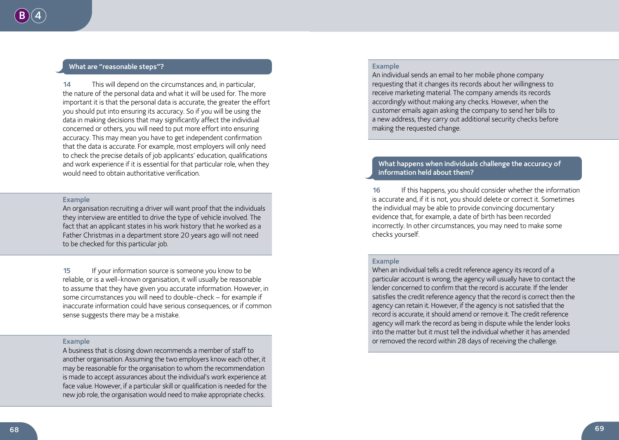# What are "reasonable steps"?

14 This will depend on the circumstances and, in particular, the nature of the personal data and what it will be used for. The more important it is that the personal data is accurate, the greater the effort you should put into ensuring its accuracy. So if you will be using the data in making decisions that may significantly affect the individual concerned or others, you will need to put more effort into ensuring accuracy. This may mean you have to get independent confirmation that the data is accurate. For example, most employers will only need to check the precise details of job applicants' education, qualifications and work experience if it is essential for that particular role, when they would need to obtain authoritative verification.

#### Example

An organisation recruiting a driver will want proof that the individuals they interview are entitled to drive the type of vehicle involved. The fact that an applicant states in his work history that he worked as a Father Christmas in a department store 20 years ago will not need to be checked for this particular job.

15 If your information source is someone you know to be reliable, or is a well-known organisation, it will usually be reasonable to assume that they have given you accurate information. However, in some circumstances you will need to double-check – for example if inaccurate information could have serious consequences, or if common sense suggests there may be a mistake.

#### Example

A business that is closing down recommends a member of staff to another organisation. Assuming the two employers know each other, it may be reasonable for the organisation to whom the recommendation is made to accept assurances about the individual's work experience at face value. However, if a particular skill or qualification is needed for the new job role, the organisation would need to make appropriate checks.

#### Example

An individual sends an email to her mobile phone company requesting that it changes its records about her willingness to receive marketing material. The company amends its records accordingly without making any checks. However, when the customer emails again asking the company to send her bills to a new address, they carry out additional security checks before making the requested change.

# What happens when individuals challenge the accuracy of information held about them?

16 If this happens, you should consider whether the information is accurate and, if it is not, you should delete or correct it. Sometimes the individual may be able to provide convincing documentary evidence that, for example, a date of birth has been recorded incorrectly. In other circumstances, you may need to make some checks yourself.

#### Example

When an individual tells a credit reference agency its record of a particular account is wrong, the agency will usually have to contact the lender concerned to confirm that the record is accurate. If the lender satisfies the credit reference agency that the record is correct then the agency can retain it. However, if the agency is not satisfied that the record is accurate, it should amend or remove it. The credit reference agency will mark the record as being in dispute while the lender looks into the matter but it must tell the individual whether it has amended or removed the record within 28 days of receiving the challenge.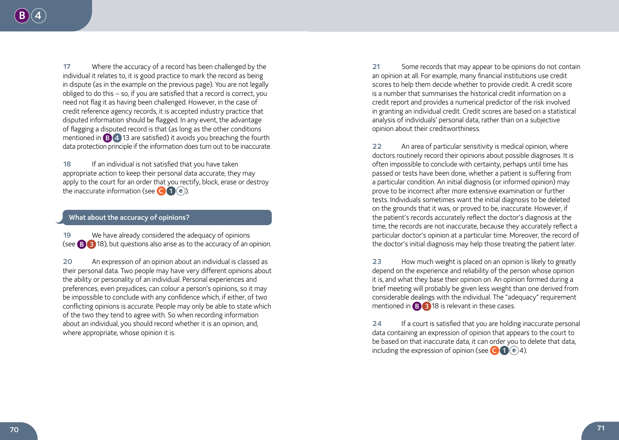

17 Where the accuracy of a record has been challenged by the individual it relates to, it is good practice to mark the record as being in dispute (as in the example on the previous page). You are not legally obliged to do this – so, if you are satisfied that a record is correct, you need not flag it as having been challenged. However, in the case of credit reference agency records, it is accepted industry practice that disputed information should be flagged. In any event, the advantage of flagging a disputed record is that (as long as the other conditions mentioned in  $\overline{B}$  (4) 13 are satisfied) it avoids you breaching the fourth data protection principle if the information does turn out to be inaccurate.

18 If an individual is not satisfied that you have taken appropriate action to keep their personal data accurate, they may apply to the court for an order that you rectify, block, erase or destroy the inaccurate information (see  $\bigcirc$  1  $\bigcirc$ ).

# What about the accuracy of opinions?

19 We have already considered the adequacy of opinions (see  $\bigcirc$  3 18), but questions also arise as to the accuracy of an opinion.

20 An expression of an opinion about an individual is classed as their personal data. Two people may have very different opinions about the ability or personality of an individual. Personal experiences and preferences, even prejudices, can colour a person's opinions, so it may be impossible to conclude with any confidence which, if either, of two conflicting opinions is accurate. People may only be able to state which of the two they tend to agree with. So when recording information about an individual, you should record whether it is an opinion, and, where appropriate, whose opinion it is.

21 Some records that may appear to be opinions do not contain an opinion at all. For example, many financial institutions use credit scores to help them decide whether to provide credit. A credit score is a number that summarises the historical credit information on a credit report and provides a numerical predictor of the risk involved in granting an individual credit. Credit scores are based on a statistical analysis of individuals' personal data, rather than on a subjective opinion about their creditworthiness.

22 An area of particular sensitivity is medical opinion, where doctors routinely record their opinions about possible diagnoses. It is often impossible to conclude with certainty, perhaps until time has passed or tests have been done, whether a patient is suffering from a particular condition. An initial diagnosis (or informed opinion) may prove to be incorrect after more extensive examination or further tests. Individuals sometimes want the initial diagnosis to be deleted on the grounds that it was, or proved to be, inaccurate. However, if the patient's records accurately reflect the doctor's diagnosis at the time, the records are not inaccurate, because they accurately reflect a particular doctor's opinion at a particular time. Moreover, the record of the doctor's initial diagnosis may help those treating the patient later.

23 How much weight is placed on an opinion is likely to greatly depend on the experience and reliability of the person whose opinion it is, and what they base their opinion on. An opinion formed during a brief meeting will probably be given less weight than one derived from considerable dealings with the individual. The "adequacy" requirement mentioned in  $\bigcirc$  3 18 is relevant in these cases.

24 If a court is satisfied that you are holding inaccurate personal data containing an expression of opinion that appears to the court to be based on that inaccurate data, it can order you to delete that data, including the expression of opinion (see  $\bigcirc$   $\bigcirc$   $\bigcirc$   $\bigcirc$  4).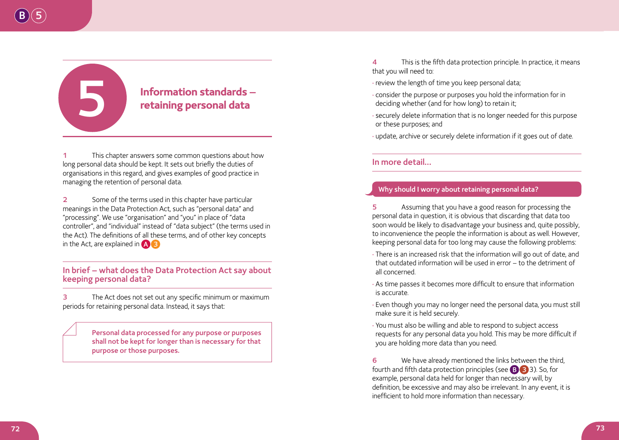

# **Information standards –** 5 **retaining personal data**

This chapter answers some common questions about how long personal data should be kept. It sets out briefly the duties of organisations in this regard, and gives examples of good practice in managing the retention of personal data.

2 Some of the terms used in this chapter have particular meanings in the Data Protection Act, such as "personal data" and "processing". We use "organisation" and "you" in place of "data controller", and "individual" instead of "data subject" (the terms used in the Act). The definitions of all these terms, and of other key concepts in the Act, are explained in  $\bigcirc$   $\bigcirc$ 

# In brief – what does the Data Protection Act say about keeping personal data?

3 The Act does not set out any specific minimum or maximum periods for retaining personal data. Instead, it says that:

> Personal data processed for any purpose or purposes shall not be kept for longer than is necessary for that purpose or those purposes.

- 4 This is the fifth data protection principle. In practice, it means that you will need to:
- review the length of time you keep personal data;
- consider the purpose or purposes you hold the information for in deciding whether (and for how long) to retain it;
- securely delete information that is no longer needed for this purpose or these purposes; and
- update, archive or securely delete information if it goes out of date.

# In more detail…

# Why should I worry about retaining personal data?

5 Assuming that you have a good reason for processing the personal data in question, it is obvious that discarding that data too soon would be likely to disadvantage your business and, quite possibly, to inconvenience the people the information is about as well. However, keeping personal data for too long may cause the following problems:

- There is an increased risk that the information will go out of date, and that outdated information will be used in error – to the detriment of all concerned.
- As time passes it becomes more difficult to ensure that information is accurate.
- Even though you may no longer need the personal data, you must still make sure it is held securely.
- You must also be willing and able to respond to subject access requests for any personal data you hold. This may be more difficult if you are holding more data than you need.

6 We have already mentioned the links between the third, fourth and fifth data protection principles (see  $\left| \mathbf{B}\right|$  3). So, for example, personal data held for longer than necessary will, by definition, be excessive and may also be irrelevant. In any event, it is inefficient to hold more information than necessary.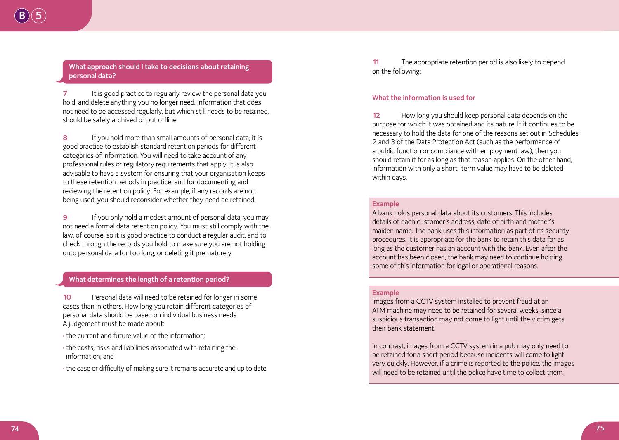# What approach should I take to decisions about retaining personal data?

It is good practice to regularly review the personal data you hold, and delete anything you no longer need. Information that does not need to be accessed regularly, but which still needs to be retained, should be safely archived or put offline.

8 If you hold more than small amounts of personal data, it is good practice to establish standard retention periods for different categories of information. You will need to take account of any professional rules or regulatory requirements that apply. It is also advisable to have a system for ensuring that your organisation keeps to these retention periods in practice, and for documenting and reviewing the retention policy. For example, if any records are not being used, you should reconsider whether they need be retained.

9 If you only hold a modest amount of personal data, you may not need a formal data retention policy. You must still comply with the law, of course, so it is good practice to conduct a regular audit, and to check through the records you hold to make sure you are not holding onto personal data for too long, or deleting it prematurely.

# What determines the length of a retention period?

10 Personal data will need to be retained for longer in some cases than in others. How long you retain different categories of personal data should be based on individual business needs. A judgement must be made about:

- the current and future value of the information;
- the costs, risks and liabilities associated with retaining the information; and
- the ease or difficulty of making sure it remains accurate and up to date.

11 The appropriate retention period is also likely to depend on the following:

# What the information is used for

12 How long you should keep personal data depends on the purpose for which it was obtained and its nature. If it continues to be necessary to hold the data for one of the reasons set out in Schedules 2 and 3 of the Data Protection Act (such as the performance of a public function or compliance with employment law), then you should retain it for as long as that reason applies. On the other hand, information with only a short-term value may have to be deleted within days.

## Example

A bank holds personal data about its customers. This includes details of each customer's address, date of birth and mother's maiden name. The bank uses this information as part of its security procedures. It is appropriate for the bank to retain this data for as long as the customer has an account with the bank. Even after the account has been closed, the bank may need to continue holding some of this information for legal or operational reasons.

#### Example

Images from a CCTV system installed to prevent fraud at an ATM machine may need to be retained for several weeks, since a suspicious transaction may not come to light until the victim gets their bank statement.

In contrast, images from a CCTV system in a pub may only need to be retained for a short period because incidents will come to light very quickly. However, if a crime is reported to the police, the images will need to be retained until the police have time to collect them.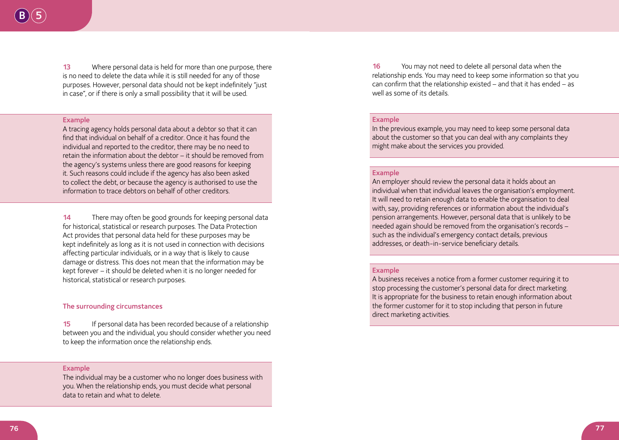13 Where personal data is held for more than one purpose, there is no need to delete the data while it is still needed for any of those purposes. However, personal data should not be kept indefinitely "just in case", or if there is only a small possibility that it will be used.

#### Example

A tracing agency holds personal data about a debtor so that it can find that individual on behalf of a creditor. Once it has found the individual and reported to the creditor, there may be no need to retain the information about the debtor – it should be removed from the agency's systems unless there are good reasons for keeping it. Such reasons could include if the agency has also been asked to collect the debt, or because the agency is authorised to use the information to trace debtors on behalf of other creditors.

14 There may often be good grounds for keeping personal data for historical, statistical or research purposes. The Data Protection Act provides that personal data held for these purposes may be kept indefinitely as long as it is not used in connection with decisions affecting particular individuals, or in a way that is likely to cause damage or distress. This does not mean that the information may be kept forever – it should be deleted when it is no longer needed for historical, statistical or research purposes.

#### The surrounding circumstances

15 If personal data has been recorded because of a relationship between you and the individual, you should consider whether you need to keep the information once the relationship ends.

#### Example

The individual may be a customer who no longer does business with you. When the relationship ends, you must decide what personal data to retain and what to delete.

16 You may not need to delete all personal data when the relationship ends. You may need to keep some information so that you can confirm that the relationship existed – and that it has ended – as well as some of its details.

#### Example

In the previous example, you may need to keep some personal data about the customer so that you can deal with any complaints they might make about the services you provided.

#### Example

An employer should review the personal data it holds about an individual when that individual leaves the organisation's employment. It will need to retain enough data to enable the organisation to deal with, say, providing references or information about the individual's pension arrangements. However, personal data that is unlikely to be needed again should be removed from the organisation's records – such as the individual's emergency contact details, previous addresses, or death-in-service beneficiary details.

#### Example

A business receives a notice from a former customer requiring it to stop processing the customer's personal data for direct marketing. It is appropriate for the business to retain enough information about the former customer for it to stop including that person in future direct marketing activities.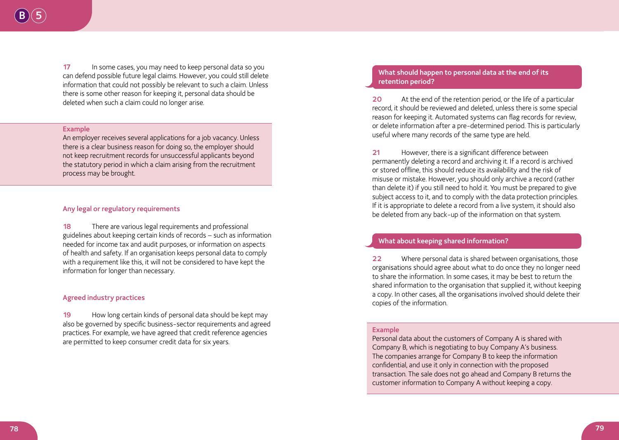17 In some cases, you may need to keep personal data so you can defend possible future legal claims. However, you could still delete information that could not possibly be relevant to such a claim. Unless there is some other reason for keeping it, personal data should be deleted when such a claim could no longer arise.

#### Example

An employer receives several applications for a job vacancy. Unless there is a clear business reason for doing so, the employer should not keep recruitment records for unsuccessful applicants beyond the statutory period in which a claim arising from the recruitment process may be brought.

#### Any legal or regulatory requirements

18 There are various legal requirements and professional guidelines about keeping certain kinds of records – such as information needed for income tax and audit purposes, or information on aspects of health and safety. If an organisation keeps personal data to comply with a requirement like this, it will not be considered to have kept the information for longer than necessary.

#### Agreed industry practices

19 How long certain kinds of personal data should be kept may also be governed by specific business-sector requirements and agreed practices. For example, we have agreed that credit reference agencies are permitted to keep consumer credit data for six years.

# What should happen to personal data at the end of its retention period?

20 At the end of the retention period, or the life of a particular record, it should be reviewed and deleted, unless there is some special reason for keeping it. Automated systems can flag records for review, or delete information after a pre-determined period. This is particularly useful where many records of the same type are held.

21 However, there is a significant difference between permanently deleting a record and archiving it. If a record is archived or stored offline, this should reduce its availability and the risk of misuse or mistake. However, you should only archive a record (rather than delete it) if you still need to hold it. You must be prepared to give subject access to it, and to comply with the data protection principles. If it is appropriate to delete a record from a live system, it should also be deleted from any back-up of the information on that system.

# What about keeping shared information?

22 Where personal data is shared between organisations, those organisations should agree about what to do once they no longer need to share the information. In some cases, it may be best to return the shared information to the organisation that supplied it, without keeping a copy. In other cases, all the organisations involved should delete their copies of the information.

#### Example

Personal data about the customers of Company A is shared with Company B, which is negotiating to buy Company A's business. The companies arrange for Company B to keep the information confidential, and use it only in connection with the proposed transaction. The sale does not go ahead and Company B returns the customer information to Company A without keeping a copy.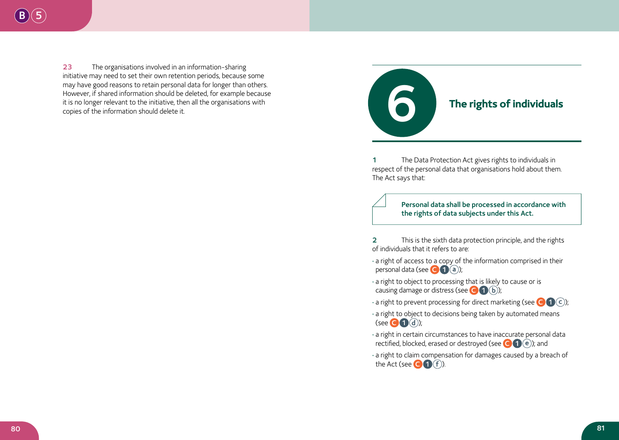

23 The organisations involved in an information-sharing initiative may need to set their own retention periods, because some may have good reasons to retain personal data for longer than others. However, if shared information should be deleted, for example because it is no longer relevant to the initiative, then all the organisations with copies of the information should delete it.



1 The Data Protection Act gives rights to individuals in respect of the personal data that organisations hold about them. The Act says that:

> Personal data shall be processed in accordance with the rights of data subjects under this Act.

- 2 This is the sixth data protection principle, and the rights of individuals that it refers to are:
- a right of access to a copy of the information comprised in their personal data (see  $\bigcirc$  1 a);
- a right to object to processing that is likely to cause or is causing damage or distress (see  $\bigcirc$  1 (b));
- $\cdot$  a right to prevent processing for direct marketing (see  $\bigcirc$   $\bigcirc$   $\bigcirc$  );
- a right to object to decisions being taken by automated means  $($ see  $\bigodot$   $\bigodot$   $\bigodot$ );
- a right in certain circumstances to have inaccurate personal data rectified, blocked, erased or destroyed (see  $\bigcirc$   $\bigcirc$   $\bigcirc$  ); and
- a right to claim compensation for damages caused by a breach of the Act (see  $\bigodot$   $\bigodot$  f).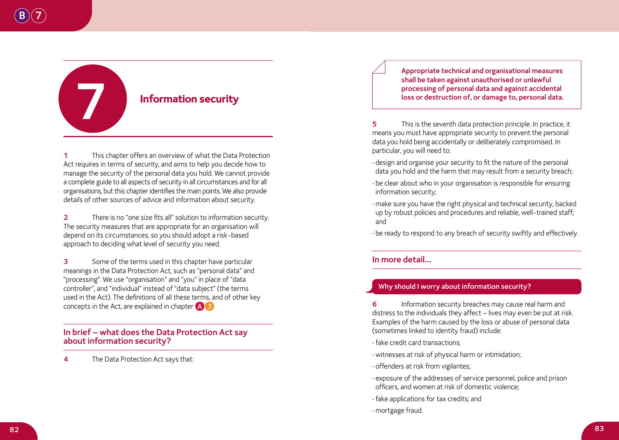

1 This chapter offers an overview of what the Data Protection Act requires in terms of security, and aims to help you decide how to manage the security of the personal data you hold. We cannot provide a complete guide to all aspects of security in all circumstances and for all organisations, but this chapter identifies the main points. We also provide details of other sources of advice and information about security.

2 There is no "one size fits all" solution to information security. The security measures that are appropriate for an organisation will depend on its circumstances, so you should adopt a risk-based approach to deciding what level of security you need.

3 Some of the terms used in this chapter have particular meanings in the Data Protection Act, such as "personal data" and "processing". We use "organisation" and "you" in place of "data controller", and "individual" instead of "data subject" (the terms used in the Act). The definitions of all these terms, and of other key concepts in the Act, are explained in chapter  $\bigcirc$   $\bigcirc$ 

# In brief – what does the Data Protection Act say about information security?

4 The Data Protection Act says that:

Appropriate technical and organisational measures shall be taken against unauthorised or unlawful processing of personal data and against accidental loss or destruction of, or damage to, personal data.

5 This is the seventh data protection principle. In practice, it means you must have appropriate security to prevent the personal data you hold being accidentally or deliberately compromised. In particular, you will need to:

- design and organise your security to fit the nature of the personal data you hold and the harm that may result from a security breach;
- be clear about who in your organisation is responsible for ensuring information security;
- make sure you have the right physical and technical security, backed up by robust policies and procedures and reliable, well-trained staff; and
- be ready to respond to any breach of security swiftly and effectively.

# In more detail…

# Why should I worry about information security?

6 Information security breaches may cause real harm and distress to the individuals they affect – lives may even be put at risk. Examples of the harm caused by the loss or abuse of personal data (sometimes linked to identity fraud) include:

- fake credit card transactions;
- witnesses at risk of physical harm or intimidation;
- offenders at risk from vigilantes;
- exposure of the addresses of service personnel, police and prison officers, and women at risk of domestic violence;
- fake applications for tax credits; and
- mortgage fraud.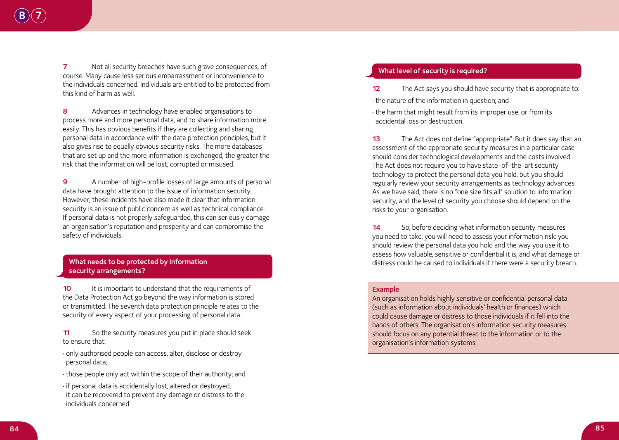7 Not all security breaches have such grave consequences, of course. Many cause less serious embarrassment or inconvenience to the individuals concerned. Individuals are entitled to be protected from this kind of harm as well.

8 Advances in technology have enabled organisations to process more and more personal data, and to share information more easily. This has obvious benefits if they are collecting and sharing personal data in accordance with the data protection principles, but it also gives rise to equally obvious security risks. The more databases that are set up and the more information is exchanged, the greater the risk that the information will be lost, corrupted or misused.

9 A number of high-profile losses of large amounts of personal data have brought attention to the issue of information security. However, these incidents have also made it clear that information security is an issue of public concern as well as technical compliance. If personal data is not properly safeguarded, this can seriously damage an organisation's reputation and prosperity and can compromise the safety of individuals.

# What needs to be protected by information security arrangements?

10 It is important to understand that the requirements of the Data Protection Act go beyond the way information is stored or transmitted. The seventh data protection principle relates to the security of every aspect of your processing of personal data.

- 11 So the security measures you put in place should seek to ensure that:
- only authorised people can access, alter, disclose or destroy personal data;
- those people only act within the scope of their authority; and
- if personal data is accidentally lost, altered or destroyed, it can be recovered to prevent any damage or distress to the individuals concerned.

# What level of security is required?

- 12 The Act says you should have security that is appropriate to:
- the nature of the information in question; and
- the harm that might result from its improper use, or from its accidental loss or destruction.

13 The Act does not define "appropriate". But it does say that an assessment of the appropriate security measures in a particular case should consider technological developments and the costs involved. The Act does not require you to have state-of-the-art security technology to protect the personal data you hold, but you should regularly review your security arrangements as technology advances. As we have said, there is no "one size fits all" solution to information security, and the level of security you choose should depend on the risks to your organisation.

14 So, before deciding what information security measures you need to take, you will need to assess your information risk: you should review the personal data you hold and the way you use it to assess how valuable, sensitive or confidential it is, and what damage or distress could be caused to individuals if there were a security breach.

# Example

An organisation holds highly sensitive or confidential personal data (such as information about individuals' health or finances) which could cause damage or distress to those individuals if it fell into the hands of others. The organisation's information security measures should focus on any potential threat to the information or to the organisation's information systems.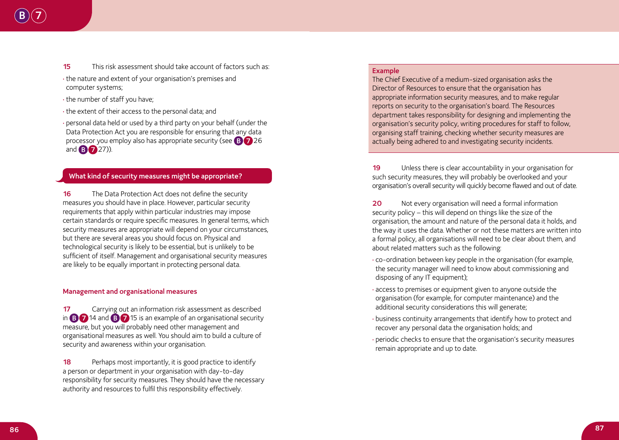

- 15 This risk assessment should take account of factors such as:
- the nature and extent of your organisation's premises and computer systems;
- the number of staff you have;
- the extent of their access to the personal data; and
- personal data held or used by a third party on your behalf (under the Data Protection Act you are responsible for ensuring that any data processor you employ also has appropriate security (see  $\left| \text{B} \right|$  26 and  $\left(\frac{1}{2}\right)$  (27)).

# What kind of security measures might be appropriate?

16 The Data Protection Act does not define the security measures you should have in place. However, particular security requirements that apply within particular industries may impose certain standards or require specific measures. In general terms, which security measures are appropriate will depend on your circumstances, but there are several areas you should focus on. Physical and technological security is likely to be essential, but is unlikely to be sufficient of itself. Management and organisational security measures are likely to be equally important in protecting personal data.

#### Management and organisational measures

17 Carrying out an information risk assessment as described in  $\bigcirc$  14 and  $\bigcirc$  15 is an example of an organisational security measure, but you will probably need other management and organisational measures as well. You should aim to build a culture of security and awareness within your organisation.

18 Perhaps most importantly, it is good practice to identify a person or department in your organisation with day-to-day responsibility for security measures. They should have the necessary authority and resources to fulfil this responsibility effectively.

#### Example

The Chief Executive of a medium-sized organisation asks the Director of Resources to ensure that the organisation has appropriate information security measures, and to make regular reports on security to the organisation's board. The Resources department takes responsibility for designing and implementing the organisation's security policy, writing procedures for staff to follow, organising staff training, checking whether security measures are actually being adhered to and investigating security incidents.

19 Unless there is clear accountability in your organisation for such security measures, they will probably be overlooked and your organisation's overall security will quickly become flawed and out of date.

20 Not every organisation will need a formal information security policy – this will depend on things like the size of the organisation, the amount and nature of the personal data it holds, and the way it uses the data. Whether or not these matters are written into a formal policy, all organisations will need to be clear about them, and about related matters such as the following:

- co-ordination between key people in the organisation (for example, the security manager will need to know about commissioning and disposing of any IT equipment);
- access to premises or equipment given to anyone outside the organisation (for example, for computer maintenance) and the additional security considerations this will generate;
- business continuity arrangements that identify how to protect and recover any personal data the organisation holds; and
- periodic checks to ensure that the organisation's security measures remain appropriate and up to date.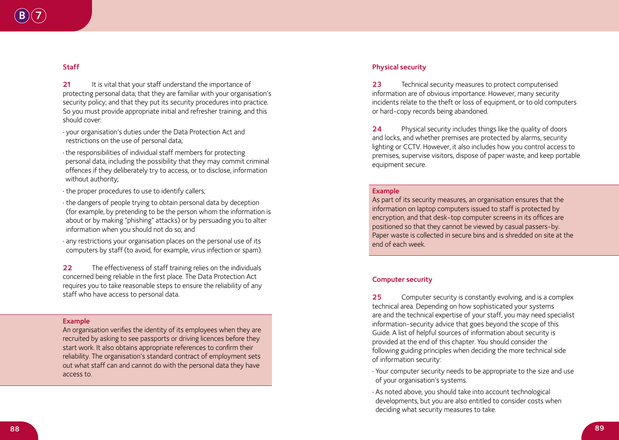# **Staff**

21 It is vital that your staff understand the importance of protecting personal data; that they are familiar with your organisation's security policy; and that they put its security procedures into practice. So you must provide appropriate initial and refresher training, and this should cover:

- your organisation's duties under the Data Protection Act and restrictions on the use of personal data;
- •the responsibilities of individual staff members for protecting personal data, including the possibility that they may commit criminal offences if they deliberately try to access, or to disclose, information without authority;
- the proper procedures to use to identify callers;
- the dangers of people trying to obtain personal data by deception (for example, by pretending to be the person whom the information is about or by making "phishing" attacks) or by persuading you to alter information when you should not do so; and
- any restrictions your organisation places on the personal use of its computers by staff (to avoid, for example, virus infection or spam).

22 The effectiveness of staff training relies on the individuals concerned being reliable in the first place. The Data Protection Act requires you to take reasonable steps to ensure the reliability of any staff who have access to personal data.

#### Example

An organisation verifies the identity of its employees when they are recruited by asking to see passports or driving licences before they start work. It also obtains appropriate references to confirm their reliability. The organisation's standard contract of employment sets out what staff can and cannot do with the personal data they have access to.

# Physical security

23 Technical security measures to protect computerised information are of obvious importance. However, many security incidents relate to the theft or loss of equipment, or to old computers or hard-copy records being abandoned.

24 Physical security includes things like the quality of doors and locks, and whether premises are protected by alarms, security lighting or CCTV. However, it also includes how you control access to premises, supervise visitors, dispose of paper waste, and keep portable equipment secure.

#### Example

As part of its security measures, an organisation ensures that the information on laptop computers issued to staff is protected by encryption, and that desk-top computer screens in its offices are positioned so that they cannot be viewed by casual passers-by. Paper waste is collected in secure bins and is shredded on site at the end of each week.

# Computer security

25 Computer security is constantly evolving, and is a complex technical area. Depending on how sophisticated your systems are and the technical expertise of your staff, you may need specialist information-security advice that goes beyond the scope of this Guide. A list of helpful sources of information about security is provided at the end of this chapter. You should consider the following guiding principles when deciding the more technical side of information security:

- Your computer security needs to be appropriate to the size and use of your organisation's systems.
- As noted above, you should take into account technological developments, but you are also entitled to consider costs when deciding what security measures to take.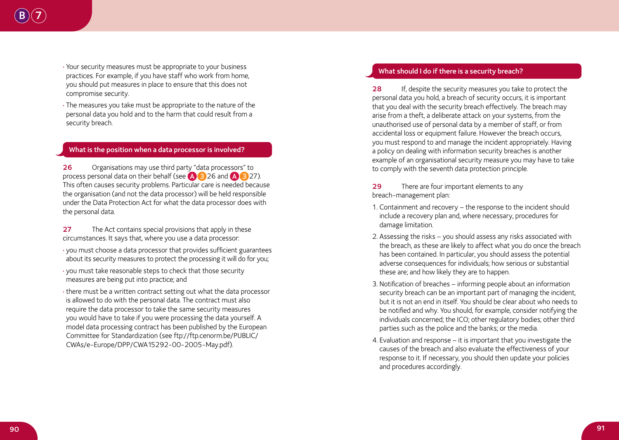

- Your security measures must be appropriate to your business practices. For example, if you have staff who work from home, you should put measures in place to ensure that this does not compromise security.
- The measures you take must be appropriate to the nature of the personal data you hold and to the harm that could result from a security breach.

# What is the position when a data processor is involved?

26 Organisations may use third party "data processors" to process personal data on their behalf (see  $\bigwedge$  3 26 and  $\bigwedge$  3 27). This often causes security problems. Particular care is needed because the organisation (and not the data processor) will be held responsible under the Data Protection Act for what the data processor does with the personal data.

27 The Act contains special provisions that apply in these circumstances. It says that, where you use a data processor:

- you must choose a data processor that provides sufficient guarantees about its security measures to protect the processing it will do for you;
- you must take reasonable steps to check that those security measures are being put into practice; and
- there must be a written contract setting out what the data processor is allowed to do with the personal data. The contract must also require the data processor to take the same security measures you would have to take if you were processing the data yourself. A model data processing contract has been published by the European Committee for Standardization (see ftp://ftp.cenorm.be/PUBLIC/ CWAs/e-Europe/DPP/CWA15292-00-2005-May.pdf).

#### What should I do if there is a security breach?

28 If, despite the security measures you take to protect the personal data you hold, a breach of security occurs, it is important that you deal with the security breach effectively. The breach may arise from a theft, a deliberate attack on your systems, from the unauthorised use of personal data by a member of staff, or from accidental loss or equipment failure. However the breach occurs, you must respond to and manage the incident appropriately. Having a policy on dealing with information security breaches is another example of an organisational security measure you may have to take to comply with the seventh data protection principle.

29 There are four important elements to any breach-management plan:

- 1. Containment and recovery the response to the incident should include a recovery plan and, where necessary, procedures for damage limitation.
- 2. Assessing the risks you should assess any risks associated with the breach, as these are likely to affect what you do once the breach has been contained. In particular, you should assess the potential adverse consequences for individuals; how serious or substantial these are; and how likely they are to happen.
- 3. Notification of breaches informing people about an information security breach can be an important part of managing the incident, but it is not an end in itself. You should be clear about who needs to be notified and why. You should, for example, consider notifying the individuals concerned; the ICO; other regulatory bodies; other third parties such as the police and the banks; or the media.
- 4. Evaluation and response it is important that you investigate the causes of the breach and also evaluate the effectiveness of your response to it. If necessary, you should then update your policies and procedures accordingly.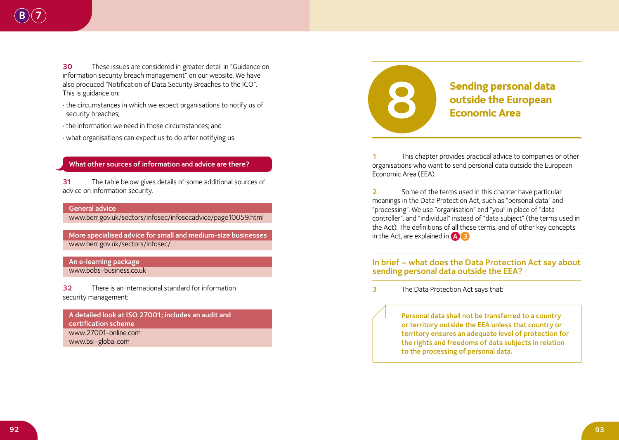

30 These issues are considered in greater detail in "Guidance on information security breach management" on our website. We have also produced "Notification of Data Security Breaches to the ICO". This is guidance on:

- the circumstances in which we expect organisations to notify us of security breaches;
- the information we need in those circumstances; and
- what organisations can expect us to do after notifying us.

# What other sources of information and advice are there?

31 The table below gives details of some additional sources of advice on information security.

#### General advice

www.berr.gov.uk/sectors/infosec/infosecadvice/page10059.html

More specialised advice for small and medium-size businesses www.berr.gov.uk/sectors/infosec/

An e-learning package www.bobs-business.co.uk

32 There is an international standard for information security management:

A detailed look at ISO 27001; includes an audit and certification scheme www.27001-online.com www.bsi-global.com



1 This chapter provides practical advice to companies or other organisations who want to send personal data outside the European Economic Area (EEA).

2 Some of the terms used in this chapter have particular meanings in the Data Protection Act, such as "personal data" and "processing". We use "organisation" and "you" in place of "data controller", and "individual" instead of "data subject" (the terms used in the Act). The definitions of all these terms, and of other key concepts in the Act, are explained in  $\bigcirc$  3

# In brief – what does the Data Protection Act say about sending personal data outside the EEA?

3 The Data Protection Act says that:

Personal data shall not be transferred to a country or territory outside the EEA unless that country or territory ensures an adequate level of protection for the rights and freedoms of data subjects in relation to the processing of personal data.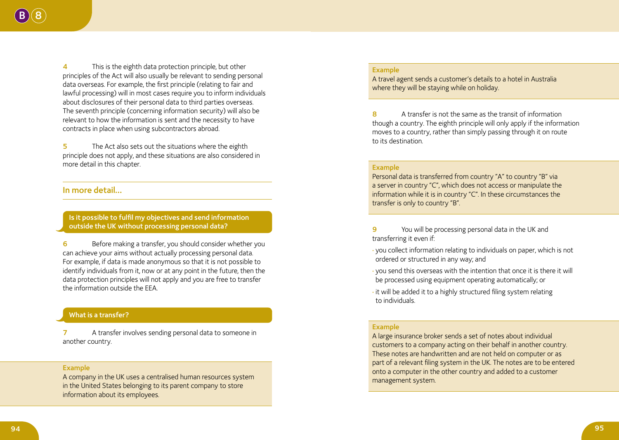This is the eighth data protection principle, but other principles of the Act will also usually be relevant to sending personal data overseas. For example, the first principle (relating to fair and lawful processing) will in most cases require you to inform individuals about disclosures of their personal data to third parties overseas. The seventh principle (concerning information security) will also be relevant to how the information is sent and the necessity to have contracts in place when using subcontractors abroad.

5 The Act also sets out the situations where the eighth principle does not apply, and these situations are also considered in more detail in this chapter.

# In more detail…

Is it possible to fulfil my objectives and send information outside the UK without processing personal data?

6 Before making a transfer, you should consider whether you can achieve your aims without actually processing personal data. For example, if data is made anonymous so that it is not possible to identify individuals from it, now or at any point in the future, then the data protection principles will not apply and you are free to transfer the information outside the EEA.

# What is a transfer?

7 A transfer involves sending personal data to someone in another country.

#### Example

A company in the UK uses a centralised human resources system in the United States belonging to its parent company to store information about its employees.

#### Example

A travel agent sends a customer's details to a hotel in Australia where they will be staying while on holiday.

8 **A transfer is not the same as the transit of information** though a country. The eighth principle will only apply if the information moves to a country, rather than simply passing through it on route to its destination.

#### Example

Personal data is transferred from country "A" to country "B" via a server in country "C", which does not access or manipulate the information while it is in country "C". In these circumstances the transfer is only to country "B".

- 9 You will be processing personal data in the UK and transferring it even if:
- you collect information relating to individuals on paper, which is not ordered or structured in any way; and
- you send this overseas with the intention that once it is there it will be processed using equipment operating automatically; or
- it will be added it to a highly structured filing system relating to individuals.

#### Example

A large insurance broker sends a set of notes about individual customers to a company acting on their behalf in another country. These notes are handwritten and are not held on computer or as part of a relevant filing system in the UK. The notes are to be entered onto a computer in the other country and added to a customer management system.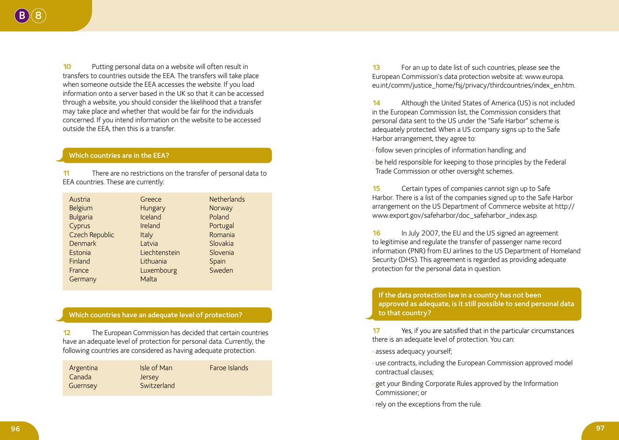

10 Putting personal data on a website will often result in transfers to countries outside the EEA. The transfers will take place when someone outside the EEA accesses the website. If you load information onto a server based in the UK so that it can be accessed through a website, you should consider the likelihood that a transfer may take place and whether that would be fair for the individuals concerned. If you intend information on the website to be accessed outside the EEA, then this is a transfer.

# Which countries are in the EEA?

11 There are no restrictions on the transfer of personal data to EEA countries. These are currently:

| Austria               | Greece        | Netherlands |
|-----------------------|---------------|-------------|
| Belgium               | Hungary       | Norway      |
| <b>Bulgaria</b>       | Iceland       | Poland      |
| Cyprus                | Ireland       | Portugal    |
| <b>Czech Republic</b> | Italy         | Romania     |
| <b>Denmark</b>        | Latvia        | Slovakia    |
| Estonia               | Liechtenstein | Slovenia    |
| Finland               | Lithuania     | Spain       |
| France                | Luxembourg    | Sweden      |
| Germany               | Malta         |             |

#### Which countries have an adequate level of protection?

12 The European Commission has decided that certain countries have an adequate level of protection for personal data. Currently, the following countries are considered as having adequate protection.

| Argentina | Isle of Man | Faroe Islands |
|-----------|-------------|---------------|
| Canada    | Jersey      |               |
| Guernsey  | Switzerland |               |

13 For an up to date list of such countries, please see the European Commission's data protection website at: www.europa. eu.int/comm/justice\_home/fsj/privacy/thirdcountries/index\_en.htm.

14 Although the United States of America (US) is not included in the European Commission list, the Commission considers that personal data sent to the US under the "Safe Harbor" scheme is adequately protected. When a US company signs up to the Safe Harbor arrangement, they agree to:

• follow seven principles of information handling; and

• be held responsible for keeping to those principles by the Federal Trade Commission or other oversight schemes.

15 Certain types of companies cannot sign up to Safe Harbor. There is a list of the companies signed up to the Safe Harbor arrangement on the US Department of Commerce website at http:// www.export.gov/safeharbor/doc\_safeharbor\_index.asp.

16 In July 2007, the EU and the US signed an agreement to legitimise and regulate the transfer of passenger name record information (PNR) from EU airlines to the US Department of Homeland Security (DHS). This agreement is regarded as providing adequate protection for the personal data in question.

If the data protection law in a country has not been approved as adequate, is it still possible to send personal data to that country?

Yes, if you are satisfied that in the particular circumstances 17 there is an adequate level of protection. You can:

• assess adequacy yourself;

- use contracts, including the European Commission approved model contractual clauses;
- get your Binding Corporate Rules approved by the Information Commissioner; or
- rely on the exceptions from the rule.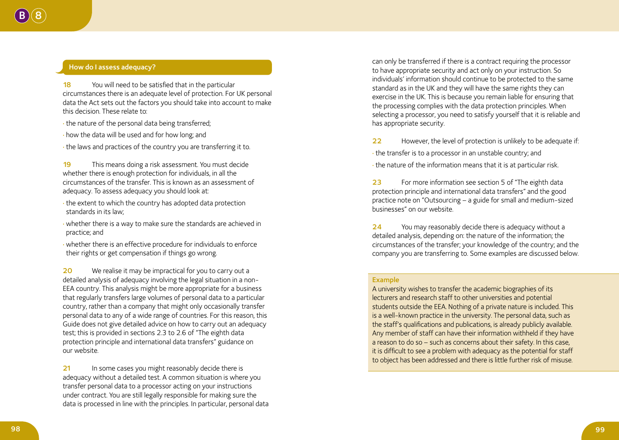# How do I assess adequacy?

18 You will need to be satisfied that in the particular circumstances there is an adequate level of protection. For UK personal data the Act sets out the factors you should take into account to make this decision. These relate to:

- the nature of the personal data being transferred;
- how the data will be used and for how long; and
- the laws and practices of the country you are transferring it to.

19 This means doing a risk assessment. You must decide whether there is enough protection for individuals, in all the circumstances of the transfer. This is known as an assessment of adequacy. To assess adequacy you should look at:

- the extent to which the country has adopted data protection standards in its law;
- whether there is a way to make sure the standards are achieved in practice; and
- whether there is an effective procedure for individuals to enforce their rights or get compensation if things go wrong.

20 We realise it may be impractical for you to carry out a detailed analysis of adequacy involving the legal situation in a non-EEA country. This analysis might be more appropriate for a business that regularly transfers large volumes of personal data to a particular country, rather than a company that might only occasionally transfer personal data to any of a wide range of countries. For this reason, this Guide does not give detailed advice on how to carry out an adequacy test; this is provided in sections 2.3 to 2.6 of "The eighth data protection principle and international data transfers" guidance on our website.

21 In some cases you might reasonably decide there is adequacy without a detailed test. A common situation is where you transfer personal data to a processor acting on your instructions under contract. You are still legally responsible for making sure the data is processed in line with the principles. In particular, personal data can only be transferred if there is a contract requiring the processor to have appropriate security and act only on your instruction. So individuals' information should continue to be protected to the same standard as in the UK and they will have the same rights they can exercise in the UK. This is because you remain liable for ensuring that the processing complies with the data protection principles. When selecting a processor, you need to satisfy yourself that it is reliable and has appropriate security.

22 However, the level of protection is unlikely to be adequate if: • the transfer is to a processor in an unstable country; and

• the nature of the information means that it is at particular risk.

23 For more information see section 5 of "The eighth data protection principle and international data transfers" and the good practice note on "Outsourcing – a guide for small and medium-sized businesses" on our website.

24 You may reasonably decide there is adequacy without a detailed analysis, depending on: the nature of the information; the circumstances of the transfer; your knowledge of the country; and the company you are transferring to. Some examples are discussed below.

#### Example

A university wishes to transfer the academic biographies of its lecturers and research staff to other universities and potential students outside the EEA. Nothing of a private nature is included. This is a well-known practice in the university. The personal data, such as the staff's qualifications and publications, is already publicly available. Any member of staff can have their information withheld if they have a reason to do so – such as concerns about their safety. In this case, it is difficult to see a problem with adequacy as the potential for staff to object has been addressed and there is little further risk of misuse.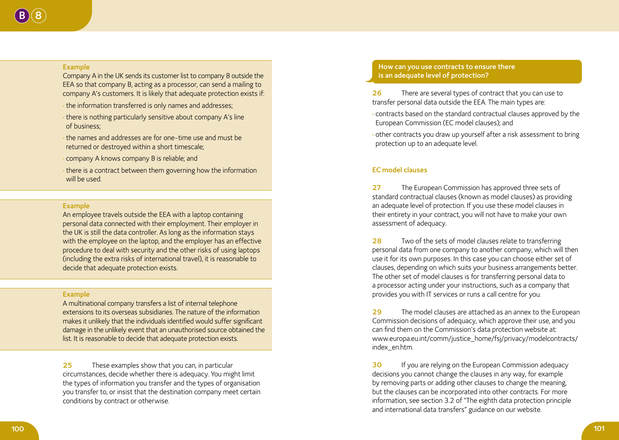

#### Example

Company A in the UK sends its customer list to company B outside the EEA so that company B, acting as a processor, can send a mailing to company A's customers. It is likely that adequate protection exists if:

- the information transferred is only names and addresses;
- there is nothing particularly sensitive about company A's line of business;
- the names and addresses are for one-time use and must be returned or destroyed within a short timescale;
- company A knows company B is reliable; and
- there is a contract between them governing how the information will be used.

#### Example

An employee travels outside the EEA with a laptop containing personal data connected with their employment. Their employer in the UK is still the data controller. As long as the information stays with the employee on the laptop, and the employer has an effective procedure to deal with security and the other risks of using laptops (including the extra risks of international travel), it is reasonable to decide that adequate protection exists.

#### Example

A multinational company transfers a list of internal telephone extensions to its overseas subsidiaries. The nature of the information makes it unlikely that the individuals identified would suffer significant damage in the unlikely event that an unauthorised source obtained the list. It is reasonable to decide that adequate protection exists.

25 These examples show that you can, in particular circumstances, decide whether there is adequacy. You might limit the types of information you transfer and the types of organisation you transfer to, or insist that the destination company meet certain conditions by contract or otherwise.

# How can you use contracts to ensure there is an adequate level of protection?

- 26 There are several types of contract that you can use to transfer personal data outside the EEA. The main types are:
- contracts based on the standard contractual clauses approved by the European Commission (EC model clauses); and
- other contracts you draw up yourself after a risk assessment to bring protection up to an adequate level.

# EC model clauses

27 The European Commission has approved three sets of standard contractual clauses (known as model clauses) as providing an adequate level of protection. If you use these model clauses in their entirety in your contract, you will not have to make your own assessment of adequacy.

28 Two of the sets of model clauses relate to transferring personal data from one company to another company, which will then use it for its own purposes. In this case you can choose either set of clauses, depending on which suits your business arrangements better. The other set of model clauses is for transferring personal data to a processor acting under your instructions, such as a company that provides you with IT services or runs a call centre for you.

29 The model clauses are attached as an annex to the European Commission decisions of adequacy, which approve their use, and you can find them on the Commission's data protection website at: www.europa.eu.int/comm/justice\_home/fsj/privacy/modelcontracts/ index\_en.htm.

**30** If you are relying on the European Commission adequacy decisions you cannot change the clauses in any way, for example by removing parts or adding other clauses to change the meaning, but the clauses can be incorporated into other contracts. For more information, see section 3.2 of "The eighth data protection principle and international data transfers" guidance on our website.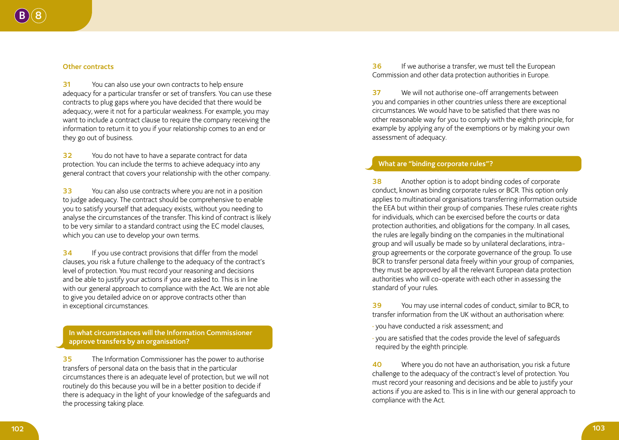#### Other contracts

31 You can also use your own contracts to help ensure adequacy for a particular transfer or set of transfers. You can use these contracts to plug gaps where you have decided that there would be adequacy, were it not for a particular weakness. For example, you may want to include a contract clause to require the company receiving the information to return it to you if your relationship comes to an end or they go out of business.

32 You do not have to have a separate contract for data protection. You can include the terms to achieve adequacy into any general contract that covers your relationship with the other company.

33 You can also use contracts where you are not in a position to judge adequacy. The contract should be comprehensive to enable you to satisfy yourself that adequacy exists, without you needing to analyse the circumstances of the transfer. This kind of contract is likely to be very similar to a standard contract using the EC model clauses, which you can use to develop your own terms.

34 If you use contract provisions that differ from the model clauses, you risk a future challenge to the adequacy of the contract's level of protection. You must record your reasoning and decisions and be able to justify your actions if you are asked to. This is in line with our general approach to compliance with the Act. We are not able to give you detailed advice on or approve contracts other than in exceptional circumstances.

In what circumstances will the Information Commissioner approve transfers by an organisation?

35 The Information Commissioner has the power to authorise transfers of personal data on the basis that in the particular circumstances there is an adequate level of protection, but we will not routinely do this because you will be in a better position to decide if there is adequacy in the light of your knowledge of the safeguards and the processing taking place.

**36** If we authorise a transfer, we must tell the European Commission and other data protection authorities in Europe.

37 We will not authorise one-off arrangements between you and companies in other countries unless there are exceptional circumstances. We would have to be satisfied that there was no other reasonable way for you to comply with the eighth principle, for example by applying any of the exemptions or by making your own assessment of adequacy.

# What are "binding corporate rules"?

38 Another option is to adopt binding codes of corporate conduct, known as binding corporate rules or BCR. This option only applies to multinational organisations transferring information outside the EEA but within their group of companies. These rules create rights for individuals, which can be exercised before the courts or data protection authorities, and obligations for the company. In all cases, the rules are legally binding on the companies in the multinational group and will usually be made so by unilateral declarations, intragroup agreements or the corporate governance of the group. To use BCR to transfer personal data freely within your group of companies, they must be approved by all the relevant European data protection authorities who will co-operate with each other in assessing the standard of your rules.

39 You may use internal codes of conduct, similar to BCR, to transfer information from the UK without an authorisation where:

- you have conducted a risk assessment; and
- you are satisfied that the codes provide the level of safeguards required by the eighth principle.

40 Where you do not have an authorisation, you risk a future challenge to the adequacy of the contract's level of protection. You must record your reasoning and decisions and be able to justify your actions if you are asked to. This is in line with our general approach to compliance with the Act.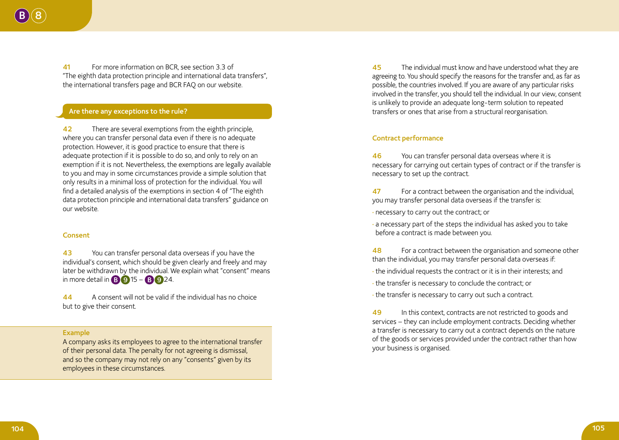

41 For more information on BCR, see section 3.3 of "The eighth data protection principle and international data transfers", the international transfers page and BCR FAQ on our website.

# Are there any exceptions to the rule?

42 There are several exemptions from the eighth principle, where you can transfer personal data even if there is no adequate protection. However, it is good practice to ensure that there is adequate protection if it is possible to do so, and only to rely on an exemption if it is not. Nevertheless, the exemptions are legally available to you and may in some circumstances provide a simple solution that only results in a minimal loss of protection for the individual. You will find a detailed analysis of the exemptions in section 4 of "The eighth data protection principle and international data transfers" guidance on our website.

#### Consent

43 You can transfer personal data overseas if you have the individual's consent, which should be given clearly and freely and may later be withdrawn by the individual. We explain what "consent" means in more detail in  $\mathbf{B}$   $\mathbf{9}$  15 –  $\mathbf{B}$   $\mathbf{9}$  24.

44 A consent will not be valid if the individual has no choice but to give their consent.

#### Example

A company asks its employees to agree to the international transfer of their personal data. The penalty for not agreeing is dismissal, and so the company may not rely on any "consents" given by its employees in these circumstances.

45 The individual must know and have understood what they are agreeing to. You should specify the reasons for the transfer and, as far as possible, the countries involved. If you are aware of any particular risks involved in the transfer, you should tell the individual. In our view, consent is unlikely to provide an adequate long-term solution to repeated transfers or ones that arise from a structural reorganisation.

#### Contract performance

46 You can transfer personal data overseas where it is necessary for carrying out certain types of contract or if the transfer is necessary to set up the contract.

47 For a contract between the organisation and the individual, you may transfer personal data overseas if the transfer is:

• necessary to carry out the contract; or

• a necessary part of the steps the individual has asked you to take before a contract is made between you.

48 For a contract between the organisation and someone other than the individual, you may transfer personal data overseas if:

- the individual requests the contract or it is in their interests; and
- the transfer is necessary to conclude the contract; or
- the transfer is necessary to carry out such a contract.

49 In this context, contracts are not restricted to goods and services – they can include employment contracts. Deciding whether a transfer is necessary to carry out a contract depends on the nature of the goods or services provided under the contract rather than how your business is organised.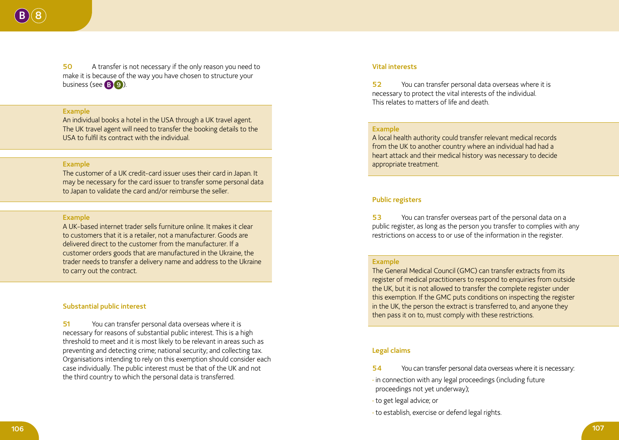

50 A transfer is not necessary if the only reason you need to make it is because of the way you have chosen to structure your business (see  $\mathbf{B}(\mathbf{9})$ ).

#### Example

An individual books a hotel in the USA through a UK travel agent. The UK travel agent will need to transfer the booking details to the USA to fulfil its contract with the individual.

#### Example

The customer of a UK credit-card issuer uses their card in Japan. It may be necessary for the card issuer to transfer some personal data to Japan to validate the card and/or reimburse the seller.

# Example

A UK-based internet trader sells furniture online. It makes it clear to customers that it is a retailer, not a manufacturer. Goods are delivered direct to the customer from the manufacturer. If a customer orders goods that are manufactured in the Ukraine, the trader needs to transfer a delivery name and address to the Ukraine to carry out the contract.

## Substantial public interest

51 You can transfer personal data overseas where it is necessary for reasons of substantial public interest. This is a high threshold to meet and it is most likely to be relevant in areas such as preventing and detecting crime; national security; and collecting tax. Organisations intending to rely on this exemption should consider each case individually. The public interest must be that of the UK and not the third country to which the personal data is transferred.

#### Vital interests

52 You can transfer personal data overseas where it is necessary to protect the vital interests of the individual. This relates to matters of life and death.

#### Example

A local health authority could transfer relevant medical records from the UK to another country where an individual had had a heart attack and their medical history was necessary to decide appropriate treatment.

#### Public registers

53 You can transfer overseas part of the personal data on a public register, as long as the person you transfer to complies with any restrictions on access to or use of the information in the register.

#### Example

The General Medical Council (GMC) can transfer extracts from its register of medical practitioners to respond to enquiries from outside the UK, but it is not allowed to transfer the complete register under this exemption. If the GMC puts conditions on inspecting the register in the UK, the person the extract is transferred to, and anyone they then pass it on to, must comply with these restrictions.

#### Legal claims

- 54 You can transfer personal data overseas where it is necessary:
- in connection with any legal proceedings (including future proceedings not yet underway);
- to get legal advice; or
- to establish, exercise or defend legal rights.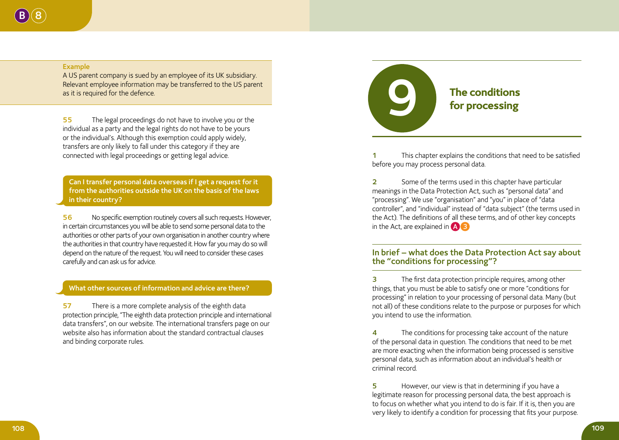

#### Example

A US parent company is sued by an employee of its UK subsidiary. Relevant employee information may be transferred to the US parent as it is required for the defence.

55 The legal proceedings do not have to involve you or the individual as a party and the legal rights do not have to be yours or the individual's. Although this exemption could apply widely, transfers are only likely to fall under this category if they are connected with legal proceedings or getting legal advice.

Can I transfer personal data overseas if I get a request for it from the authorities outside the UK on the basis of the laws in their country?

56 No specific exemption routinely covers all such requests. However, in certain circumstances you will be able to send some personal data to the authorities or other parts of your own organisation in another country where the authorities in that country have requested it. How far you may do so will depend on the nature of the request. You will need to consider these cases carefully and can ask us for advice.

#### What other sources of information and advice are there?

57 There is a more complete analysis of the eighth data protection principle, "The eighth data protection principle and international data transfers", on our website. The international transfers page on our website also has information about the standard contractual clauses and binding corporate rules.



1 This chapter explains the conditions that need to be satisfied before you may process personal data.

2 Some of the terms used in this chapter have particular meanings in the Data Protection Act, such as "personal data" and "processing". We use "organisation" and "you" in place of "data controller", and "individual" instead of "data subject" (the terms used in the Act). The definitions of all these terms, and of other key concepts in the Act, are explained in  $\bigcirc$ 

# In brief – what does the Data Protection Act say about the "conditions for processing"?

3 The first data protection principle requires, among other things, that you must be able to satisfy one or more "conditions for processing" in relation to your processing of personal data. Many (but not all) of these conditions relate to the purpose or purposes for which you intend to use the information.

4 The conditions for processing take account of the nature of the personal data in question. The conditions that need to be met are more exacting when the information being processed is sensitive personal data, such as information about an individual's health or criminal record.

5 However, our view is that in determining if you have a legitimate reason for processing personal data, the best approach is to focus on whether what you intend to do is fair. If it is, then you are very likely to identify a condition for processing that fits your purpose.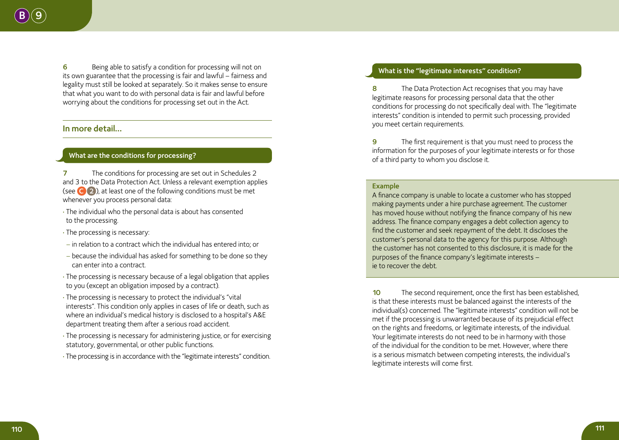6 Being able to satisfy a condition for processing will not on its own guarantee that the processing is fair and lawful – fairness and legality must still be looked at separately. So it makes sense to ensure that what you want to do with personal data is fair and lawful before worrying about the conditions for processing set out in the Act.

# In more detail…

# What are the conditions for processing?

7 The conditions for processing are set out in Schedules 2 and 3 to the Data Protection Act. Unless a relevant exemption applies (see  $\bigodot$  2), at least one of the following conditions must be met whenever you process personal data:

- The individual who the personal data is about has consented to the processing.
- The processing is necessary:
- in relation to a contract which the individual has entered into; or
- because the individual has asked for something to be done so they can enter into a contract.
- The processing is necessary because of a legal obligation that applies to you (except an obligation imposed by a contract).
- The processing is necessary to protect the individual's "vital interests". This condition only applies in cases of life or death, such as where an individual's medical history is disclosed to a hospital's A&E department treating them after a serious road accident.
- The processing is necessary for administering justice, or for exercising statutory, governmental, or other public functions.
- The processing is in accordance with the "legitimate interests" condition.

## What is the "legitimate interests" condition?

8 The Data Protection Act recognises that you may have legitimate reasons for processing personal data that the other conditions for processing do not specifically deal with. The "legitimate interests" condition is intended to permit such processing, provided you meet certain requirements.

9 The first requirement is that you must need to process the information for the purposes of your legitimate interests or for those of a third party to whom you disclose it.

#### Example

A finance company is unable to locate a customer who has stopped making payments under a hire purchase agreement. The customer has moved house without notifying the finance company of his new address. The finance company engages a debt collection agency to find the customer and seek repayment of the debt. It discloses the customer's personal data to the agency for this purpose. Although the customer has not consented to this disclosure, it is made for the purposes of the finance company's legitimate interests – ie to recover the debt.

10 The second requirement, once the first has been established, is that these interests must be balanced against the interests of the individual(s) concerned. The "legitimate interests" condition will not be met if the processing is unwarranted because of its prejudicial effect on the rights and freedoms, or legitimate interests, of the individual. Your legitimate interests do not need to be in harmony with those of the individual for the condition to be met. However, where there is a serious mismatch between competing interests, the individual's legitimate interests will come first.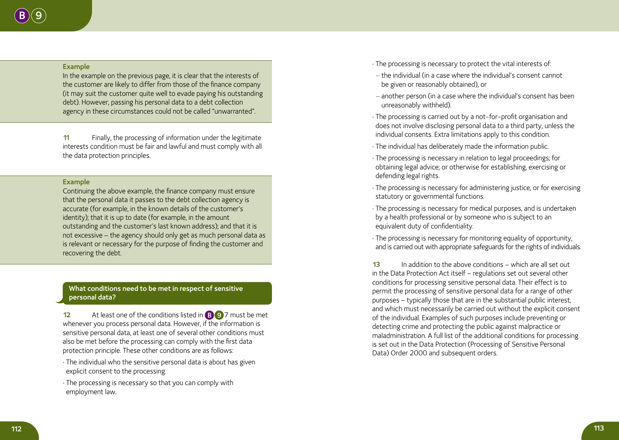

#### Example

In the example on the previous page, it is clear that the interests of the customer are likely to differ from those of the finance company (it may suit the customer quite well to evade paying his outstanding debt). However, passing his personal data to a debt collection agency in these circumstances could not be called "unwarranted".

11 Finally, the processing of information under the legitimate interests condition must be fair and lawful and must comply with all the data protection principles.

#### Example

Continuing the above example, the finance company must ensure that the personal data it passes to the debt collection agency is accurate (for example, in the known details of the customer's identity); that it is up to date (for example, in the amount outstanding and the customer's last known address); and that it is not excessive – the agency should only get as much personal data as is relevant or necessary for the purpose of finding the customer and recovering the debt.

# What conditions need to be met in respect of sensitive personal data?

12 At least one of the conditions listed in  $\mathbf{B} \mathbf{Q}$  7 must be met whenever you process personal data. However, if the information is sensitive personal data, at least one of several other conditions must also be met before the processing can comply with the first data protection principle. These other conditions are as follows:

- The individual who the sensitive personal data is about has given explicit consent to the processing.
- The processing is necessary so that you can comply with employment law.
- The processing is necessary to protect the vital interests of:
- the individual (in a case where the individual's consent cannot be given or reasonably obtained), or
- another person (in a case where the individual's consent has been unreasonably withheld).
- The processing is carried out by a not-for-profit organisation and does not involve disclosing personal data to a third party, unless the individual consents. Extra limitations apply to this condition.
- The individual has deliberately made the information public.
- The processing is necessary in relation to legal proceedings; for obtaining legal advice; or otherwise for establishing, exercising or defending legal rights.
- The processing is necessary for administering justice, or for exercising statutory or governmental functions.
- The processing is necessary for medical purposes, and is undertaken by a health professional or by someone who is subject to an equivalent duty of confidentiality.
- The processing is necessary for monitoring equality of opportunity, and is carried out with appropriate safeguards for the rights of individuals.

13 In addition to the above conditions – which are all set out in the Data Protection Act itself – regulations set out several other conditions for processing sensitive personal data. Their effect is to permit the processing of sensitive personal data for a range of other purposes – typically those that are in the substantial public interest, and which must necessarily be carried out without the explicit consent of the individual. Examples of such purposes include preventing or detecting crime and protecting the public against malpractice or maladministration. A full list of the additional conditions for processing is set out in the Data Protection (Processing of Sensitive Personal Data) Order 2000 and subsequent orders.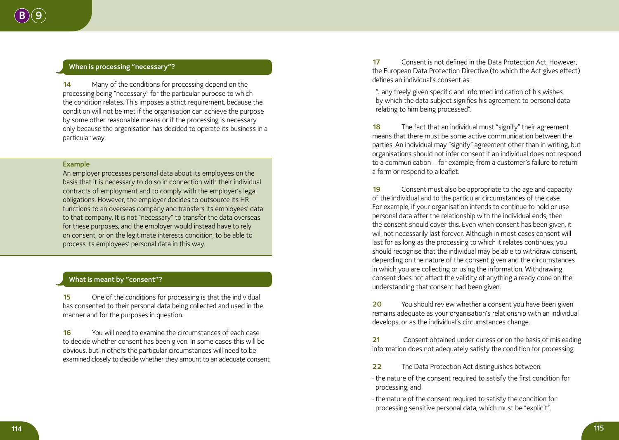# When is processing "necessary"?

14 Many of the conditions for processing depend on the processing being "necessary" for the particular purpose to which the condition relates. This imposes a strict requirement, because the condition will not be met if the organisation can achieve the purpose by some other reasonable means or if the processing is necessary only because the organisation has decided to operate its business in a particular way.

#### Example

An employer processes personal data about its employees on the basis that it is necessary to do so in connection with their individual contracts of employment and to comply with the employer's legal obligations. However, the employer decides to outsource its HR functions to an overseas company and transfers its employees' data to that company. It is not "necessary" to transfer the data overseas for these purposes, and the employer would instead have to rely on consent, or on the legitimate interests condition, to be able to process its employees' personal data in this way.

#### What is meant by "consent"?

15 One of the conditions for processing is that the individual has consented to their personal data being collected and used in the manner and for the purposes in question.

16 You will need to examine the circumstances of each case to decide whether consent has been given. In some cases this will be obvious, but in others the particular circumstances will need to be examined closely to decide whether they amount to an adequate consent. 17 Consent is not defined in the Data Protection Act. However, the European Data Protection Directive (to which the Act gives effect) defines an individual's consent as:

"…any freely given specific and informed indication of his wishes by which the data subject signifies his agreement to personal data relating to him being processed".

18 The fact that an individual must "signify" their agreement means that there must be some active communication between the parties. An individual may "signify" agreement other than in writing, but organisations should not infer consent if an individual does not respond to a communication – for example, from a customer's failure to return a form or respond to a leaflet.

19 Consent must also be appropriate to the age and capacity of the individual and to the particular circumstances of the case. For example, if your organisation intends to continue to hold or use personal data after the relationship with the individual ends, then the consent should cover this. Even when consent has been given, it will not necessarily last forever. Although in most cases consent will last for as long as the processing to which it relates continues, you should recognise that the individual may be able to withdraw consent, depending on the nature of the consent given and the circumstances in which you are collecting or using the information. Withdrawing consent does not affect the validity of anything already done on the understanding that consent had been given.

20 You should review whether a consent you have been given remains adequate as your organisation's relationship with an individual develops, or as the individual's circumstances change.

21 Consent obtained under duress or on the basis of misleading information does not adequately satisfy the condition for processing.

- 22 The Data Protection Act distinguishes between:
- the nature of the consent required to satisfy the first condition for processing; and
- the nature of the consent required to satisfy the condition for processing sensitive personal data, which must be "explicit".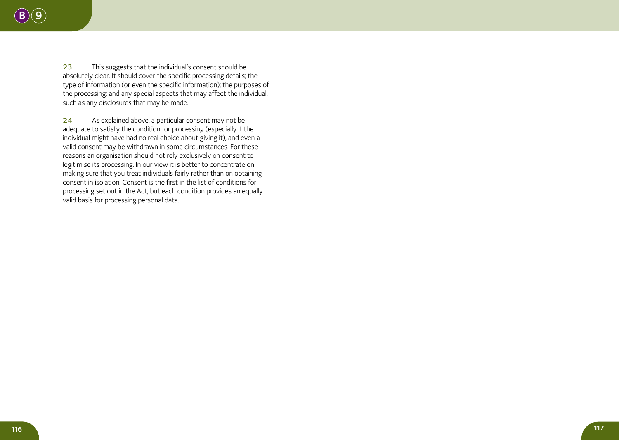

23 This suggests that the individual's consent should be absolutely clear. It should cover the specific processing details; the type of information (or even the specific information); the purposes of the processing; and any special aspects that may affect the individual, such as any disclosures that may be made.

24 As explained above, a particular consent may not be adequate to satisfy the condition for processing (especially if the individual might have had no real choice about giving it), and even a valid consent may be withdrawn in some circumstances. For these reasons an organisation should not rely exclusively on consent to legitimise its processing. In our view it is better to concentrate on making sure that you treat individuals fairly rather than on obtaining consent in isolation. Consent is the first in the list of conditions for processing set out in the Act, but each condition provides an equally valid basis for processing personal data.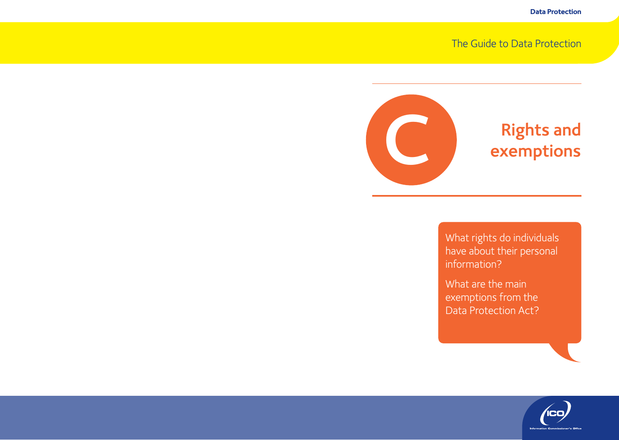# The Guide to Data Protection



# Rights and exemptions

What rights do individuals have about their personal information?

What are the main exemptions from the Data Protection Act?

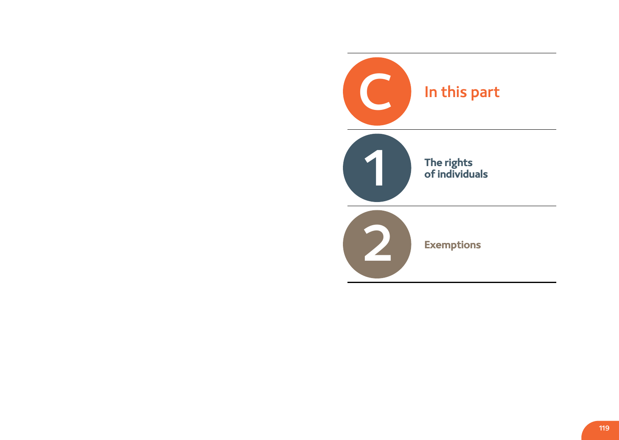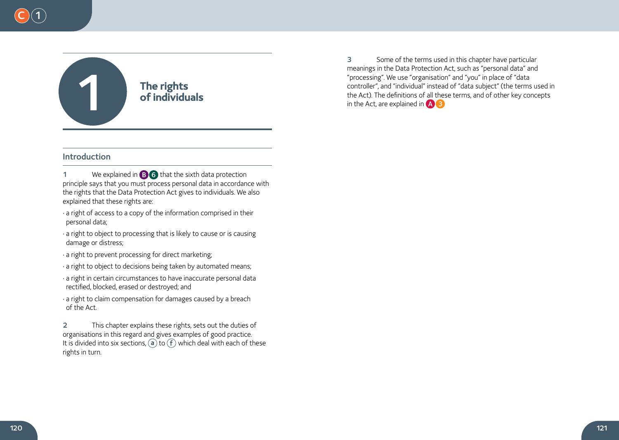# The rights of individuals

3 Some of the terms used in this chapter have particular meanings in the Data Protection Act, such as "personal data" and "processing". We use "organisation" and "you" in place of "data controller", and "individual" instead of "data subject" (the terms used in the Act). The definitions of all these terms, and of other key concepts in the Act, are explained in  $\bigcirc$   $\bigcirc$ 

# Introduction

1 We explained in  $\mathbf{B}$  of that the sixth data protection principle says that you must process personal data in accordance with the rights that the Data Protection Act gives to individuals. We also explained that these rights are:

- a right of access to a copy of the information comprised in their personal data;
- a right to object to processing that is likely to cause or is causing damage or distress;
- a right to prevent processing for direct marketing;
- a right to object to decisions being taken by automated means;
- a right in certain circumstances to have inaccurate personal data rectified, blocked, erased or destroyed; and
- a right to claim compensation for damages caused by a breach of the Act.

2 This chapter explains these rights, sets out the duties of organisations in this regard and gives examples of good practice. It is divided into six sections, (a) to  $(\widehat{f})$  which deal with each of these rights in turn.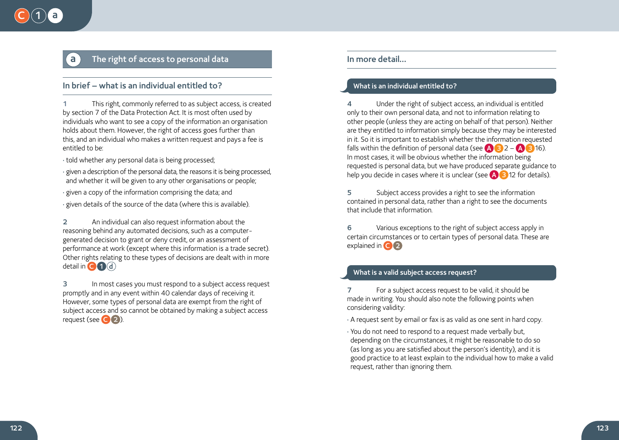# a The right of access to personal data

# In brief – what is an individual entitled to?

This right, commonly referred to as subject access, is created by section 7 of the Data Protection Act. It is most often used by individuals who want to see a copy of the information an organisation holds about them. However, the right of access goes further than this, and an individual who makes a written request and pays a fee is entitled to be:

- told whether any personal data is being processed;
- given a description of the personal data, the reasons it is being processed, and whether it will be given to any other organisations or people;
- given a copy of the information comprising the data; and
- given details of the source of the data (where this is available).

2 An individual can also request information about the reasoning behind any automated decisions, such as a computergenerated decision to grant or deny credit, or an assessment of performance at work (except where this information is a trade secret). Other rights relating to these types of decisions are dealt with in more detail in **C**n (d)

3 In most cases you must respond to a subject access request promptly and in any event within 40 calendar days of receiving it. However, some types of personal data are exempt from the right of subject access and so cannot be obtained by making a subject access request (see  $\bigcirc$  (2).

# In more detail…

# What is an individual entitled to?

4 Under the right of subject access, an individual is entitled only to their own personal data, and not to information relating to other people (unless they are acting on behalf of that person). Neither are they entitled to information simply because they may be interested in it. So it is important to establish whether the information requested falls within the definition of personal data (see  $\triangle$  3 2 –  $\triangle$  3 16). In most cases, it will be obvious whether the information being requested is personal data, but we have produced separate guidance to help you decide in cases where it is unclear (see  $\bigcirc$  3 12 for details).

5 Subject access provides a right to see the information contained in personal data, rather than a right to see the documents that include that information.

6 Various exceptions to the right of subject access apply in certain circumstances or to certain types of personal data. These are explained in  $\bigcirc$  (2)

# What is a valid subject access request?

7 For a subject access request to be valid, it should be made in writing. You should also note the following points when considering validity:

- A request sent by email or fax is as valid as one sent in hard copy.
- You do not need to respond to a request made verbally but, depending on the circumstances, it might be reasonable to do so (as long as you are satisfied about the person's identity), and it is good practice to at least explain to the individual how to make a valid request, rather than ignoring them.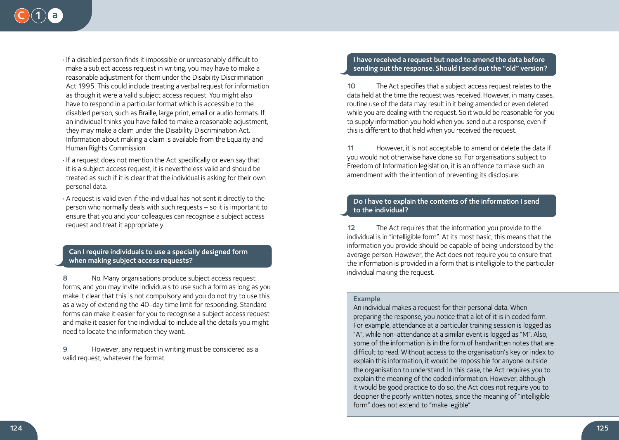

• If a disabled person finds it impossible or unreasonably difficult to make a subject access request in writing, you may have to make a reasonable adjustment for them under the Disability Discrimination Act 1995. This could include treating a verbal request for information as though it were a valid subject access request. You might also have to respond in a particular format which is accessible to the disabled person, such as Braille, large print, email or audio formats. If an individual thinks you have failed to make a reasonable adjustment, they may make a claim under the Disability Discrimination Act. Information about making a claim is available from the Equality and Human Rights Commission.

- If a request does not mention the Act specifically or even say that it is a subject access request, it is nevertheless valid and should be treated as such if it is clear that the individual is asking for their own personal data.
- A request is valid even if the individual has not sent it directly to the person who normally deals with such requests – so it is important to ensure that you and your colleagues can recognise a subject access request and treat it appropriately.

# Can I require individuals to use a specially designed form when making subject access requests?

No. Many organisations produce subject access request forms, and you may invite individuals to use such a form as long as you make it clear that this is not compulsory and you do not try to use this as a way of extending the 40-day time limit for responding. Standard forms can make it easier for you to recognise a subject access request and make it easier for the individual to include all the details you might need to locate the information they want.

9 However, any request in writing must be considered as a valid request, whatever the format.

# I have received a request but need to amend the data before sending out the response. Should I send out the "old" version?

10 The Act specifies that a subject access request relates to the data held at the time the request was received. However, in many cases, routine use of the data may result in it being amended or even deleted while you are dealing with the request. So it would be reasonable for you to supply information you hold when you send out a response, even if this is different to that held when you received the request.

11 However, it is not acceptable to amend or delete the data if you would not otherwise have done so. For organisations subject to Freedom of Information legislation, it is an offence to make such an amendment with the intention of preventing its disclosure.

# Do I have to explain the contents of the information I send to the individual?

12 The Act requires that the information you provide to the individual is in "intelligible form". At its most basic, this means that the information you provide should be capable of being understood by the average person. However, the Act does not require you to ensure that the information is provided in a form that is intelligible to the particular individual making the request.

# Example

An individual makes a request for their personal data. When preparing the response, you notice that a lot of it is in coded form. For example, attendance at a particular training session is logged as "A", while non-attendance at a similar event is logged as "M". Also, some of the information is in the form of handwritten notes that are difficult to read. Without access to the organisation's key or index to explain this information, it would be impossible for anyone outside the organisation to understand. In this case, the Act requires you to explain the meaning of the coded information. However, although it would be good practice to do so, the Act does not require you to decipher the poorly written notes, since the meaning of "intelligible form" does not extend to "make legible".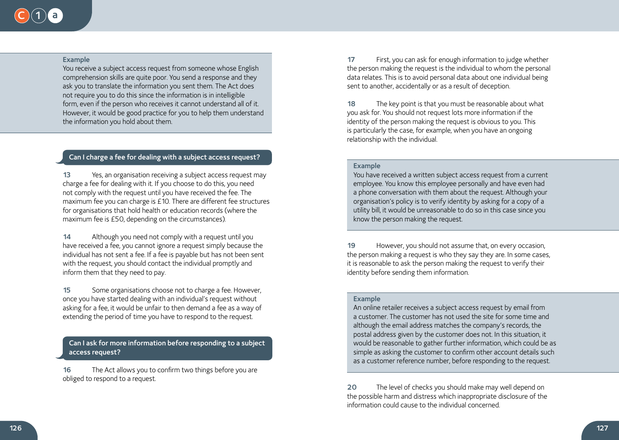

#### Example

You receive a subject access request from someone whose English comprehension skills are quite poor. You send a response and they ask you to translate the information you sent them. The Act does not require you to do this since the information is in intelligible form, even if the person who receives it cannot understand all of it. However, it would be good practice for you to help them understand the information you hold about them.

# Can I charge a fee for dealing with a subject access request?

13 Yes, an organisation receiving a subject access request may charge a fee for dealing with it. If you choose to do this, you need not comply with the request until you have received the fee. The maximum fee you can charge is £10. There are different fee structures for organisations that hold health or education records (where the maximum fee is £50, depending on the circumstances).

14 Although you need not comply with a request until you have received a fee, you cannot ignore a request simply because the individual has not sent a fee. If a fee is payable but has not been sent with the request, you should contact the individual promptly and inform them that they need to pay.

15 Some organisations choose not to charge a fee. However, once you have started dealing with an individual's request without asking for a fee, it would be unfair to then demand a fee as a way of extending the period of time you have to respond to the request.

Can I ask for more information before responding to a subject access request?

16 The Act allows you to confirm two things before you are obliged to respond to a request.

17 First, you can ask for enough information to judge whether the person making the request is the individual to whom the personal data relates. This is to avoid personal data about one individual being sent to another, accidentally or as a result of deception.

18 The key point is that you must be reasonable about what you ask for. You should not request lots more information if the identity of the person making the request is obvious to you. This is particularly the case, for example, when you have an ongoing relationship with the individual.

#### Example

You have received a written subject access request from a current employee. You know this employee personally and have even had a phone conversation with them about the request. Although your organisation's policy is to verify identity by asking for a copy of a utility bill, it would be unreasonable to do so in this case since you know the person making the request.

19 However, you should not assume that, on every occasion, the person making a request is who they say they are. In some cases, it is reasonable to ask the person making the request to verify their identity before sending them information.

#### Example

An online retailer receives a subject access request by email from a customer. The customer has not used the site for some time and although the email address matches the company's records, the postal address given by the customer does not. In this situation, it would be reasonable to gather further information, which could be as simple as asking the customer to confirm other account details such as a customer reference number, before responding to the request.

20 The level of checks you should make may well depend on the possible harm and distress which inappropriate disclosure of the information could cause to the individual concerned.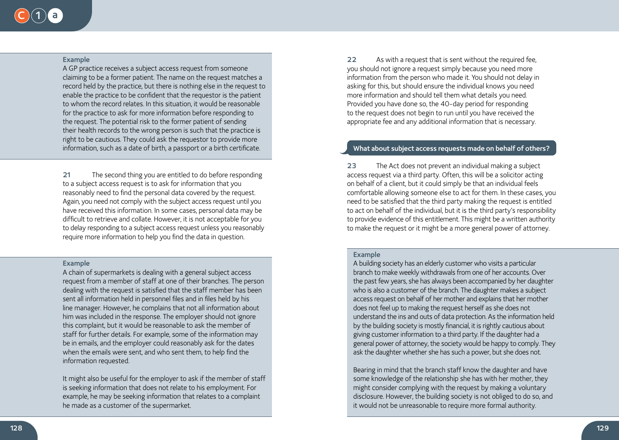

#### Example

A GP practice receives a subject access request from someone claiming to be a former patient. The name on the request matches a record held by the practice, but there is nothing else in the request to enable the practice to be confident that the requestor is the patient to whom the record relates. In this situation, it would be reasonable for the practice to ask for more information before responding to the request. The potential risk to the former patient of sending their health records to the wrong person is such that the practice is right to be cautious. They could ask the requestor to provide more information, such as a date of birth, a passport or a birth certificate.

21 The second thing you are entitled to do before responding to a subject access request is to ask for information that you reasonably need to find the personal data covered by the request. Again, you need not comply with the subject access request until you have received this information. In some cases, personal data may be difficult to retrieve and collate. However, it is not acceptable for you to delay responding to a subject access request unless you reasonably require more information to help you find the data in question.

#### Example

A chain of supermarkets is dealing with a general subject access request from a member of staff at one of their branches. The person dealing with the request is satisfied that the staff member has been sent all information held in personnel files and in files held by his line manager. However, he complains that not all information about him was included in the response. The employer should not ignore this complaint, but it would be reasonable to ask the member of staff for further details. For example, some of the information may be in emails, and the employer could reasonably ask for the dates when the emails were sent, and who sent them, to help find the information requested.

It might also be useful for the employer to ask if the member of staff is seeking information that does not relate to his employment. For example, he may be seeking information that relates to a complaint he made as a customer of the supermarket.

22 As with a request that is sent without the required fee. you should not ignore a request simply because you need more information from the person who made it. You should not delay in asking for this, but should ensure the individual knows you need more information and should tell them what details you need. Provided you have done so, the 40-day period for responding to the request does not begin to run until you have received the appropriate fee and any additional information that is necessary.

# What about subject access requests made on behalf of others?

23 The Act does not prevent an individual making a subject access request via a third party. Often, this will be a solicitor acting on behalf of a client, but it could simply be that an individual feels comfortable allowing someone else to act for them. In these cases, you need to be satisfied that the third party making the request is entitled to act on behalf of the individual, but it is the third party's responsibility to provide evidence of this entitlement. This might be a written authority to make the request or it might be a more general power of attorney.

#### Example

A building society has an elderly customer who visits a particular branch to make weekly withdrawals from one of her accounts. Over the past few years, she has always been accompanied by her daughter who is also a customer of the branch. The daughter makes a subject access request on behalf of her mother and explains that her mother does not feel up to making the request herself as she does not understand the ins and outs of data protection. As the information held by the building society is mostly financial, it is rightly cautious about giving customer information to a third party. If the daughter had a general power of attorney, the society would be happy to comply. They ask the daughter whether she has such a power, but she does not.

Bearing in mind that the branch staff know the daughter and have some knowledge of the relationship she has with her mother, they might consider complying with the request by making a voluntary disclosure. However, the building society is not obliged to do so, and it would not be unreasonable to require more formal authority.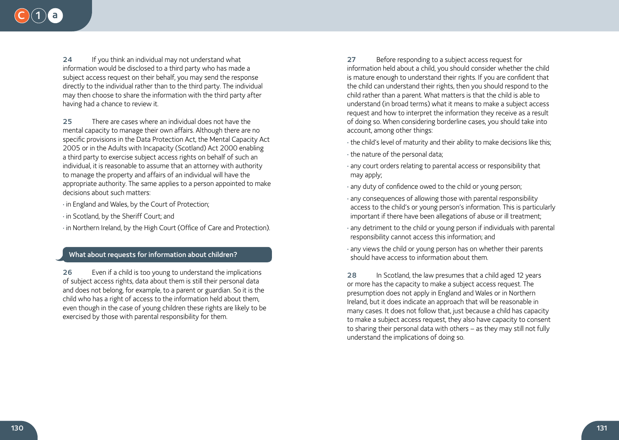

24 If you think an individual may not understand what information would be disclosed to a third party who has made a subject access request on their behalf, you may send the response directly to the individual rather than to the third party. The individual may then choose to share the information with the third party after having had a chance to review it.

25 There are cases where an individual does not have the mental capacity to manage their own affairs. Although there are no specific provisions in the Data Protection Act, the Mental Capacity Act 2005 or in the Adults with Incapacity (Scotland) Act 2000 enabling a third party to exercise subject access rights on behalf of such an individual, it is reasonable to assume that an attorney with authority to manage the property and affairs of an individual will have the appropriate authority. The same applies to a person appointed to make decisions about such matters:

- in England and Wales, by the Court of Protection;
- in Scotland, by the Sheriff Court; and
- in Northern Ireland, by the High Court (Office of Care and Protection).

# What about requests for information about children?

26 Even if a child is too young to understand the implications of subject access rights, data about them is still their personal data and does not belong, for example, to a parent or guardian. So it is the child who has a right of access to the information held about them, even though in the case of young children these rights are likely to be exercised by those with parental responsibility for them.

27 Before responding to a subject access request for information held about a child, you should consider whether the child is mature enough to understand their rights. If you are confident that the child can understand their rights, then you should respond to the child rather than a parent. What matters is that the child is able to understand (in broad terms) what it means to make a subject access request and how to interpret the information they receive as a result of doing so. When considering borderline cases, you should take into account, among other things:

- the child's level of maturity and their ability to make decisions like this;
- the nature of the personal data;
- any court orders relating to parental access or responsibility that may apply;
- any duty of confidence owed to the child or young person;
- any consequences of allowing those with parental responsibility access to the child's or young person's information. This is particularly important if there have been allegations of abuse or ill treatment;
- any detriment to the child or young person if individuals with parental responsibility cannot access this information; and
- any views the child or young person has on whether their parents should have access to information about them.

28 In Scotland, the law presumes that a child aged 12 years or more has the capacity to make a subject access request. The presumption does not apply in England and Wales or in Northern Ireland, but it does indicate an approach that will be reasonable in many cases. It does not follow that, just because a child has capacity to make a subject access request, they also have capacity to consent to sharing their personal data with others – as they may still not fully understand the implications of doing so.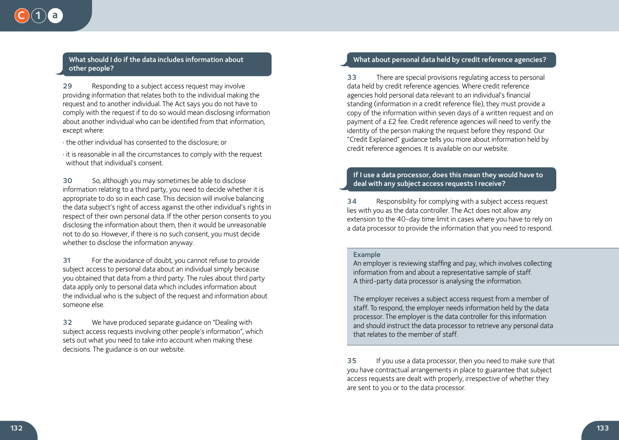# What should I do if the data includes information about other people?

29 Responding to a subject access request may involve providing information that relates both to the individual making the request and to another individual. The Act says you do not have to comply with the request if to do so would mean disclosing information about another individual who can be identified from that information, except where:

- the other individual has consented to the disclosure; or
- it is reasonable in all the circumstances to comply with the request without that individual's consent.

30 So, although you may sometimes be able to disclose information relating to a third party, you need to decide whether it is appropriate to do so in each case. This decision will involve balancing the data subject's right of access against the other individual's rights in respect of their own personal data. If the other person consents to you disclosing the information about them, then it would be unreasonable not to do so. However, if there is no such consent, you must decide whether to disclose the information anyway.

31 For the avoidance of doubt, you cannot refuse to provide subject access to personal data about an individual simply because you obtained that data from a third party. The rules about third party data apply only to personal data which includes information about the individual who is the subject of the request and information about someone else.

32 We have produced separate guidance on "Dealing with subject access requests involving other people's information", which sets out what you need to take into account when making these decisions. The guidance is on our website.

# What about personal data held by credit reference agencies?

33 There are special provisions regulating access to personal data held by credit reference agencies. Where credit reference agencies hold personal data relevant to an individual's financial standing (information in a credit reference file), they must provide a copy of the information within seven days of a written request and on payment of a £2 fee. Credit reference agencies will need to verify the identity of the person making the request before they respond. Our "Credit Explained" guidance tells you more about information held by credit reference agencies. It is available on our website.

# If I use a data processor, does this mean they would have to deal with any subject access requests I receive?

34 Responsibility for complying with a subject access request lies with you as the data controller. The Act does not allow any extension to the 40-day time limit in cases where you have to rely on a data processor to provide the information that you need to respond.

#### Example

An employer is reviewing staffing and pay, which involves collecting information from and about a representative sample of staff. A third-party data processor is analysing the information.

The employer receives a subject access request from a member of staff. To respond, the employer needs information held by the data processor. The employer is the data controller for this information and should instruct the data processor to retrieve any personal data that relates to the member of staff.

35 If you use a data processor, then you need to make sure that you have contractual arrangements in place to guarantee that subject access requests are dealt with properly, irrespective of whether they are sent to you or to the data processor.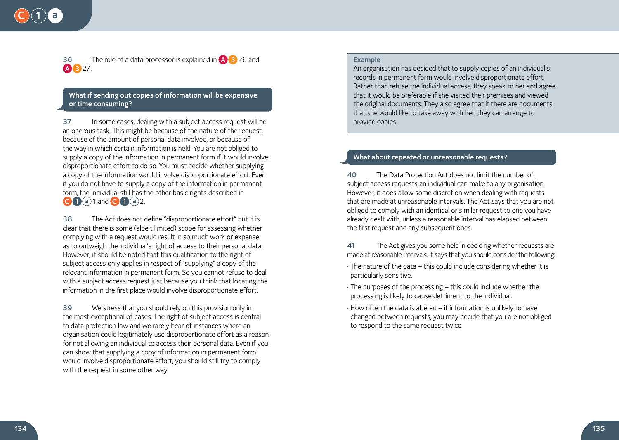

# 36 The role of a data processor is explained in  $\bigcirc$  326 and **AB** 27.

# What if sending out copies of information will be expensive or time consuming?

37 In some cases, dealing with a subject access request will be an onerous task. This might be because of the nature of the request, because of the amount of personal data involved, or because of the way in which certain information is held. You are not obliged to supply a copy of the information in permanent form if it would involve disproportionate effort to do so. You must decide whether supplying a copy of the information would involve disproportionate effort. Even if you do not have to supply a copy of the information in permanent form, the individual still has the other basic rights described in  $\bigodot$   $\bigodot$   $\bigodot$   $\bigodot$   $\bigodot$   $\bigodot$   $\bigodot$   $\bigodot$   $\bigodot$   $\bigodot$   $\bigodot$   $\bigodot$   $\bigodot$   $\bigodot$   $\bigodot$   $\bigodot$   $\bigodot$   $\bigodot$   $\bigodot$   $\bigodot$   $\bigodot$   $\bigodot$   $\bigodot$   $\bigodot$   $\bigodot$   $\bigodot$   $\bigodot$   $\bigodot$   $\bigodot$   $\bigodot$   $\bigodot$   $\bigod$ 

38 The Act does not define "disproportionate effort" but it is clear that there is some (albeit limited) scope for assessing whether complying with a request would result in so much work or expense as to outweigh the individual's right of access to their personal data. However, it should be noted that this qualification to the right of subject access only applies in respect of "supplying" a copy of the relevant information in permanent form. So you cannot refuse to deal with a subject access request just because you think that locating the information in the first place would involve disproportionate effort.

39 We stress that you should rely on this provision only in the most exceptional of cases. The right of subject access is central to data protection law and we rarely hear of instances where an organisation could legitimately use disproportionate effort as a reason for not allowing an individual to access their personal data. Even if you can show that supplying a copy of information in permanent form would involve disproportionate effort, you should still try to comply with the request in some other way.

#### Example

An organisation has decided that to supply copies of an individual's records in permanent form would involve disproportionate effort. Rather than refuse the individual access, they speak to her and agree that it would be preferable if she visited their premises and viewed the original documents. They also agree that if there are documents that she would like to take away with her, they can arrange to provide copies.

# What about repeated or unreasonable requests?

40 The Data Protection Act does not limit the number of subject access requests an individual can make to any organisation. However, it does allow some discretion when dealing with requests that are made at unreasonable intervals. The Act says that you are not obliged to comply with an identical or similar request to one you have already dealt with, unless a reasonable interval has elapsed between the first request and any subsequent ones.

- 41 The Act gives you some help in deciding whether requests are made at reasonable intervals. It says that you should consider the following:
- $\cdot$  The nature of the data this could include considering whether it is particularly sensitive.
- $\cdot$  The purposes of the processing this could include whether the processing is likely to cause detriment to the individual.
- How often the data is altered if information is unlikely to have changed between requests, you may decide that you are not obliged to respond to the same request twice.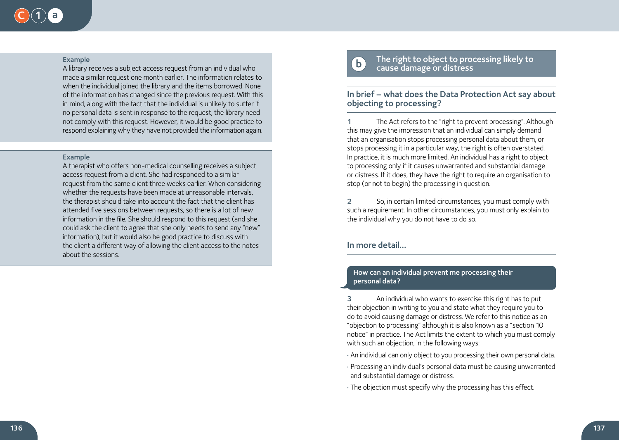

#### Example

A library receives a subject access request from an individual who made a similar request one month earlier. The information relates to when the individual joined the library and the items borrowed. None of the information has changed since the previous request. With this in mind, along with the fact that the individual is unlikely to suffer if no personal data is sent in response to the request, the library need not comply with this request. However, it would be good practice to respond explaining why they have not provided the information again.

#### Example

A therapist who offers non-medical counselling receives a subject access request from a client. She had responded to a similar request from the same client three weeks earlier. When considering whether the requests have been made at unreasonable intervals, the therapist should take into account the fact that the client has attended five sessions between requests, so there is a lot of new information in the file. She should respond to this request (and she could ask the client to agree that she only needs to send any "new" information), but it would also be good practice to discuss with the client a different way of allowing the client access to the notes about the sessions.

 $\mathbf{b}$ 

The right to object to processing likely to cause damage or distress

# In brief – what does the Data Protection Act say about objecting to processing?

1 The Act refers to the "right to prevent processing". Although this may give the impression that an individual can simply demand that an organisation stops processing personal data about them, or stops processing it in a particular way, the right is often overstated. In practice, it is much more limited. An individual has a right to object to processing only if it causes unwarranted and substantial damage or distress. If it does, they have the right to require an organisation to stop (or not to begin) the processing in question.

2 So, in certain limited circumstances, you must comply with such a requirement. In other circumstances, you must only explain to the individual why you do not have to do so.

# In more detail…

# How can an individual prevent me processing their personal data?

3 An individual who wants to exercise this right has to put their objection in writing to you and state what they require you to do to avoid causing damage or distress. We refer to this notice as an "objection to processing" although it is also known as a "section 10 notice" in practice. The Act limits the extent to which you must comply with such an objection, in the following ways:

- An individual can only object to you processing their own personal data.
- Processing an individual's personal data must be causing unwarranted and substantial damage or distress.
- The objection must specify why the processing has this effect.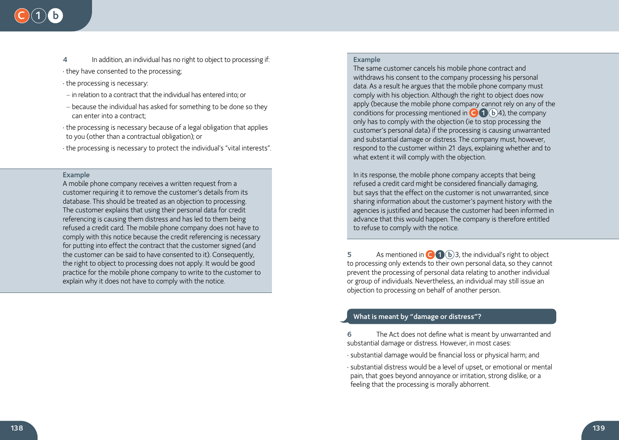

- 4 In addition, an individual has no right to object to processing if:
- they have consented to the processing;
- the processing is necessary:
- in relation to a contract that the individual has entered into; or
- because the individual has asked for something to be done so they can enter into a contract;
- the processing is necessary because of a legal obligation that applies to you (other than a contractual obligation); or
- the processing is necessary to protect the individual's "vital interests".

A mobile phone company receives a written request from a customer requiring it to remove the customer's details from its database. This should be treated as an objection to processing. The customer explains that using their personal data for credit referencing is causing them distress and has led to them being refused a credit card. The mobile phone company does not have to comply with this notice because the credit referencing is necessary for putting into effect the contract that the customer signed (and the customer can be said to have consented to it). Consequently, the right to object to processing does not apply. It would be good practice for the mobile phone company to write to the customer to explain why it does not have to comply with the notice.

## Example

The same customer cancels his mobile phone contract and withdraws his consent to the company processing his personal data. As a result he argues that the mobile phone company must comply with his objection. Although the right to object does now apply (because the mobile phone company cannot rely on any of the conditions for processing mentioned in  $\bigcirc$  1 (b)4), the company only has to comply with the objection (ie to stop processing the customer's personal data) if the processing is causing unwarranted and substantial damage or distress. The company must, however, respond to the customer within 21 days, explaining whether and to what extent it will comply with the objection.

In its response, the mobile phone company accepts that being refused a credit card might be considered financially damaging, but says that the effect on the customer is not unwarranted, since sharing information about the customer's payment history with the agencies is justified and because the customer had been informed in advance that this would happen. The company is therefore entitled to refuse to comply with the notice.

5 As mentioned in  $\bigodot \bigodot$  5, the individual's right to object to processing only extends to their own personal data, so they cannot prevent the processing of personal data relating to another individual or group of individuals. Nevertheless, an individual may still issue an objection to processing on behalf of another person.

# What is meant by "damage or distress"?

- 6 The Act does not define what is meant by unwarranted and substantial damage or distress. However, in most cases:
- substantial damage would be financial loss or physical harm; and
- substantial distress would be a level of upset, or emotional or mental pain, that goes beyond annoyance or irritation, strong dislike, or a feeling that the processing is morally abhorrent.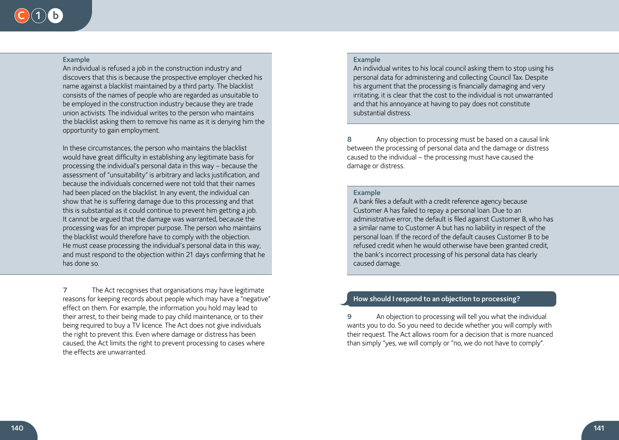

An individual is refused a job in the construction industry and discovers that this is because the prospective employer checked his name against a blacklist maintained by a third party. The blacklist consists of the names of people who are regarded as unsuitable to be employed in the construction industry because they are trade union activists. The individual writes to the person who maintains the blacklist asking them to remove his name as it is denying him the opportunity to gain employment.

In these circumstances, the person who maintains the blacklist would have great difficulty in establishing any legitimate basis for processing the individual's personal data in this way – because the assessment of "unsuitability" is arbitrary and lacks justification, and because the individuals concerned were not told that their names had been placed on the blacklist. In any event, the individual can show that he is suffering damage due to this processing and that this is substantial as it could continue to prevent him getting a job. It cannot be argued that the damage was warranted, because the processing was for an improper purpose. The person who maintains the blacklist would therefore have to comply with the objection. He must cease processing the individual's personal data in this way, and must respond to the objection within 21 days confirming that he has done so.

7 The Act recognises that organisations may have legitimate reasons for keeping records about people which may have a "negative" effect on them. For example, the information you hold may lead to their arrest, to their being made to pay child maintenance, or to their being required to buy a TV licence. The Act does not give individuals the right to prevent this. Even where damage or distress has been caused, the Act limits the right to prevent processing to cases where the effects are unwarranted.

#### Example

An individual writes to his local council asking them to stop using his personal data for administering and collecting Council Tax. Despite his argument that the processing is financially damaging and very irritating, it is clear that the cost to the individual is not unwarranted and that his annoyance at having to pay does not constitute substantial distress.

8 Any objection to processing must be based on a causal link between the processing of personal data and the damage or distress caused to the individual – the processing must have caused the damage or distress.

### Example

A bank files a default with a credit reference agency because Customer A has failed to repay a personal loan. Due to an administrative error, the default is filed against Customer B, who has a similar name to Customer A but has no liability in respect of the personal loan. If the record of the default causes Customer B to be refused credit when he would otherwise have been granted credit, the bank's incorrect processing of his personal data has clearly caused damage.

# How should I respond to an objection to processing?

9 An objection to processing will tell you what the individual wants you to do. So you need to decide whether you will comply with their request. The Act allows room for a decision that is more nuanced than simply "yes, we will comply or "no, we do not have to comply".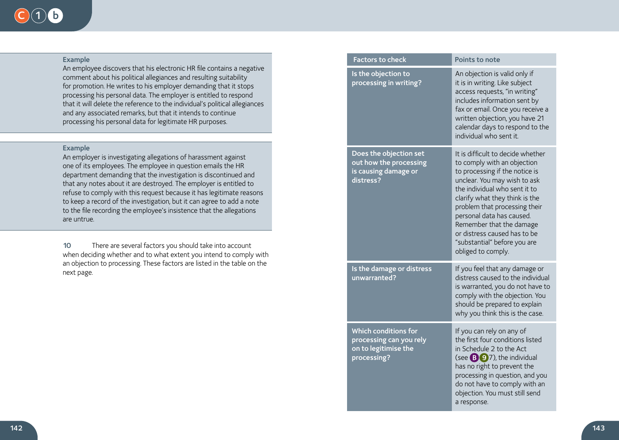# $\mathsf{C}$ ) $(1)$ b

## Example

An employee discovers that his electronic HR file contains a negative comment about his political allegiances and resulting suitability for promotion. He writes to his employer demanding that it stops processing his personal data. The employer is entitled to respond that it will delete the reference to the individual's political allegiances and any associated remarks, but that it intends to continue processing his personal data for legitimate HR purposes.

## Example

An employer is investigating allegations of harassment against one of its employees. The employee in question emails the HR department demanding that the investigation is discontinued and that any notes about it are destroyed. The employer is entitled to refuse to comply with this request because it has legitimate reasons to keep a record of the investigation, but it can agree to add a note to the file recording the employee's insistence that the allegations are untrue.

10 There are several factors you should take into account when deciding whether and to what extent you intend to comply with an objection to processing. These factors are listed in the table on the next page.

| <b>Factors to check</b>                                                                | Points to note                                                                                                                                                                                                                                                                                                                                                                        |
|----------------------------------------------------------------------------------------|---------------------------------------------------------------------------------------------------------------------------------------------------------------------------------------------------------------------------------------------------------------------------------------------------------------------------------------------------------------------------------------|
| Is the objection to<br>processing in writing?                                          | An objection is valid only if<br>it is in writing. Like subject<br>access requests, "in writing"<br>includes information sent by<br>fax or email. Once you receive a<br>written objection, you have 21<br>calendar days to respond to the<br>individual who sent it.                                                                                                                  |
| Does the objection set<br>out how the processing<br>is causing damage or<br>distress?  | It is difficult to decide whether<br>to comply with an objection<br>to processing if the notice is<br>unclear. You may wish to ask<br>the individual who sent it to<br>clarify what they think is the<br>problem that processing their<br>personal data has caused.<br>Remember that the damage<br>or distress caused has to be<br>"substantial" before you are<br>obliged to comply. |
| Is the damage or distress<br>unwarranted?                                              | If you feel that any damage or<br>distress caused to the individual<br>is warranted, you do not have to<br>comply with the objection. You<br>should be prepared to explain<br>why you think this is the case.                                                                                                                                                                         |
| Which conditions for<br>processing can you rely<br>on to legitimise the<br>processing? | If you can rely on any of<br>the first four conditions listed<br>in Schedule 2 to the Act<br>(see $\left(\frac{B}{2}\right)$ 3 7), the individual<br>has no right to prevent the<br>processing in question, and you<br>do not have to comply with an<br>objection. You must still send<br>a response.                                                                                 |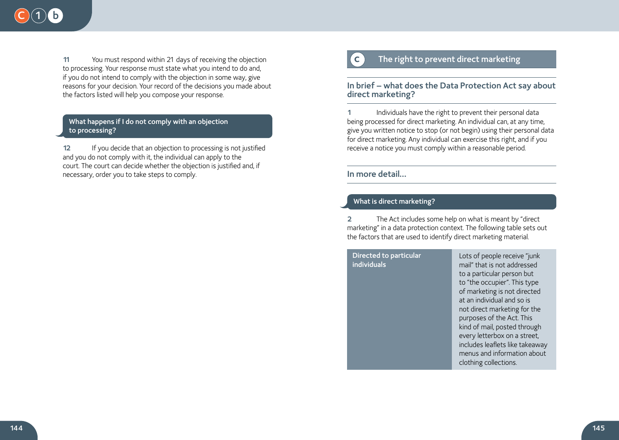

11 You must respond within 21 days of receiving the objection to processing. Your response must state what you intend to do and, if you do not intend to comply with the objection in some way, give reasons for your decision. Your record of the decisions you made about the factors listed will help you compose your response.

# What happens if I do not comply with an objection to processing?

12 If you decide that an objection to processing is not justified and you do not comply with it, the individual can apply to the court. The court can decide whether the objection is justified and, if necessary, order you to take steps to comply.

# The right to prevent direct marketing

# In brief – what does the Data Protection Act say about direct marketing?

1 Individuals have the right to prevent their personal data being processed for direct marketing. An individual can, at any time, give you written notice to stop (or not begin) using their personal data for direct marketing. Any individual can exercise this right, and if you receive a notice you must comply within a reasonable period.

# In more detail…

 $\epsilon$ 

# What is direct marketing?

2 The Act includes some help on what is meant by "direct marketing" in a data protection context. The following table sets out the factors that are used to identify direct marketing material.

| Directed to particular<br><b>individuals</b> | Lots of people receive "junk<br>mail" that is not addressed<br>to a particular person but<br>to "the occupier". This type<br>of marketing is not directed<br>at an individual and so is<br>not direct marketing for the<br>purposes of the Act. This<br>kind of mail, posted through<br>every letterbox on a street,<br>includes leaflets like takeaway<br>menus and information about<br>clothing collections. |
|----------------------------------------------|-----------------------------------------------------------------------------------------------------------------------------------------------------------------------------------------------------------------------------------------------------------------------------------------------------------------------------------------------------------------------------------------------------------------|
|----------------------------------------------|-----------------------------------------------------------------------------------------------------------------------------------------------------------------------------------------------------------------------------------------------------------------------------------------------------------------------------------------------------------------------------------------------------------------|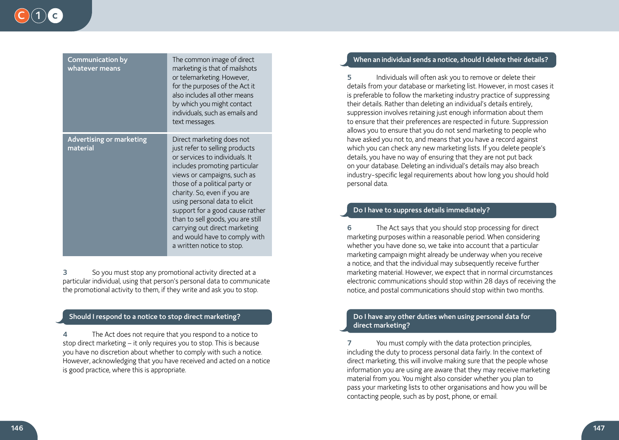| <b>Communication by</b><br>whatever means   | The common image of direct<br>marketing is that of mailshots<br>or telemarketing. However,<br>for the purposes of the Act it<br>also includes all other means<br>by which you might contact<br>individuals, such as emails and<br>text messages.                                                                                                                                                                                       |
|---------------------------------------------|----------------------------------------------------------------------------------------------------------------------------------------------------------------------------------------------------------------------------------------------------------------------------------------------------------------------------------------------------------------------------------------------------------------------------------------|
| <b>Advertising or marketing</b><br>material | Direct marketing does not<br>just refer to selling products<br>or services to individuals. It<br>includes promoting particular<br>views or campaigns, such as<br>those of a political party or<br>charity. So, even if you are<br>using personal data to elicit<br>support for a good cause rather<br>than to sell goods, you are still<br>carrying out direct marketing<br>and would have to comply with<br>a written notice to stop. |

3 So you must stop any promotional activity directed at a particular individual, using that person's personal data to communicate the promotional activity to them, if they write and ask you to stop.

# Should I respond to a notice to stop direct marketing?

The Act does not require that you respond to a notice to stop direct marketing – it only requires you to stop. This is because you have no discretion about whether to comply with such a notice. However, acknowledging that you have received and acted on a notice is good practice, where this is appropriate.

# When an individual sends a notice, should I delete their details?

5 Individuals will often ask you to remove or delete their details from your database or marketing list. However, in most cases it is preferable to follow the marketing industry practice of suppressing their details. Rather than deleting an individual's details entirely, suppression involves retaining just enough information about them to ensure that their preferences are respected in future. Suppression allows you to ensure that you do not send marketing to people who have asked you not to, and means that you have a record against which you can check any new marketing lists. If you delete people's details, you have no way of ensuring that they are not put back on your database. Deleting an individual's details may also breach industry-specific legal requirements about how long you should hold personal data.

# Do I have to suppress details immediately?

6 The Act says that you should stop processing for direct marketing purposes within a reasonable period. When considering whether you have done so, we take into account that a particular marketing campaign might already be underway when you receive a notice, and that the individual may subsequently receive further marketing material. However, we expect that in normal circumstances electronic communications should stop within 28 days of receiving the notice, and postal communications should stop within two months.

## Do I have any other duties when using personal data for direct marketing?

7 You must comply with the data protection principles, including the duty to process personal data fairly. In the context of direct marketing, this will involve making sure that the people whose information you are using are aware that they may receive marketing material from you. You might also consider whether you plan to pass your marketing lists to other organisations and how you will be contacting people, such as by post, phone, or email.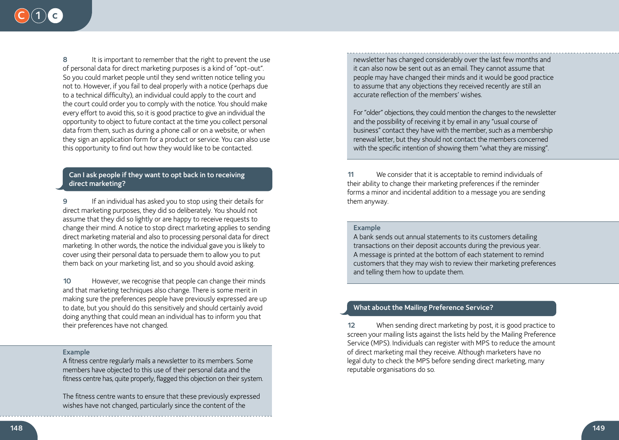8 It is important to remember that the right to prevent the use of personal data for direct marketing purposes is a kind of "opt-out". So you could market people until they send written notice telling you not to. However, if you fail to deal properly with a notice (perhaps due to a technical difficulty), an individual could apply to the court and the court could order you to comply with the notice. You should make every effort to avoid this, so it is good practice to give an individual the opportunity to object to future contact at the time you collect personal data from them, such as during a phone call or on a website, or when they sign an application form for a product or service. You can also use this opportunity to find out how they would like to be contacted.

## Can I ask people if they want to opt back in to receiving direct marketing?

9 If an individual has asked you to stop using their details for direct marketing purposes, they did so deliberately. You should not assume that they did so lightly or are happy to receive requests to change their mind. A notice to stop direct marketing applies to sending direct marketing material and also to processing personal data for direct marketing. In other words, the notice the individual gave you is likely to cover using their personal data to persuade them to allow you to put them back on your marketing list, and so you should avoid asking.

10 However, we recognise that people can change their minds and that marketing techniques also change. There is some merit in making sure the preferences people have previously expressed are up to date, but you should do this sensitively and should certainly avoid doing anything that could mean an individual has to inform you that their preferences have not changed.

### Example

A fitness centre regularly mails a newsletter to its members. Some members have objected to this use of their personal data and the fitness centre has, quite properly, flagged this objection on their system.

The fitness centre wants to ensure that these previously expressed wishes have not changed, particularly since the content of the

newsletter has changed considerably over the last few months and it can also now be sent out as an email. They cannot assume that people may have changed their minds and it would be good practice to assume that any objections they received recently are still an accurate reflection of the members' wishes.

For "older" objections, they could mention the changes to the newsletter and the possibility of receiving it by email in any "usual course of business" contact they have with the member, such as a membership renewal letter, but they should not contact the members concerned with the specific intention of showing them "what they are missing".

11 We consider that it is acceptable to remind individuals of their ability to change their marketing preferences if the reminder forms a minor and incidental addition to a message you are sending them anyway.

#### Example

A bank sends out annual statements to its customers detailing transactions on their deposit accounts during the previous year. A message is printed at the bottom of each statement to remind customers that they may wish to review their marketing preferences and telling them how to update them.

# What about the Mailing Preference Service?

12 When sending direct marketing by post, it is good practice to screen your mailing lists against the lists held by the Mailing Preference Service (MPS). Individuals can register with MPS to reduce the amount of direct marketing mail they receive. Although marketers have no legal duty to check the MPS before sending direct marketing, many reputable organisations do so.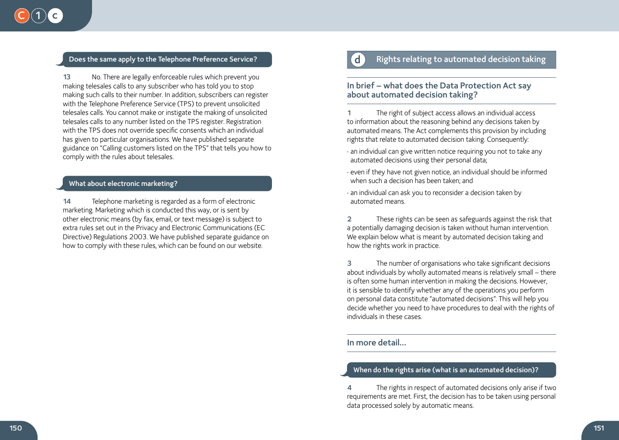## Does the same apply to the Telephone Preference Service?

13 No. There are legally enforceable rules which prevent you making telesales calls to any subscriber who has told you to stop making such calls to their number. In addition, subscribers can register with the Telephone Preference Service (TPS) to prevent unsolicited telesales calls. You cannot make or instigate the making of unsolicited telesales calls to any number listed on the TPS register. Registration with the TPS does not override specific consents which an individual has given to particular organisations. We have published separate guidance on "Calling customers listed on the TPS" that tells you how to comply with the rules about telesales.

## What about electronic marketing?

14 Telephone marketing is regarded as a form of electronic marketing. Marketing which is conducted this way, or is sent by other electronic means (by fax, email, or text message) is subject to extra rules set out in the Privacy and Electronic Communications (EC Directive) Regulations 2003. We have published separate guidance on how to comply with these rules, which can be found on our website.

# d Rights relating to automated decision taking

# In brief – what does the Data Protection Act say about automated decision taking?

- The right of subject access allows an individual access to information about the reasoning behind any decisions taken by automated means. The Act complements this provision by including rights that relate to automated decision taking. Consequently:
- an individual can give written notice requiring you not to take any automated decisions using their personal data;
- even if they have not given notice, an individual should be informed when such a decision has been taken; and
- an individual can ask you to reconsider a decision taken by automated means.

2 These rights can be seen as safeguards against the risk that a potentially damaging decision is taken without human intervention. We explain below what is meant by automated decision taking and how the rights work in practice.

3 The number of organisations who take significant decisions about individuals by wholly automated means is relatively small – there is often some human intervention in making the decisions. However, it is sensible to identify whether any of the operations you perform on personal data constitute "automated decisions". This will help you decide whether you need to have procedures to deal with the rights of individuals in these cases.

# In more detail…

## When do the rights arise (what is an automated decision)?

4 The rights in respect of automated decisions only arise if two requirements are met. First, the decision has to be taken using personal data processed solely by automatic means.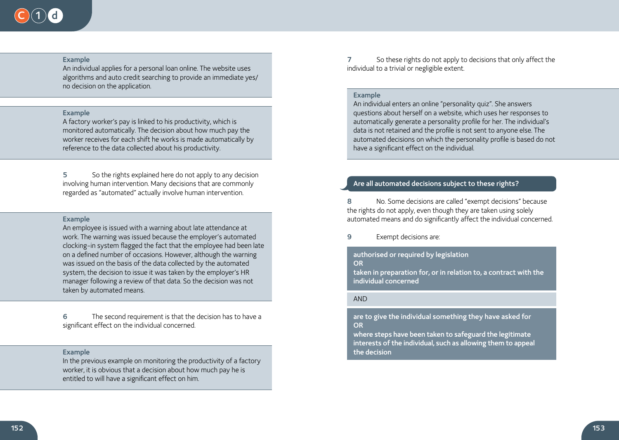

An individual applies for a personal loan online. The website uses algorithms and auto credit searching to provide an immediate yes/ no decision on the application.

### Example

A factory worker's pay is linked to his productivity, which is monitored automatically. The decision about how much pay the worker receives for each shift he works is made automatically by reference to the data collected about his productivity.

5 So the rights explained here do not apply to any decision involving human intervention. Many decisions that are commonly regarded as "automated" actually involve human intervention.

### Example

An employee is issued with a warning about late attendance at work. The warning was issued because the employer's automated clocking-in system flagged the fact that the employee had been late on a defined number of occasions. However, although the warning was issued on the basis of the data collected by the automated system, the decision to issue it was taken by the employer's HR manager following a review of that data. So the decision was not taken by automated means.

6 The second requirement is that the decision has to have a significant effect on the individual concerned.

Example

In the previous example on monitoring the productivity of a factory worker, it is obvious that a decision about how much pay he is entitled to will have a significant effect on him.

7 So these rights do not apply to decisions that only affect the individual to a trivial or negligible extent.

### Example

An individual enters an online "personality quiz". She answers questions about herself on a website, which uses her responses to automatically generate a personality profile for her. The individual's data is not retained and the profile is not sent to anyone else. The automated decisions on which the personality profile is based do not have a significant effect on the individual.

# Are all automated decisions subject to these rights?

8 No. Some decisions are called "exempt decisions" because the rights do not apply, even though they are taken using solely automated means and do significantly affect the individual concerned.

9 Exempt decisions are:

# authorised or required by legislation

#### OR

taken in preparation for, or in relation to, a contract with the individual concerned

### AND

are to give the individual something they have asked for OR

where steps have been taken to safeguard the legitimate interests of the individual, such as allowing them to appeal the decision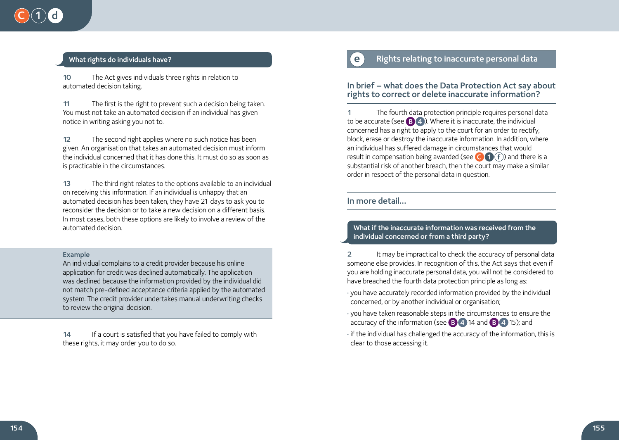# What rights do individuals have?

10 The Act gives individuals three rights in relation to automated decision taking.

11 The first is the right to prevent such a decision being taken. You must not take an automated decision if an individual has given notice in writing asking you not to.

12 The second right applies where no such notice has been given. An organisation that takes an automated decision must inform the individual concerned that it has done this. It must do so as soon as is practicable in the circumstances.

13 The third right relates to the options available to an individual on receiving this information. If an individual is unhappy that an automated decision has been taken, they have 21 days to ask you to reconsider the decision or to take a new decision on a different basis. In most cases, both these options are likely to involve a review of the automated decision.

Example

An individual complains to a credit provider because his online application for credit was declined automatically. The application was declined because the information provided by the individual did not match pre-defined acceptance criteria applied by the automated system. The credit provider undertakes manual underwriting checks to review the original decision.

14 If a court is satisfied that you have failed to comply with these rights, it may order you to do so.

# Rights relating to inaccurate personal data

## In brief – what does the Data Protection Act say about rights to correct or delete inaccurate information?

The fourth data protection principle requires personal data to be accurate (see  $\mathbf{B}(4)$ ). Where it is inaccurate, the individual concerned has a right to apply to the court for an order to rectify, block, erase or destroy the inaccurate information. In addition, where an individual has suffered damage in circumstances that would result in compensation being awarded (see  $\bigodot$   $\bigodot$   $\bigodot$  ) and there is a substantial risk of another breach, then the court may make a similar order in respect of the personal data in question.

In more detail…

e

What if the inaccurate information was received from the individual concerned or from a third party?

2 It may be impractical to check the accuracy of personal data someone else provides. In recognition of this, the Act says that even if you are holding inaccurate personal data, you will not be considered to have breached the fourth data protection principle as long as:

- you have accurately recorded information provided by the individual concerned, or by another individual or organisation;
- you have taken reasonable steps in the circumstances to ensure the accuracy of the information (see  $\mathbf{B}$  4 14 and  $\mathbf{B}$  4 15); and
- if the individual has challenged the accuracy of the information, this is clear to those accessing it.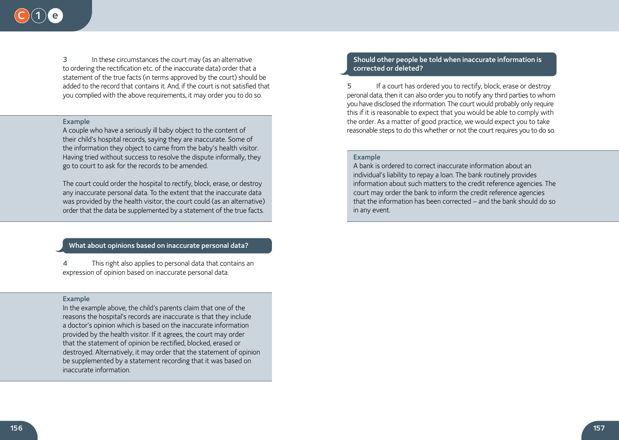

3 In these circumstances the court may (as an alternative to ordering the rectification etc. of the inaccurate data) order that a statement of the true facts (in terms approved by the court) should be added to the record that contains it. And, if the court is not satisfied that you complied with the above requirements, it may order you to do so.

## Example

A couple who have a seriously ill baby object to the content of their child's hospital records, saying they are inaccurate. Some of the information they object to came from the baby's health visitor. Having tried without success to resolve the dispute informally, they go to court to ask for the records to be amended.

The court could order the hospital to rectify, block, erase, or destroy any inaccurate personal data. To the extent that the inaccurate data was provided by the health visitor, the court could (as an alternative) order that the data be supplemented by a statement of the true facts.

# What about opinions based on inaccurate personal data?

This right also applies to personal data that contains an expression of opinion based on inaccurate personal data.

### Example

In the example above, the child's parents claim that one of the reasons the hospital's records are inaccurate is that they include a doctor's opinion which is based on the inaccurate information provided by the health visitor. If it agrees, the court may order that the statement of opinion be rectified, blocked, erased or destroyed. Alternatively, it may order that the statement of opinion be supplemented by a statement recording that it was based on inaccurate information.

## Should other people be told when inaccurate information is corrected or deleted?

5 If a court has ordered you to rectify, block, erase or destroy peronal data, then it can also order you to notify any third parties to whom you have disclosed the information. The court would probably only require this if it is reasonable to expect that you would be able to comply with the order. As a matter of good practice, we would expect you to take reasonable steps to do this whether or not the court requires you to do so.

### Example

A bank is ordered to correct inaccurate information about an individual's liability to repay a loan. The bank routinely provides information about such matters to the credit reference agencies. The court may order the bank to inform the credit reference agencies that the information has been corrected – and the bank should do so in any event.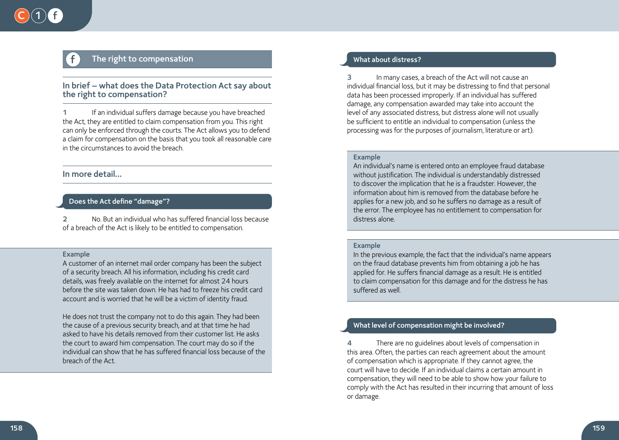# The right to compensation

# In brief – what does the Data Protection Act say about the right to compensation?

If an individual suffers damage because you have breached the Act, they are entitled to claim compensation from you. This right can only be enforced through the courts. The Act allows you to defend a claim for compensation on the basis that you took all reasonable care in the circumstances to avoid the breach.

# In more detail…

# Does the Act define "damage"?

2 No. But an individual who has suffered financial loss because of a breach of the Act is likely to be entitled to compensation.

### Example

A customer of an internet mail order company has been the subject of a security breach. All his information, including his credit card details, was freely available on the internet for almost 24 hours before the site was taken down. He has had to freeze his credit card account and is worried that he will be a victim of identity fraud.

He does not trust the company not to do this again. They had been the cause of a previous security breach, and at that time he had asked to have his details removed from their customer list. He asks the court to award him compensation. The court may do so if the individual can show that he has suffered financial loss because of the breach of the Act.

## What about distress?

3 In many cases, a breach of the Act will not cause an individual financial loss, but it may be distressing to find that personal data has been processed improperly. If an individual has suffered damage, any compensation awarded may take into account the level of any associated distress, but distress alone will not usually be sufficient to entitle an individual to compensation (unless the processing was for the purposes of journalism, literature or art).

## Example

An individual's name is entered onto an employee fraud database without justification. The individual is understandably distressed to discover the implication that he is a fraudster. However, the information about him is removed from the database before he applies for a new job, and so he suffers no damage as a result of the error. The employee has no entitlement to compensation for distress alone.

### Example

In the previous example, the fact that the individual's name appears on the fraud database prevents him from obtaining a job he has applied for. He suffers financial damage as a result. He is entitled to claim compensation for this damage and for the distress he has suffered as well.

# What level of compensation might be involved?

There are no guidelines about levels of compensation in this area. Often, the parties can reach agreement about the amount of compensation which is appropriate. If they cannot agree, the court will have to decide. If an individual claims a certain amount in compensation, they will need to be able to show how your failure to comply with the Act has resulted in their incurring that amount of loss or damage.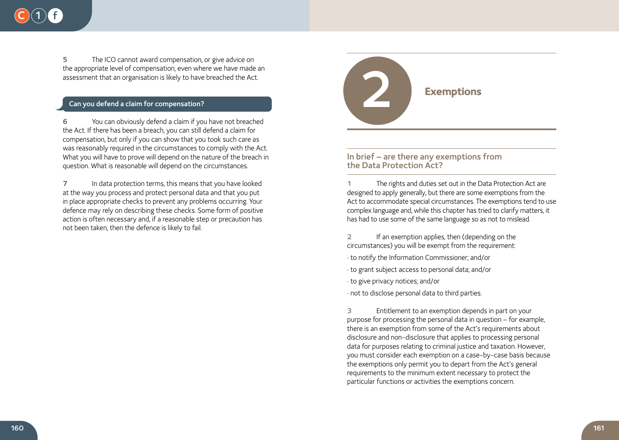

5 The ICO cannot award compensation, or give advice on the appropriate level of compensation, even where we have made an assessment that an organisation is likely to have breached the Act.

## Can you defend a claim for compensation?

6 You can obviously defend a claim if you have not breached the Act. If there has been a breach, you can still defend a claim for compensation, but only if you can show that you took such care as was reasonably required in the circumstances to comply with the Act. What you will have to prove will depend on the nature of the breach in question. What is reasonable will depend on the circumstances.

7 In data protection terms, this means that you have looked at the way you process and protect personal data and that you put in place appropriate checks to prevent any problems occurring. Your defence may rely on describing these checks. Some form of positive action is often necessary and, if a reasonable step or precaution has not been taken, then the defence is likely to fail.



# In brief – are there any exemptions from the Data Protection Act?

The rights and duties set out in the Data Protection Act are designed to apply generally, but there are some exemptions from the Act to accommodate special circumstances. The exemptions tend to use complex language and, while this chapter has tried to clarify matters, it has had to use some of the same language so as not to mislead.

- 2 If an exemption applies, then (depending on the circumstances) you will be exempt from the requirement:
- to notify the Information Commissioner; and/or
- to grant subject access to personal data; and/or
- to give privacy notices; and/or

• not to disclose personal data to third parties.

3 Entitlement to an exemption depends in part on your purpose for processing the personal data in question – for example, there is an exemption from some of the Act's requirements about disclosure and non-disclosure that applies to processing personal data for purposes relating to criminal justice and taxation. However, you must consider each exemption on a case-by-case basis because the exemptions only permit you to depart from the Act's general requirements to the minimum extent necessary to protect the particular functions or activities the exemptions concern.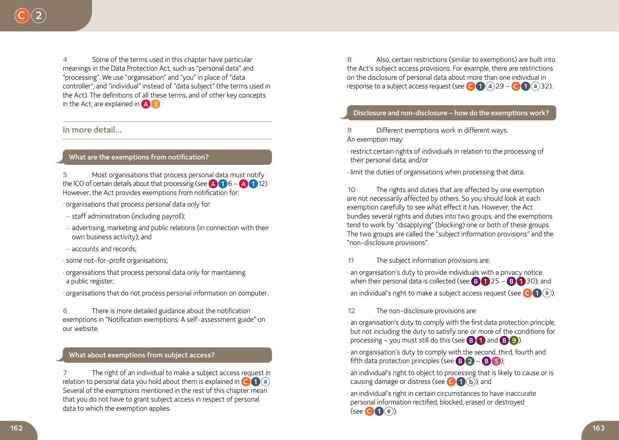4 Some of the terms used in this chapter have particular meanings in the Data Protection Act, such as "personal data" and "processing". We use "organisation" and "you" in place of "data controller", and "individual" instead of "data subject" (the terms used in the Act). The definitions of all these terms, and of other key concepts in the Act, are explained in  $\bigcirc$  3

# In more detail…

# What are the exemptions from notification?

5 Most organisations that process personal data must notify the ICO of certain details about that processing (see  $\bigcirc$  6 –  $\bigcirc$  12). However, the Act provides exemptions from notification for:

• organisations that process personal data only for:

- staff administration (including payroll);
- advertising, marketing and public relations (in connection with their own business activity); and
- accounts and records;
- some not-for-profit organisations;
- organisations that process personal data only for maintaining a public register;
- organisations that do not process personal information on computer.

6 There is more detailed guidance about the notification exemptions in "Notification exemptions: A self-assessment guide" on our website.

## What about exemptions from subject access?

7 The right of an individual to make a subject access request in relation to personal data you hold about them is explained in  $\bigcirc$   $\bigcirc$   $\bigcirc$ Several of the exemptions mentioned in the rest of this chapter mean that you do not have to grant subject access in respect of personal data to which the exemption applies.

8 Also, certain restrictions (similar to exemptions) are built into the Act's subject access provisions. For example, there are restrictions on the disclosure of personal data about more than one individual in response to a subject access request (see  $\bigcirc$  1 a 29 –  $\bigcirc$  1 a 32).

## Disclosure and non-disclosure – how do the exemptions work?

- 9 Different exemptions work in different ways. An exemption may:
- restrict certain rights of individuals in relation to the processing of their personal data; and/or
- limit the duties of organisations when processing that data.

10 The rights and duties that are affected by one exemption are not necessarily affected by others. So you should look at each exemption carefully to see what effect it has. However, the Act bundles several rights and duties into two groups, and the exemptions tend to work by "disapplying" (blocking) one or both of these groups. The two groups are called the "subject information provisions" and the "non-disclosure provisions".

- 11 The subject information provisions are:
- an organisation's duty to provide individuals with a privacy notice when their personal data is collected (see  $\mathbf{B}$  (25 –  $\mathbf{B}$  (130); and  $\cdot$  an individual's right to make a subject access request (see  $\bigcirc$  1 a).
- 12 The non-disclosure provisions are:
- an organisation's duty to comply with the first data protection principle, but not including the duty to satisfy one or more of the conditions for processing – you must still do this (see  $\mathbf{B} \mathbf{Q}$  and  $\mathbf{B} \mathbf{Q}$ ).
- an organisation's duty to comply with the second, third, fourth and fifth data protection principles (see  $\mathbf{B}(\mathbf{2} - \mathbf{B}(\mathbf{5}))$ ;
- an individual's right to object to processing that is likely to cause or is causing damage or distress (see  $\bigcirc$  (b); and
- an individual's right in certain circumstances to have inaccurate personal information rectified, blocked, erased or destroyed  $($ see  $\bigodot$   $\bigodot$   $\bigodot$ ).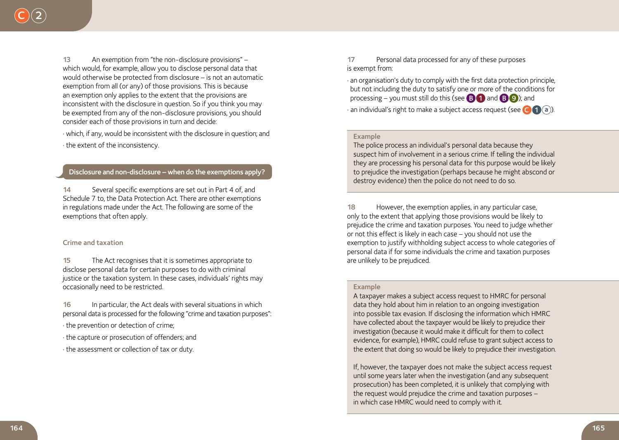13 An exemption from "the non-disclosure provisions" – which would, for example, allow you to disclose personal data that would otherwise be protected from disclosure – is not an automatic exemption from all (or any) of those provisions. This is because an exemption only applies to the extent that the provisions are inconsistent with the disclosure in question. So if you think you may be exempted from any of the non-disclosure provisions, you should consider each of those provisions in turn and decide:

• which, if any, would be inconsistent with the disclosure in question; and

• the extent of the inconsistency.

## Disclosure and non-disclosure – when do the exemptions apply?

14 Several specific exemptions are set out in Part 4 of, and Schedule 7 to, the Data Protection Act. There are other exemptions in regulations made under the Act. The following are some of the exemptions that often apply.

## Crime and taxation

15 The Act recognises that it is sometimes appropriate to disclose personal data for certain purposes to do with criminal justice or the taxation system. In these cases, individuals' rights may occasionally need to be restricted.

16 In particular, the Act deals with several situations in which personal data is processed for the following "crime and taxation purposes":

• the prevention or detection of crime;

• the capture or prosecution of offenders; and

• the assessment or collection of tax or duty.

17 Personal data processed for any of these purposes is exempt from:

• an organisation's duty to comply with the first data protection principle, but not including the duty to satisfy one or more of the conditions for processing – you must still do this (see  $\mathbf{B}$  and  $\mathbf{B}$   $\mathbf{O}$ ); and

 $\cdot$  an individual's right to make a subject access request (see  $\bigcirc$   $\bigcirc$   $\bigcirc$   $\bigcirc$  ).

### Example

The police process an individual's personal data because they suspect him of involvement in a serious crime. If telling the individual they are processing his personal data for this purpose would be likely to prejudice the investigation (perhaps because he might abscond or destroy evidence) then the police do not need to do so.

18 However, the exemption applies, in any particular case, only to the extent that applying those provisions would be likely to prejudice the crime and taxation purposes. You need to judge whether or not this effect is likely in each case – you should not use the exemption to justify withholding subject access to whole categories of personal data if for some individuals the crime and taxation purposes are unlikely to be prejudiced.

### Example

A taxpayer makes a subject access request to HMRC for personal data they hold about him in relation to an ongoing investigation into possible tax evasion. If disclosing the information which HMRC have collected about the taxpayer would be likely to prejudice their investigation (because it would make it difficult for them to collect evidence, for example), HMRC could refuse to grant subject access to the extent that doing so would be likely to prejudice their investigation.

If, however, the taxpayer does not make the subject access request until some years later when the investigation (and any subsequent prosecution) has been completed, it is unlikely that complying with the request would prejudice the crime and taxation purposes – in which case HMRC would need to comply with it.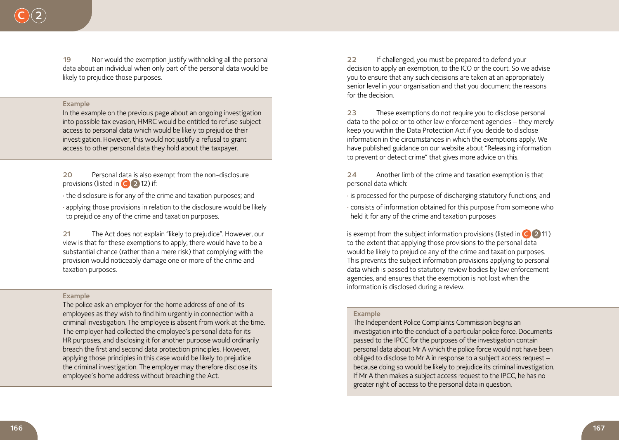19 Nor would the exemption justify withholding all the personal data about an individual when only part of the personal data would be likely to prejudice those purposes.

### Example

In the example on the previous page about an ongoing investigation into possible tax evasion, HMRC would be entitled to refuse subject access to personal data which would be likely to prejudice their investigation. However, this would not justify a refusal to grant access to other personal data they hold about the taxpayer.

20 Personal data is also exempt from the non-disclosure provisions (listed in  $\bigcirc$  2 12) if:

• the disclosure is for any of the crime and taxation purposes; and

• applying those provisions in relation to the disclosure would be likely to prejudice any of the crime and taxation purposes.

21 The Act does not explain "likely to prejudice". However, our view is that for these exemptions to apply, there would have to be a substantial chance (rather than a mere risk) that complying with the provision would noticeably damage one or more of the crime and taxation purposes.

### Example

The police ask an employer for the home address of one of its employees as they wish to find him urgently in connection with a criminal investigation. The employee is absent from work at the time. The employer had collected the employee's personal data for its HR purposes, and disclosing it for another purpose would ordinarily breach the first and second data protection principles. However, applying those principles in this case would be likely to prejudice the criminal investigation. The employer may therefore disclose its employee's home address without breaching the Act.

22 If challenged, you must be prepared to defend your decision to apply an exemption, to the ICO or the court. So we advise you to ensure that any such decisions are taken at an appropriately senior level in your organisation and that you document the reasons for the decision.

23 These exemptions do not require you to disclose personal data to the police or to other law enforcement agencies – they merely keep you within the Data Protection Act if you decide to disclose information in the circumstances in which the exemptions apply. We have published guidance on our website about "Releasing information to prevent or detect crime" that gives more advice on this.

24 Another limb of the crime and taxation exemption is that personal data which:

- is processed for the purpose of discharging statutory functions; and
- consists of information obtained for this purpose from someone who held it for any of the crime and taxation purposes

is exempt from the subject information provisions (listed in  $\bigcirc$  211) to the extent that applying those provisions to the personal data would be likely to prejudice any of the crime and taxation purposes. This prevents the subject information provisions applying to personal data which is passed to statutory review bodies by law enforcement agencies, and ensures that the exemption is not lost when the information is disclosed during a review.

### Example

The Independent Police Complaints Commission begins an investigation into the conduct of a particular police force. Documents passed to the IPCC for the purposes of the investigation contain personal data about Mr A which the police force would not have been obliged to disclose to Mr A in response to a subject access request – because doing so would be likely to prejudice its criminal investigation. If Mr A then makes a subject access request to the IPCC, he has no greater right of access to the personal data in question.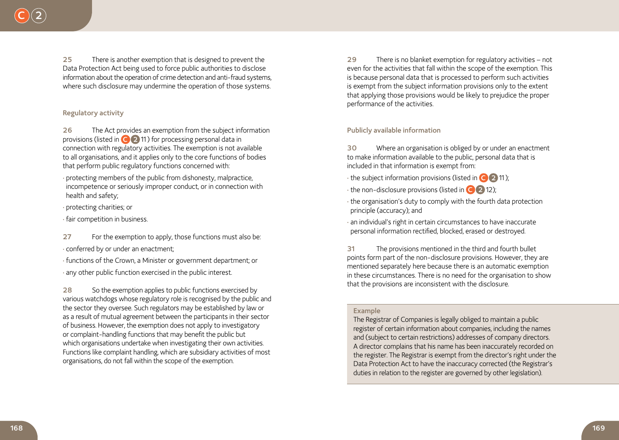25 There is another exemption that is designed to prevent the Data Protection Act being used to force public authorities to disclose information about the operation of crime detection and anti-fraud systems, where such disclosure may undermine the operation of those systems.

## Regulatory activity

26 The Act provides an exemption from the subject information provisions (listed in  $\bigcirc$  2 11) for processing personal data in connection with regulatory activities. The exemption is not available to all organisations, and it applies only to the core functions of bodies that perform public regulatory functions concerned with:

- protecting members of the public from dishonesty, malpractice, incompetence or seriously improper conduct, or in connection with health and safety;
- protecting charities; or
- fair competition in business.
- 27 For the exemption to apply, those functions must also be:
- conferred by or under an enactment;
- functions of the Crown, a Minister or government department; or
- any other public function exercised in the public interest.

28 So the exemption applies to public functions exercised by various watchdogs whose regulatory role is recognised by the public and the sector they oversee. Such regulators may be established by law or as a result of mutual agreement between the participants in their sector of business. However, the exemption does not apply to investigatory or complaint-handling functions that may benefit the public but which organisations undertake when investigating their own activities. Functions like complaint handling, which are subsidiary activities of most organisations, do not fall within the scope of the exemption.

29 There is no blanket exemption for regulatory activities – not even for the activities that fall within the scope of the exemption. This is because personal data that is processed to perform such activities is exempt from the subject information provisions only to the extent that applying those provisions would be likely to prejudice the proper performance of the activities.

# Publicly available information

30 Where an organisation is obliged by or under an enactment to make information available to the public, personal data that is included in that information is exempt from:

- $\cdot$  the subject information provisions (listed in  $\bigcirc$  2 11);
- $\cdot$  the non-disclosure provisions (listed in  $\bigcirc$  2 12);
- the organisation's duty to comply with the fourth data protection principle (accuracy); and
- an individual's right in certain circumstances to have inaccurate personal information rectified, blocked, erased or destroyed.

31 The provisions mentioned in the third and fourth bullet points form part of the non-disclosure provisions. However, they are mentioned separately here because there is an automatic exemption in these circumstances. There is no need for the organisation to show that the provisions are inconsistent with the disclosure.

## Example

The Registrar of Companies is legally obliged to maintain a public register of certain information about companies, including the names and (subject to certain restrictions) addresses of company directors. A director complains that his name has been inaccurately recorded on the register. The Registrar is exempt from the director's right under the Data Protection Act to have the inaccuracy corrected (the Registrar's duties in relation to the register are governed by other legislation).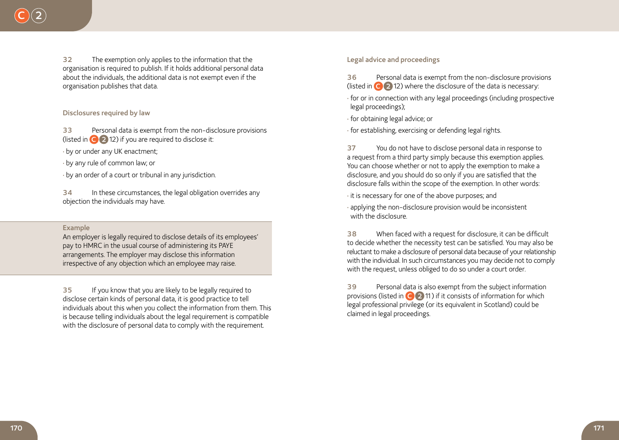32 The exemption only applies to the information that the organisation is required to publish. If it holds additional personal data about the individuals, the additional data is not exempt even if the organisation publishes that data.

## Disclosures required by law

33 Personal data is exempt from the non-disclosure provisions (listed in  $\bigcirc$  2 12) if you are required to disclose it:

• by or under any UK enactment;

• by any rule of common law; or

• by an order of a court or tribunal in any jurisdiction.

34 In these circumstances, the legal obligation overrides any objection the individuals may have.

## Example

An employer is legally required to disclose details of its employees' pay to HMRC in the usual course of administering its PAYE arrangements. The employer may disclose this information irrespective of any objection which an employee may raise.

35 If you know that you are likely to be legally required to disclose certain kinds of personal data, it is good practice to tell individuals about this when you collect the information from them. This is because telling individuals about the legal requirement is compatible with the disclosure of personal data to comply with the requirement.

## Legal advice and proceedings

36 Personal data is exempt from the non-disclosure provisions (listed in  $\bigcirc$  212) where the disclosure of the data is necessary:

• for or in connection with any legal proceedings (including prospective legal proceedings);

• for obtaining legal advice; or

• for establishing, exercising or defending legal rights.

37 You do not have to disclose personal data in response to a request from a third party simply because this exemption applies. You can choose whether or not to apply the exemption to make a disclosure, and you should do so only if you are satisfied that the disclosure falls within the scope of the exemption. In other words:

• it is necessary for one of the above purposes; and

• applying the non-disclosure provision would be inconsistent with the disclosure.

38 When faced with a request for disclosure, it can be difficult to decide whether the necessity test can be satisfied. You may also be reluctant to make a disclosure of personal data because of your relationship with the individual. In such circumstances you may decide not to comply with the request, unless obliged to do so under a court order.

39 Personal data is also exempt from the subject information provisions (listed in  $\bigcirc$  2 11) if it consists of information for which legal professional privilege (or its equivalent in Scotland) could be claimed in legal proceedings.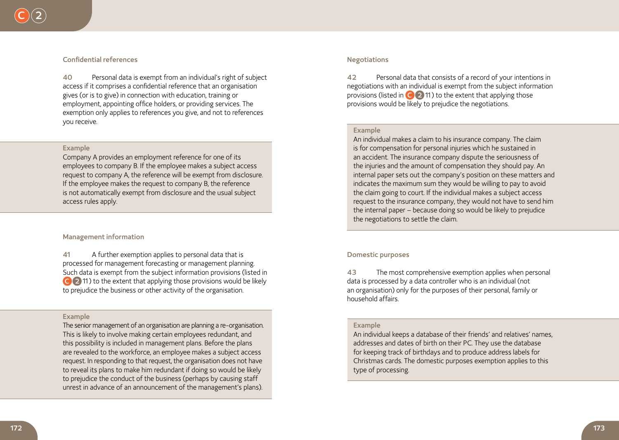## Confidential references

40 Personal data is exempt from an individual's right of subject access if it comprises a confidential reference that an organisation gives (or is to give) in connection with education, training or employment, appointing office holders, or providing services. The exemption only applies to references you give, and not to references you receive.

### Example

Company A provides an employment reference for one of its employees to company B. If the employee makes a subject access request to company A, the reference will be exempt from disclosure. If the employee makes the request to company B, the reference is not automatically exempt from disclosure and the usual subject access rules apply.

# Management information

41 A further exemption applies to personal data that is processed for management forecasting or management planning. Such data is exempt from the subject information provisions (listed in **11**) to the extent that applying those provisions would be likely to prejudice the business or other activity of the organisation.

### Example

The senior management of an organisation are planning a re-organisation. This is likely to involve making certain employees redundant, and this possibility is included in management plans. Before the plans are revealed to the workforce, an employee makes a subject access request. In responding to that request, the organisation does not have to reveal its plans to make him redundant if doing so would be likely to prejudice the conduct of the business (perhaps by causing staff unrest in advance of an announcement of the management's plans).

### Negotiations

42 Personal data that consists of a record of your intentions in negotiations with an individual is exempt from the subject information provisions (listed in  $\bigcirc$  2 11) to the extent that applying those provisions would be likely to prejudice the negotiations.

### Example

An individual makes a claim to his insurance company. The claim is for compensation for personal injuries which he sustained in an accident. The insurance company dispute the seriousness of the injuries and the amount of compensation they should pay. An internal paper sets out the company's position on these matters and indicates the maximum sum they would be willing to pay to avoid the claim going to court. If the individual makes a subject access request to the insurance company, they would not have to send him the internal paper – because doing so would be likely to prejudice the negotiations to settle the claim.

## Domestic purposes

43 The most comprehensive exemption applies when personal data is processed by a data controller who is an individual (not an organisation) only for the purposes of their personal, family or household affairs.

#### Example

An individual keeps a database of their friends' and relatives' names, addresses and dates of birth on their PC. They use the database for keeping track of birthdays and to produce address labels for Christmas cards. The domestic purposes exemption applies to this type of processing.